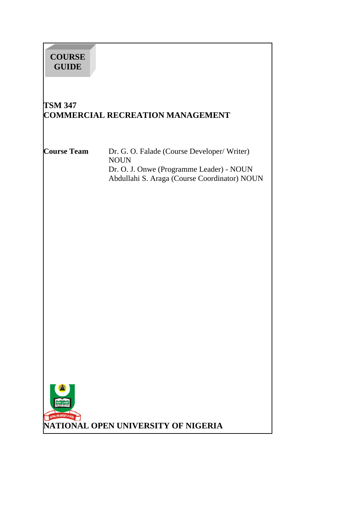# **TSM 347 COMMERCIAL RECREATION MANAGEMENT Course Team** Dr. G. O. Falade (Course Developer/ Writer) NOUN Dr. O. J. Onwe (Programme Leader) - NOUN Abdullahi S. Araga (Course Coordinator) NOUN **NATIONAL OPEN UNIVERSITY OF NIGERIA COURSE GUIDE**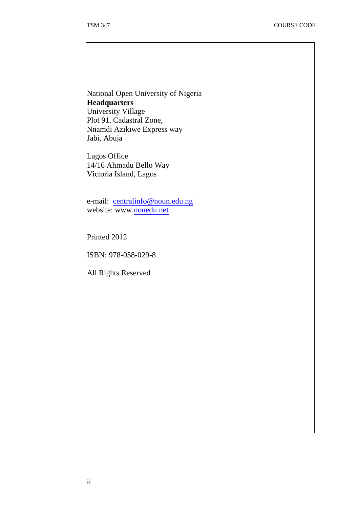National Open University of Nigeria **Headquarters**  University Village Plot 91, Cadastral Zone, Nnamdi Azikiwe Express way Jabi, Abuja

Lagos Office 14/16 Ahmadu Bello Way Victoria Island, Lagos

e-mail: centralinfo@noun.edu.ng website: www.nouedu.net

Printed 2012

ISBN: 978-058-029-8

All Rights Reserved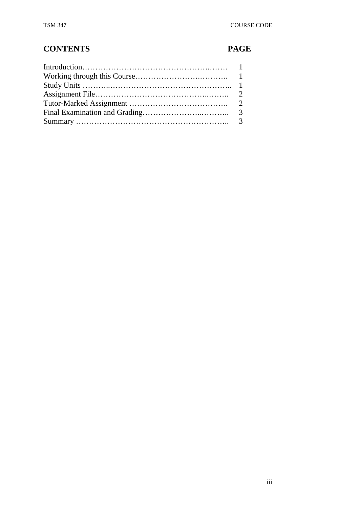# **CONTENTS PAGE**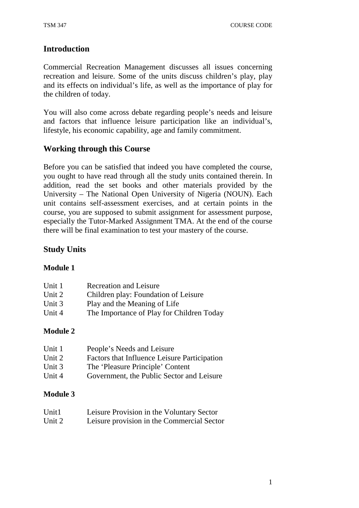# **Introduction**

Commercial Recreation Management discusses all issues concerning recreation and leisure. Some of the units discuss children's play, play and its effects on individual's life, as well as the importance of play for the children of today.

You will also come across debate regarding people's needs and leisure and factors that influence leisure participation like an individual's, lifestyle, his economic capability, age and family commitment.

# **Working through this Course**

Before you can be satisfied that indeed you have completed the course, you ought to have read through all the study units contained therein. In addition, read the set books and other materials provided by the University – The National Open University of Nigeria (NOUN). Each unit contains self-assessment exercises, and at certain points in the course, you are supposed to submit assignment for assessment purpose, especially the Tutor-Marked Assignment TMA. At the end of the course there will be final examination to test your mastery of the course.

# **Study Units**

#### **Module 1**

| Unit 1 | <b>Recreation and Leisure</b>             |
|--------|-------------------------------------------|
| Unit 2 | Children play: Foundation of Leisure      |
| Unit 3 | Play and the Meaning of Life              |
| Unit 4 | The Importance of Play for Children Today |

#### **Module 2**

| Unit 1 | People's Needs and Leisure                          |
|--------|-----------------------------------------------------|
| Unit 2 | <b>Factors that Influence Leisure Participation</b> |
| Unit 3 | The 'Pleasure Principle' Content                    |
| Unit 4 | Government, the Public Sector and Leisure           |

#### **Module 3**

| Unit1  | Leisure Provision in the Voluntary Sector  |
|--------|--------------------------------------------|
| Unit 2 | Leisure provision in the Commercial Sector |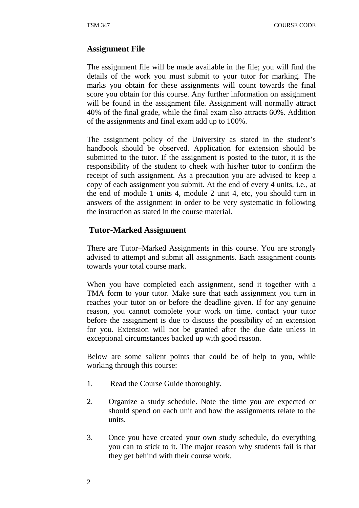# **Assignment File**

The assignment file will be made available in the file; you will find the details of the work you must submit to your tutor for marking. The marks you obtain for these assignments will count towards the final score you obtain for this course. Any further information on assignment will be found in the assignment file. Assignment will normally attract 40% of the final grade, while the final exam also attracts 60%. Addition of the assignments and final exam add up to 100%.

The assignment policy of the University as stated in the student's handbook should be observed. Application for extension should be submitted to the tutor. If the assignment is posted to the tutor, it is the responsibility of the student to cheek with his/her tutor to confirm the receipt of such assignment. As a precaution you are advised to keep a copy of each assignment you submit. At the end of every 4 units, i.e., at the end of module 1 units 4, module 2 unit 4, etc, you should turn in answers of the assignment in order to be very systematic in following the instruction as stated in the course material.

# **Tutor-Marked Assignment**

There are Tutor–Marked Assignments in this course. You are strongly advised to attempt and submit all assignments. Each assignment counts towards your total course mark.

When you have completed each assignment, send it together with a TMA form to your tutor. Make sure that each assignment you turn in reaches your tutor on or before the deadline given. If for any genuine reason, you cannot complete your work on time, contact your tutor before the assignment is due to discuss the possibility of an extension for you. Extension will not be granted after the due date unless in exceptional circumstances backed up with good reason.

Below are some salient points that could be of help to you, while working through this course:

- 1. Read the Course Guide thoroughly.
- 2. Organize a study schedule. Note the time you are expected or should spend on each unit and how the assignments relate to the units.
- 3. Once you have created your own study schedule, do everything you can to stick to it. The major reason why students fail is that they get behind with their course work.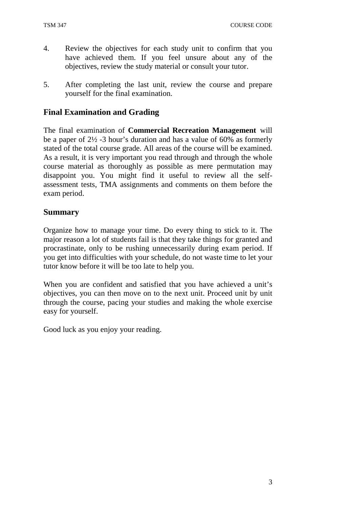- 4. Review the objectives for each study unit to confirm that you have achieved them. If you feel unsure about any of the objectives, review the study material or consult your tutor.
- 5. After completing the last unit, review the course and prepare yourself for the final examination.

# **Final Examination and Grading**

The final examination of **Commercial Recreation Management** will be a paper of 2½ -3 hour's duration and has a value of 60% as formerly stated of the total course grade. All areas of the course will be examined. As a result, it is very important you read through and through the whole course material as thoroughly as possible as mere permutation may disappoint you. You might find it useful to review all the selfassessment tests, TMA assignments and comments on them before the exam period.

#### **Summary**

Organize how to manage your time. Do every thing to stick to it. The major reason a lot of students fail is that they take things for granted and procrastinate, only to be rushing unnecessarily during exam period. If you get into difficulties with your schedule, do not waste time to let your tutor know before it will be too late to help you.

When you are confident and satisfied that you have achieved a unit's objectives, you can then move on to the next unit. Proceed unit by unit through the course, pacing your studies and making the whole exercise easy for yourself.

Good luck as you enjoy your reading.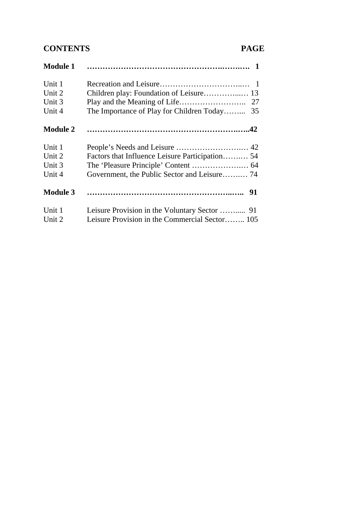# **CONTENTS PAGE**

| <b>Module 1</b> |                                                 |
|-----------------|-------------------------------------------------|
| Unit 1          |                                                 |
| Unit 2          |                                                 |
| Unit 3          | -27                                             |
| Unit 4          | The Importance of Play for Children Today<br>35 |
| <b>Module 2</b> |                                                 |
| Unit 1          |                                                 |
| Unit 2          | Factors that Influence Leisure Participation 54 |
| Unit 3          |                                                 |
| Unit 4          | Government, the Public Sector and Leisure 74    |
| <b>Module 3</b> |                                                 |
| Unit 1          |                                                 |
| Unit 2          | Leisure Provision in the Commercial Sector 105  |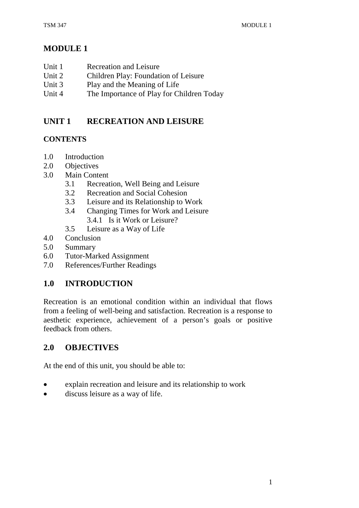# **MODULE 1**

| Unit 1<br><b>Recreation and Leisure</b> |  |
|-----------------------------------------|--|
|-----------------------------------------|--|

- Unit 2 Children Play: Foundation of Leisure
- Unit 3 Play and the Meaning of Life
- Unit 4 The Importance of Play for Children Today

# **UNIT 1 RECREATION AND LEISURE**

# **CONTENTS**

- 1.0 Introduction
- 2.0 Objectives
- 3.0 Main Content
	- 3.1 Recreation, Well Being and Leisure
	- 3.2 Recreation and Social Cohesion
	- 3.3 Leisure and its Relationship to Work
	- 3.4 Changing Times for Work and Leisure 3.4.1 Is it Work or Leisure?
	- 3.5 Leisure as a Way of Life
- 4.0 Conclusion
- 5.0 Summary
- 6.0 Tutor-Marked Assignment
- 7.0 References/Further Readings

# **1.0 INTRODUCTION**

Recreation is an emotional condition within an individual that flows from a feeling of well-being and satisfaction. Recreation is a response to aesthetic experience, achievement of a person's goals or positive feedback from others.

# **2.0 OBJECTIVES**

At the end of this unit, you should be able to:

- explain recreation and leisure and its relationship to work
- discuss leisure as a way of life.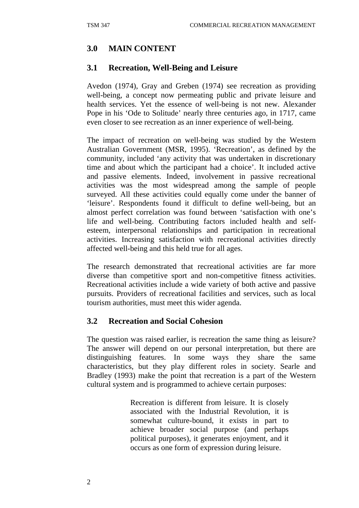#### **3.0 MAIN CONTENT**

#### **3.1 Recreation, Well-Being and Leisure**

Avedon (1974), Gray and Greben (1974) see recreation as providing well-being, a concept now permeating public and private leisure and health services. Yet the essence of well-being is not new. Alexander Pope in his 'Ode to Solitude' nearly three centuries ago, in 1717, came even closer to see recreation as an inner experience of well-being.

The impact of recreation on well-being was studied by the Western Australian Government (MSR, 1995). 'Recreation', as defined by the community, included 'any activity that was undertaken in discretionary time and about which the participant had a choice'. It included active and passive elements. Indeed, involvement in passive recreational activities was the most widespread among the sample of people surveyed. All these activities could equally come under the banner of 'leisure'. Respondents found it difficult to define well-being, but an almost perfect correlation was found between 'satisfaction with one's life and well-being. Contributing factors included health and selfesteem, interpersonal relationships and participation in recreational activities. Increasing satisfaction with recreational activities directly affected well-being and this held true for all ages.

The research demonstrated that recreational activities are far more diverse than competitive sport and non-competitive fitness activities. Recreational activities include a wide variety of both active and passive pursuits. Providers of recreational facilities and services, such as local tourism authorities, must meet this wider agenda.

#### **3.2 Recreation and Social Cohesion**

The question was raised earlier, is recreation the same thing as leisure? The answer will depend on our personal interpretation, but there are distinguishing features. In some ways they share the same characteristics, but they play different roles in society. Searle and Bradley (1993) make the point that recreation is a part of the Western cultural system and is programmed to achieve certain purposes:

> Recreation is different from leisure. It is closely associated with the Industrial Revolution, it is somewhat culture-bound, it exists in part to achieve broader social purpose (and perhaps political purposes), it generates enjoyment, and it occurs as one form of expression during leisure.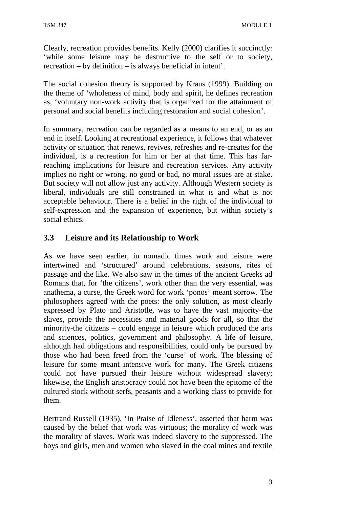Clearly, recreation provides benefits. Kelly (2000) clarifies it succinctly: 'while some leisure may be destructive to the self or to society, recreation – by definition – is always beneficial in intent'.

The social cohesion theory is supported by Kraus (1999). Building on the theme of 'wholeness of mind, body and spirit, he defines recreation as, 'voluntary non-work activity that is organized for the attainment of personal and social benefits including restoration and social cohesion'.

In summary, recreation can be regarded as a means to an end, or as an end in itself. Looking at recreational experience, it follows that whatever activity or situation that renews, revives, refreshes and re-creates for the individual, is a recreation for him or her at that time. This has farreaching implications for leisure and recreation services. Any activity implies no right or wrong, no good or bad, no moral issues are at stake. But society will not allow just any activity. Although Western society is liberal, individuals are still constrained in what is and what is not acceptable behaviour. There is a belief in the right of the individual to self-expression and the expansion of experience, but within society's social ethics.

# **3.3 Leisure and its Relationship to Work**

As we have seen earlier, in nomadic times work and leisure were intertwined and 'structured' around celebrations, seasons, rites of passage and the like. We also saw in the times of the ancient Greeks ad Romans that, for 'the citizens', work other than the very essential, was anathema, a curse, the Greek word for work 'ponos' meant sorrow. The philosophers agreed with the poets: the only solution, as most clearly expressed by Plato and Aristotle, was to have the vast majority–the slaves, provide the necessities and material goods for all, so that the minority-the citizens – could engage in leisure which produced the arts and sciences, politics, government and philosophy. A life of leisure, although had obligations and responsibilities, could only be pursued by those who had been freed from the 'curse' of work. The blessing of leisure for some meant intensive work for many. The Greek citizens could not have pursued their leisure without widespread slavery; likewise, the English aristocracy could not have been the epitome of the cultured stock without serfs, peasants and a working class to provide for them.

Bertrand Russell (1935), 'In Praise of Idleness', asserted that harm was caused by the belief that work was virtuous; the morality of work was the morality of slaves. Work was indeed slavery to the suppressed. The boys and girls, men and women who slaved in the coal mines and textile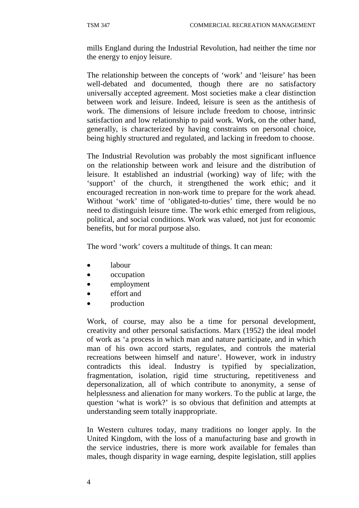mills England during the Industrial Revolution, had neither the time nor the energy to enjoy leisure.

The relationship between the concepts of 'work' and 'leisure' has been well-debated and documented, though there are no satisfactory universally accepted agreement. Most societies make a clear distinction between work and leisure. Indeed, leisure is seen as the antithesis of work. The dimensions of leisure include freedom to choose, intrinsic satisfaction and low relationship to paid work. Work, on the other hand, generally, is characterized by having constraints on personal choice, being highly structured and regulated, and lacking in freedom to choose.

The Industrial Revolution was probably the most significant influence on the relationship between work and leisure and the distribution of leisure. It established an industrial (working) way of life; with the 'support' of the church, it strengthened the work ethic; and it encouraged recreation in non-work time to prepare for the work ahead. Without 'work' time of 'obligated-to-duties' time, there would be no need to distinguish leisure time. The work ethic emerged from religious, political, and social conditions. Work was valued, not just for economic benefits, but for moral purpose also.

The word 'work' covers a multitude of things. It can mean:

- labour
- occupation
- employment
- effort and
- production

Work, of course, may also be a time for personal development, creativity and other personal satisfactions. Marx (1952) the ideal model of work as 'a process in which man and nature participate, and in which man of his own accord starts, regulates, and controls the material recreations between himself and nature'. However, work in industry contradicts this ideal. Industry is typified by specialization, fragmentation, isolation, rigid time structuring, repetitiveness and depersonalization, all of which contribute to anonymity, a sense of helplessness and alienation for many workers. To the public at large, the question 'what is work?' is so obvious that definition and attempts at understanding seem totally inappropriate.

In Western cultures today, many traditions no longer apply. In the United Kingdom, with the loss of a manufacturing base and growth in the service industries, there is more work available for females than males, though disparity in wage earning, despite legislation, still applies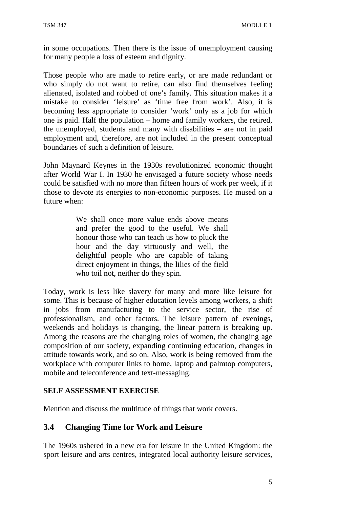in some occupations. Then there is the issue of unemployment causing for many people a loss of esteem and dignity.

Those people who are made to retire early, or are made redundant or who simply do not want to retire, can also find themselves feeling alienated, isolated and robbed of one's family. This situation makes it a mistake to consider 'leisure' as 'time free from work'. Also, it is becoming less appropriate to consider 'work' only as a job for which one is paid. Half the population – home and family workers, the retired, the unemployed, students and many with disabilities – are not in paid employment and, therefore, are not included in the present conceptual boundaries of such a definition of leisure.

John Maynard Keynes in the 1930s revolutionized economic thought after World War I. In 1930 he envisaged a future society whose needs could be satisfied with no more than fifteen hours of work per week, if it chose to devote its energies to non-economic purposes. He mused on a future when:

> We shall once more value ends above means and prefer the good to the useful. We shall honour those who can teach us how to pluck the hour and the day virtuously and well, the delightful people who are capable of taking direct enjoyment in things, the lilies of the field who toil not, neither do they spin.

Today, work is less like slavery for many and more like leisure for some. This is because of higher education levels among workers, a shift in jobs from manufacturing to the service sector, the rise of professionalism, and other factors. The leisure pattern of evenings, weekends and holidays is changing, the linear pattern is breaking up. Among the reasons are the changing roles of women, the changing age composition of our society, expanding continuing education, changes in attitude towards work, and so on. Also, work is being removed from the workplace with computer links to home, laptop and palmtop computers, mobile and teleconference and text-messaging.

#### **SELF ASSESSMENT EXERCISE**

Mention and discuss the multitude of things that work covers.

#### **3.4 Changing Time for Work and Leisure**

The 1960s ushered in a new era for leisure in the United Kingdom: the sport leisure and arts centres, integrated local authority leisure services,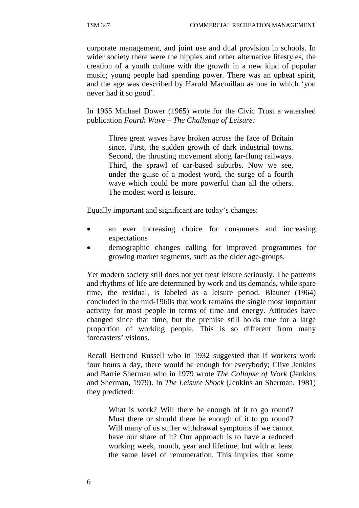corporate management, and joint use and dual provision in schools. In wider society there were the hippies and other alternative lifestyles, the creation of a youth culture with the growth in a new kind of popular music; young people had spending power. There was an upbeat spirit, and the age was described by Harold Macmillan as one in which 'you never had it so good'.

In 1965 Michael Dower (1965) wrote for the Civic Trust a watershed publication *Fourth Wave – The Challenge of Leisure:* 

Three great waves have broken across the face of Britain since. First, the sudden growth of dark industrial towns. Second, the thrusting movement along far-flung railways. Third, the sprawl of car-based suburbs. Now we see, under the guise of a modest word, the surge of a fourth wave which could be more powerful than all the others. The modest word is leisure.

Equally important and significant are today's changes:

- an ever increasing choice for consumers and increasing expectations
- demographic changes calling for improved programmes for growing market segments, such as the older age-groups.

Yet modern society still does not yet treat leisure seriously. The patterns and rhythms of life are determined by work and its demands, while spare time, the residual, is labeled as a leisure period. Blauner (1964) concluded in the mid-1960s that work remains the single most important activity for most people in terms of time and energy. Attitudes have changed since that time, but the premise still holds true for a large proportion of working people. This is so different from many forecasters' visions.

Recall Bertrand Russell who in 1932 suggested that if workers work four hours a day, there would be enough for everybody; Clive Jenkins and Barrie Sherman who in 1979 wrote *The Collapse of Work* (Jenkins and Sherman, 1979). In *The Leisure Shock* (Jenkins an Sherman, 1981) they predicted:

What is work? Will there be enough of it to go round? Must there or should there be enough of it to go round? Will many of us suffer withdrawal symptoms if we cannot have our share of it? Our approach is to have a reduced working week, month, year and lifetime, but with at least the same level of remuneration. This implies that some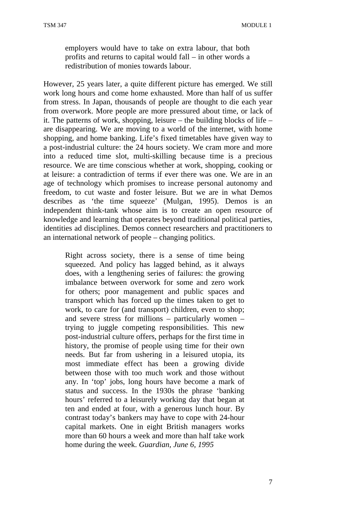employers would have to take on extra labour, that both profits and returns to capital would fall – in other words a redistribution of monies towards labour.

However, 25 years later, a quite different picture has emerged. We still work long hours and come home exhausted. More than half of us suffer from stress. In Japan, thousands of people are thought to die each year from overwork. More people are more pressured about time, or lack of it. The patterns of work, shopping, leisure – the building blocks of life – are disappearing. We are moving to a world of the internet, with home shopping, and home banking. Life's fixed timetables have given way to a post-industrial culture: the 24 hours society. We cram more and more into a reduced time slot, multi-skilling because time is a precious resource. We are time conscious whether at work, shopping, cooking or at leisure: a contradiction of terms if ever there was one. We are in an age of technology which promises to increase personal autonomy and freedom, to cut waste and foster leisure. But we are in what Demos describes as 'the time squeeze' (Mulgan, 1995). Demos is an independent think-tank whose aim is to create an open resource of knowledge and learning that operates beyond traditional political parties, identities ad disciplines. Demos connect researchers and practitioners to an international network of people – changing politics.

Right across society, there is a sense of time being squeezed. And policy has lagged behind, as it always does, with a lengthening series of failures: the growing imbalance between overwork for some and zero work for others; poor management and public spaces and transport which has forced up the times taken to get to work, to care for (and transport) children, even to shop; and severe stress for millions – particularly women – trying to juggle competing responsibilities. This new post-industrial culture offers, perhaps for the first time in history, the promise of people using time for their own needs. But far from ushering in a leisured utopia, its most immediate effect has been a growing divide between those with too much work and those without any. In 'top' jobs, long hours have become a mark of status and success. In the 1930s the phrase 'banking hours' referred to a leisurely working day that began at ten and ended at four, with a generous lunch hour. By contrast today's bankers may have to cope with 24-hour capital markets. One in eight British managers works more than 60 hours a week and more than half take work home during the week. *Guardian, June 6, 1995*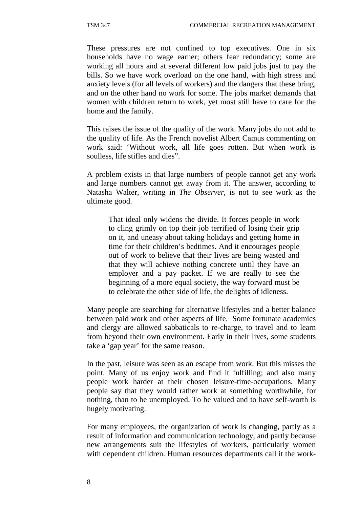These pressures are not confined to top executives. One in six households have no wage earner; others fear redundancy; some are working all hours and at several different low paid jobs just to pay the bills. So we have work overload on the one hand, with high stress and anxiety levels (for all levels of workers) and the dangers that these bring, and on the other hand no work for some. The jobs market demands that women with children return to work, yet most still have to care for the home and the family.

This raises the issue of the quality of the work. Many jobs do not add to the quality of life. As the French novelist Albert Camus commenting on work said: 'Without work, all life goes rotten. But when work is soulless, life stifles and dies".

A problem exists in that large numbers of people cannot get any work and large numbers cannot get away from it. The answer, according to Natasha Walter, writing in *The Observer*, is not to see work as the ultimate good.

That ideal only widens the divide. It forces people in work to cling grimly on top their job terrified of losing their grip on it, and uneasy about taking holidays and getting home in time for their children's bedtimes. And it encourages people out of work to believe that their lives are being wasted and that they will achieve nothing concrete until they have an employer and a pay packet. If we are really to see the beginning of a more equal society, the way forward must be to celebrate the other side of life, the delights of idleness.

Many people are searching for alternative lifestyles and a better balance between paid work and other aspects of life. Some fortunate academics and clergy are allowed sabbaticals to re-charge, to travel and to learn from beyond their own environment. Early in their lives, some students take a 'gap year' for the same reason.

In the past, leisure was seen as an escape from work. But this misses the point. Many of us enjoy work and find it fulfilling; and also many people work harder at their chosen leisure-time-occupations. Many people say that they would rather work at something worthwhile, for nothing, than to be unemployed. To be valued and to have self-worth is hugely motivating.

For many employees, the organization of work is changing, partly as a result of information and communication technology, and partly because new arrangements suit the lifestyles of workers, particularly women with dependent children. Human resources departments call it the work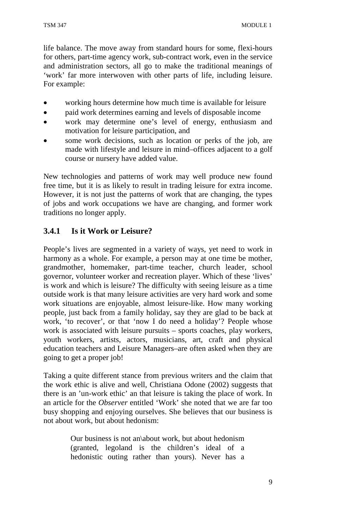life balance. The move away from standard hours for some, flexi-hours for others, part-time agency work, sub-contract work, even in the service and administration sectors, all go to make the traditional meanings of 'work' far more interwoven with other parts of life, including leisure. For example:

- working hours determine how much time is available for leisure
- paid work determines earning and levels of disposable income
- work may determine one's level of energy, enthusiasm and motivation for leisure participation, and
- some work decisions, such as location or perks of the job, are made with lifestyle and leisure in mind–offices adjacent to a golf course or nursery have added value.

New technologies and patterns of work may well produce new found free time, but it is as likely to result in trading leisure for extra income. However, it is not just the patterns of work that are changing, the types of jobs and work occupations we have are changing, and former work traditions no longer apply.

# **3.4.1 Is it Work or Leisure?**

People's lives are segmented in a variety of ways, yet need to work in harmony as a whole. For example, a person may at one time be mother, grandmother, homemaker, part-time teacher, church leader, school governor, volunteer worker and recreation player. Which of these 'lives' is work and which is leisure? The difficulty with seeing leisure as a time outside work is that many leisure activities are very hard work and some work situations are enjoyable, almost leisure-like. How many working people, just back from a family holiday, say they are glad to be back at work, 'to recover', or that 'now I do need a holiday'? People whose work is associated with leisure pursuits – sports coaches, play workers, youth workers, artists, actors, musicians, art, craft and physical education teachers and Leisure Managers–are often asked when they are going to get a proper job!

Taking a quite different stance from previous writers and the claim that the work ethic is alive and well, Christiana Odone (2002) suggests that there is an 'un-work ethic' an that leisure is taking the place of work. In an article for the *Observer* entitled 'Work' she noted that we are far too busy shopping and enjoying ourselves. She believes that our business is not about work, but about hedonism:

> Our business is not an\about work, but about hedonism (granted, legoland is the children's ideal of a hedonistic outing rather than yours). Never has a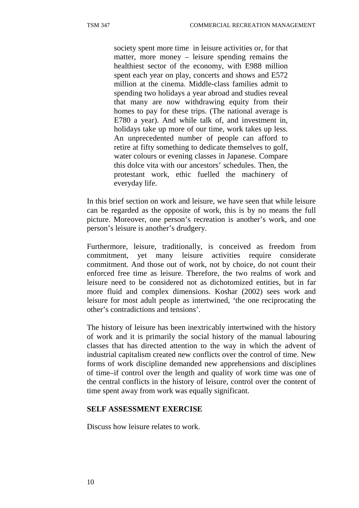society spent more time in leisure activities or, for that matter, more money – leisure spending remains the healthiest sector of the economy, with E988 million spent each year on play, concerts and shows and E572 million at the cinema. Middle-class families admit to spending two holidays a year abroad and studies reveal that many are now withdrawing equity from their homes to pay for these trips. (The national average is E780 a year). And while talk of, and investment in, holidays take up more of our time, work takes up less. An unprecedented number of people can afford to retire at fifty something to dedicate themselves to golf, water colours or evening classes in Japanese. Compare this dolce vita with our ancestors' schedules. Then, the protestant work, ethic fuelled the machinery of everyday life.

In this brief section on work and leisure, we have seen that while leisure can be regarded as the opposite of work, this is by no means the full picture. Moreover, one person's recreation is another's work, and one person's leisure is another's drudgery.

Furthermore, leisure, traditionally, is conceived as freedom from commitment, yet many leisure activities require considerate commitment. And those out of work, not by choice, do not count their enforced free time as leisure. Therefore, the two realms of work and leisure need to be considered not as dichotomized entities, but in far more fluid and complex dimensions. Koshar (2002) sees work and leisure for most adult people as intertwined, 'the one reciprocating the other's contradictions and tensions'.

The history of leisure has been inextricably intertwined with the history of work and it is primarily the social history of the manual labouring classes that has directed attention to the way in which the advent of industrial capitalism created new conflicts over the control of time. New forms of work discipline demanded new apprehensions and disciplines of time–if control over the length and quality of work time was one of the central conflicts in the history of leisure, control over the content of time spent away from work was equally significant.

#### **SELF ASSESSMENT EXERCISE**

Discuss how leisure relates to work.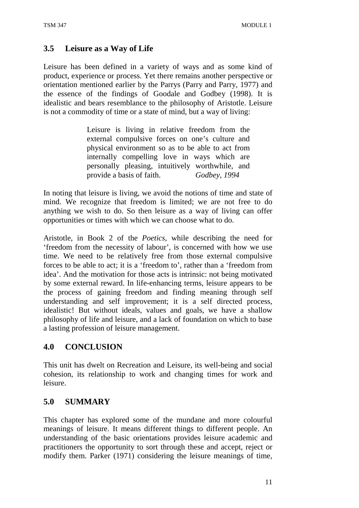# **3.5 Leisure as a Way of Life**

Leisure has been defined in a variety of ways and as some kind of product, experience or process. Yet there remains another perspective or orientation mentioned earlier by the Parrys (Parry and Parry, 1977) and the essence of the findings of Goodale and Godbey (1998). It is idealistic and bears resemblance to the philosophy of Aristotle. Leisure is not a commodity of time or a state of mind, but a way of living:

> Leisure is living in relative freedom from the external compulsive forces on one's culture and physical environment so as to be able to act from internally compelling love in ways which are personally pleasing, intuitively worthwhile, and provide a basis of faith. *Godbey, 1994*

In noting that leisure is living, we avoid the notions of time and state of mind. We recognize that freedom is limited; we are not free to do anything we wish to do. So then leisure as a way of living can offer opportunities or times with which we can choose what to do.

Aristotle, in Book 2 of the *Poetics*, while describing the need for 'freedom from the necessity of labour', is concerned with how we use time. We need to be relatively free from those external compulsive forces to be able to act; it is a 'freedom to', rather than a 'freedom from idea'. And the motivation for those acts is intrinsic: not being motivated by some external reward. In life-enhancing terms, leisure appears to be the process of gaining freedom and finding meaning through self understanding and self improvement; it is a self directed process, idealistic! But without ideals, values and goals, we have a shallow philosophy of life and leisure, and a lack of foundation on which to base a lasting profession of leisure management.

# **4.0 CONCLUSION**

This unit has dwelt on Recreation and Leisure, its well-being and social cohesion, its relationship to work and changing times for work and leisure.

# **5.0 SUMMARY**

This chapter has explored some of the mundane and more colourful meanings of leisure. It means different things to different people. An understanding of the basic orientations provides leisure academic and practitioners the opportunity to sort through these and accept, reject or modify them. Parker (1971) considering the leisure meanings of time,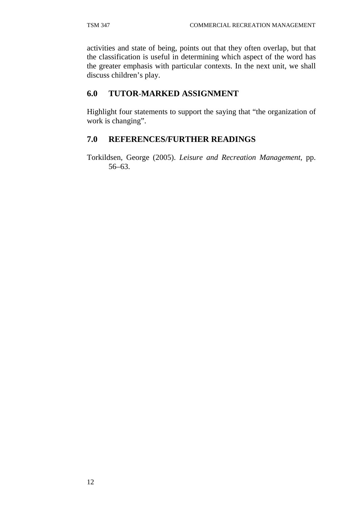activities and state of being, points out that they often overlap, but that the classification is useful in determining which aspect of the word has the greater emphasis with particular contexts. In the next unit, we shall discuss children's play.

# **6.0 TUTOR**-**MARKED ASSIGNMENT**

Highlight four statements to support the saying that "the organization of work is changing".

# **7.0 REFERENCES/FURTHER READINGS**

Torkildsen, George (2005). *Leisure and Recreation Management*, pp. 56–63.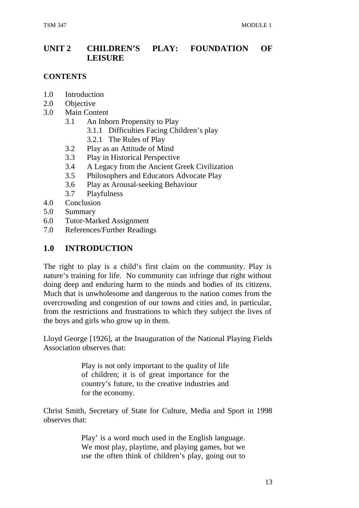# **UNIT 2 CHILDREN'S PLAY: FOUNDATION OF LEISURE**

#### **CONTENTS**

- 1.0 Introduction
- 2.0 Objective
- 3.0 Main Content
	- 3.1 An Inborn Propensity to Play
		- 3.1.1 Difficulties Facing Children's play
		- 3.2.1 The Rules of Play
	- 3.2 Play as an Attitude of Mind
	- 3.3 Play in Historical Perspective
	- 3.4 A Legacy from the Ancient Greek Civilization
	- 3.5 Philosophers and Educators Advocate Play
	- 3.6 Play as Arousal-seeking Behaviour
	- 3.7 Playfulness
- 4.0 Conclusion
- 5.0 Summary
- 6.0 Tutor-Marked Assignment
- 7.0 References/Further Readings

#### **1.0 INTRODUCTION**

The right to play is a child's first claim on the community. Play is nature's training for life. No community can infringe that right without doing deep and enduring harm to the minds and bodies of its citizens. Much that is unwholesome and dangerous to the nation comes from the overcrowding and congestion of our towns and cities and, in particular, from the restrictions and frustrations to which they subject the lives of the boys and girls who grow up in them.

Lloyd George [1926], at the Inauguration of the National Playing Fields Association observes that:

> Play is not only important to the quality of life of children; it is of great importance for the country's future, to the creative industries and for the economy.

Christ Smith, Secretary of State for Culture, Media and Sport in 1998 observes that:

> Play' is a word much used in the English language. We most play, playtime, and playing games, but we use the often think of children's play, going out to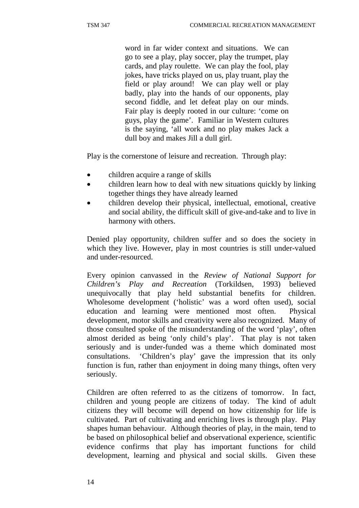word in far wider context and situations. We can go to see a play, play soccer, play the trumpet, play cards, and play roulette. We can play the fool, play jokes, have tricks played on us, play truant, play the field or play around! We can play well or play badly, play into the hands of our opponents, play second fiddle, and let defeat play on our minds. Fair play is deeply rooted in our culture: 'come on guys, play the game'. Familiar in Western cultures is the saying, 'all work and no play makes Jack a dull boy and makes Jill a dull girl.

Play is the cornerstone of leisure and recreation. Through play:

- children acquire a range of skills
- children learn how to deal with new situations quickly by linking together things they have already learned
- children develop their physical, intellectual, emotional, creative and social ability, the difficult skill of give-and-take and to live in harmony with others.

Denied play opportunity, children suffer and so does the society in which they live. However, play in most countries is still under-valued and under-resourced.

Every opinion canvassed in the *Review of National Support for Children's Play and Recreation* (Torkildsen, 1993) believed unequivocally that play held substantial benefits for children. Wholesome development ('holistic' was a word often used), social education and learning were mentioned most often. Physical development, motor skills and creativity were also recognized. Many of those consulted spoke of the misunderstanding of the word 'play', often almost derided as being 'only child's play'. That play is not taken seriously and is under-funded was a theme which dominated most consultations. 'Children's play' gave the impression that its only function is fun, rather than enjoyment in doing many things, often very seriously.

Children are often referred to as the citizens of tomorrow. In fact, children and young people are citizens of today. The kind of adult citizens they will become will depend on how citizenship for life is cultivated. Part of cultivating and enriching lives is through play. Play shapes human behaviour. Although theories of play, in the main, tend to be based on philosophical belief and observational experience, scientific evidence confirms that play has important functions for child development, learning and physical and social skills. Given these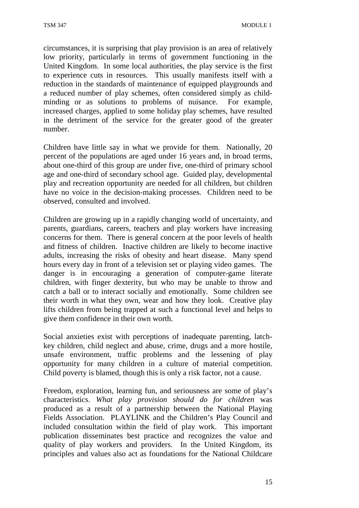circumstances, it is surprising that play provision is an area of relatively low priority, particularly in terms of government functioning in the United Kingdom. In some local authorities, the play service is the first to experience cuts in resources. This usually manifests itself with a reduction in the standards of maintenance of equipped playgrounds and a reduced number of play schemes, often considered simply as childminding or as solutions to problems of nuisance. For example, increased charges, applied to some holiday play schemes, have resulted in the detriment of the service for the greater good of the greater number.

Children have little say in what we provide for them. Nationally, 20 percent of the populations are aged under 16 years and, in broad terms, about one-third of this group are under five, one-third of primary school age and one-third of secondary school age. Guided play, developmental play and recreation opportunity are needed for all children, but children have no voice in the decision-making processes. Children need to be observed, consulted and involved.

Children are growing up in a rapidly changing world of uncertainty, and parents, guardians, careers, teachers and play workers have increasing concerns for them. There is general concern at the poor levels of health and fitness of children. Inactive children are likely to become inactive adults, increasing the risks of obesity and heart disease. Many spend hours every day in front of a television set or playing video games. The danger is in encouraging a generation of computer-game literate children, with finger dexterity, but who may be unable to throw and catch a ball or to interact socially and emotionally. Some children see their worth in what they own, wear and how they look. Creative play lifts children from being trapped at such a functional level and helps to give them confidence in their own worth.

Social anxieties exist with perceptions of inadequate parenting, latchkey children, child neglect and abuse, crime, drugs and a more hostile, unsafe environment, traffic problems and the lessening of play opportunity for many children in a culture of material competition. Child poverty is blamed, though this is only a risk factor, not a cause.

Freedom, exploration, learning fun, and seriousness are some of play's characteristics. *What play provision should do for children* was produced as a result of a partnership between the National Playing Fields Association. PLAYLINK and the Children's Play Council and included consultation within the field of play work. This important publication disseminates best practice and recognizes the value and quality of play workers and providers. In the United Kingdom, its principles and values also act as foundations for the National Childcare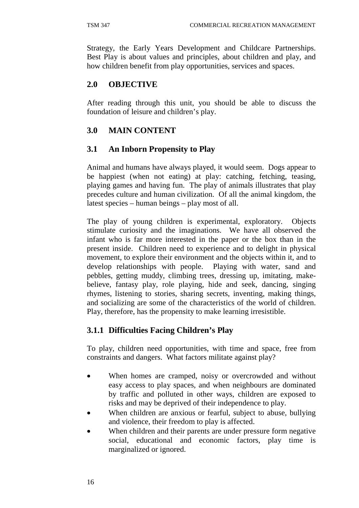Strategy, the Early Years Development and Childcare Partnerships. Best Play is about values and principles, about children and play, and how children benefit from play opportunities, services and spaces.

# **2.0 OBJECTIVE**

After reading through this unit, you should be able to discuss the foundation of leisure and children's play.

# **3.0 MAIN CONTENT**

# **3.1 An Inborn Propensity to Play**

Animal and humans have always played, it would seem. Dogs appear to be happiest (when not eating) at play: catching, fetching, teasing, playing games and having fun. The play of animals illustrates that play precedes culture and human civilization. Of all the animal kingdom, the latest species – human beings – play most of all.

The play of young children is experimental, exploratory. Objects stimulate curiosity and the imaginations. We have all observed the infant who is far more interested in the paper or the box than in the present inside. Children need to experience and to delight in physical movement, to explore their environment and the objects within it, and to develop relationships with people. Playing with water, sand and pebbles, getting muddy, climbing trees, dressing up, imitating, makebelieve, fantasy play, role playing, hide and seek, dancing, singing rhymes, listening to stories, sharing secrets, inventing, making things, and socializing are some of the characteristics of the world of children. Play, therefore, has the propensity to make learning irresistible.

# **3.1.1 Difficulties Facing Children's Play**

To play, children need opportunities, with time and space, free from constraints and dangers. What factors militate against play?

- When homes are cramped, noisy or overcrowded and without easy access to play spaces, and when neighbours are dominated by traffic and polluted in other ways, children are exposed to risks and may be deprived of their independence to play.
- When children are anxious or fearful, subject to abuse, bullying and violence, their freedom to play is affected.
- When children and their parents are under pressure form negative social, educational and economic factors, play time is marginalized or ignored.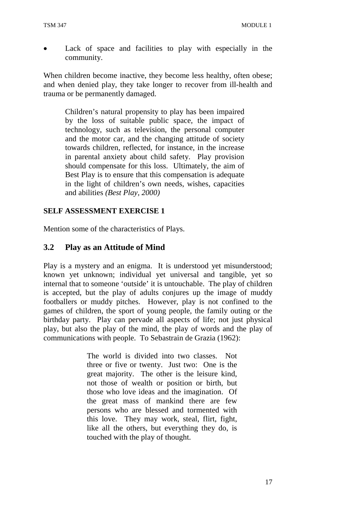Lack of space and facilities to play with especially in the community.

When children become inactive, they become less healthy, often obese; and when denied play, they take longer to recover from ill-health and trauma or be permanently damaged.

 Children's natural propensity to play has been impaired by the loss of suitable public space, the impact of technology, such as television, the personal computer and the motor car, and the changing attitude of society towards children, reflected, for instance, in the increase in parental anxiety about child safety. Play provision should compensate for this loss. Ultimately, the aim of Best Play is to ensure that this compensation is adequate in the light of children's own needs, wishes, capacities and abilities *(Best Play, 2000)*

# **SELF ASSESSMENT EXERCISE 1**

Mention some of the characteristics of Plays.

# **3.2 Play as an Attitude of Mind**

Play is a mystery and an enigma. It is understood yet misunderstood; known yet unknown; individual yet universal and tangible, yet so internal that to someone 'outside' it is untouchable. The play of children is accepted, but the play of adults conjures up the image of muddy footballers or muddy pitches. However, play is not confined to the games of children, the sport of young people, the family outing or the birthday party. Play can pervade all aspects of life; not just physical play, but also the play of the mind, the play of words and the play of communications with people. To Sebastrain de Grazia (1962):

> The world is divided into two classes. Not three or five or twenty. Just two: One is the great majority. The other is the leisure kind, not those of wealth or position or birth, but those who love ideas and the imagination. Of the great mass of mankind there are few persons who are blessed and tormented with this love. They may work, steal, flirt, fight, like all the others, but everything they do, is touched with the play of thought.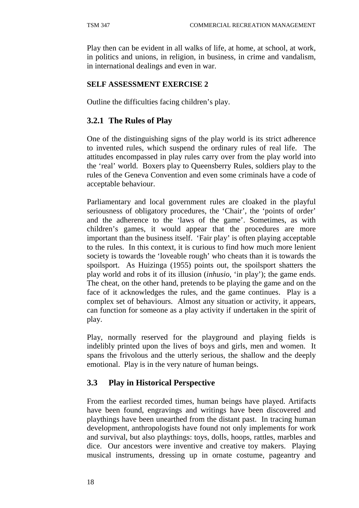Play then can be evident in all walks of life, at home, at school, at work, in politics and unions, in religion, in business, in crime and vandalism, in international dealings and even in war.

#### **SELF ASSESSMENT EXERCISE 2**

Outline the difficulties facing children's play.

# **3.2.1 The Rules of Play**

One of the distinguishing signs of the play world is its strict adherence to invented rules, which suspend the ordinary rules of real life. The attitudes encompassed in play rules carry over from the play world into the 'real' world. Boxers play to Queensberry Rules, soldiers play to the rules of the Geneva Convention and even some criminals have a code of acceptable behaviour.

Parliamentary and local government rules are cloaked in the playful seriousness of obligatory procedures, the 'Chair', the 'points of order' and the adherence to the 'laws of the game'. Sometimes, as with children's games, it would appear that the procedures are more important than the business itself. 'Fair play' is often playing acceptable to the rules. In this context, it is curious to find how much more lenient society is towards the 'loveable rough' who cheats than it is towards the spoilsport. As Huizinga (1955) points out, the spoilsport shatters the play world and robs it of its illusion (*inhusio*, 'in play'); the game ends. The cheat, on the other hand, pretends to be playing the game and on the face of it acknowledges the rules, and the game continues. Play is a complex set of behaviours. Almost any situation or activity, it appears, can function for someone as a play activity if undertaken in the spirit of play.

Play, normally reserved for the playground and playing fields is indelibly printed upon the lives of boys and girls, men and women. It spans the frivolous and the utterly serious, the shallow and the deeply emotional. Play is in the very nature of human beings.

# **3.3 Play in Historical Perspective**

From the earliest recorded times, human beings have played. Artifacts have been found, engravings and writings have been discovered and playthings have been unearthed from the distant past. In tracing human development, anthropologists have found not only implements for work and survival, but also playthings: toys, dolls, hoops, rattles, marbles and dice. Our ancestors were inventive and creative toy makers. Playing musical instruments, dressing up in ornate costume, pageantry and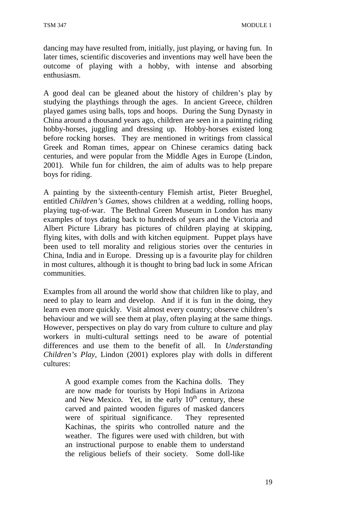dancing may have resulted from, initially, just playing, or having fun. In later times, scientific discoveries and inventions may well have been the outcome of playing with a hobby, with intense and absorbing enthusiasm.

A good deal can be gleaned about the history of children's play by studying the playthings through the ages. In ancient Greece, children played games using balls, tops and hoops. During the Sung Dynasty in China around a thousand years ago, children are seen in a painting riding hobby-horses, juggling and dressing up. Hobby-horses existed long before rocking horses. They are mentioned in writings from classical Greek and Roman times, appear on Chinese ceramics dating back centuries, and were popular from the Middle Ages in Europe (Lindon, 2001). While fun for children, the aim of adults was to help prepare boys for riding.

A painting by the sixteenth-century Flemish artist, Pieter Brueghel, entitled *Children's Games*, shows children at a wedding, rolling hoops, playing tug-of-war. The Bethnal Green Museum in London has many examples of toys dating back to hundreds of years and the Victoria and Albert Picture Library has pictures of children playing at skipping, flying kites, with dolls and with kitchen equipment. Puppet plays have been used to tell morality and religious stories over the centuries in China, India and in Europe. Dressing up is a favourite play for children in most cultures, although it is thought to bring bad luck in some African communities.

Examples from all around the world show that children like to play, and need to play to learn and develop. And if it is fun in the doing, they learn even more quickly. Visit almost every country; observe children's behaviour and we will see them at play, often playing at the same things. However, perspectives on play do vary from culture to culture and play workers in multi-cultural settings need to be aware of potential differences and use them to the benefit of all. In *Understanding Children's Play,* Lindon (2001) explores play with dolls in different cultures:

A good example comes from the Kachina dolls. They are now made for tourists by Hopi Indians in Arizona and New Mexico. Yet, in the early  $10^{th}$  century, these carved and painted wooden figures of masked dancers were of spiritual significance. They represented Kachinas, the spirits who controlled nature and the weather. The figures were used with children, but with an instructional purpose to enable them to understand the religious beliefs of their society. Some doll-like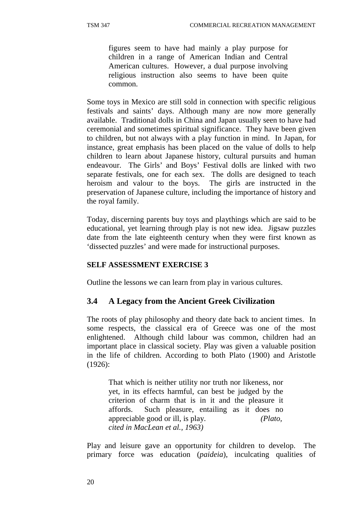figures seem to have had mainly a play purpose for children in a range of American Indian and Central American cultures. However, a dual purpose involving religious instruction also seems to have been quite common.

Some toys in Mexico are still sold in connection with specific religious festivals and saints' days. Although many are now more generally available. Traditional dolls in China and Japan usually seen to have had ceremonial and sometimes spiritual significance. They have been given to children, but not always with a play function in mind. In Japan, for instance, great emphasis has been placed on the value of dolls to help children to learn about Japanese history, cultural pursuits and human endeavour. The Girls' and Boys' Festival dolls are linked with two separate festivals, one for each sex. The dolls are designed to teach heroism and valour to the boys. The girls are instructed in the preservation of Japanese culture, including the importance of history and the royal family.

Today, discerning parents buy toys and playthings which are said to be educational, yet learning through play is not new idea. Jigsaw puzzles date from the late eighteenth century when they were first known as 'dissected puzzles' and were made for instructional purposes.

#### **SELF ASSESSMENT EXERCISE 3**

Outline the lessons we can learn from play in various cultures.

#### **3.4 A Legacy from the Ancient Greek Civilization**

The roots of play philosophy and theory date back to ancient times. In some respects, the classical era of Greece was one of the most enlightened. Although child labour was common, children had an important place in classical society. Play was given a valuable position in the life of children. According to both Plato (1900) and Aristotle (1926):

 That which is neither utility nor truth nor likeness, nor yet, in its effects harmful, can best be judged by the criterion of charm that is in it and the pleasure it affords. Such pleasure, entailing as it does no appreciable good or ill, is play. *(Plato, cited in MacLean et al., 1963)* 

Play and leisure gave an opportunity for children to develop. The primary force was education (*paideia*), inculcating qualities of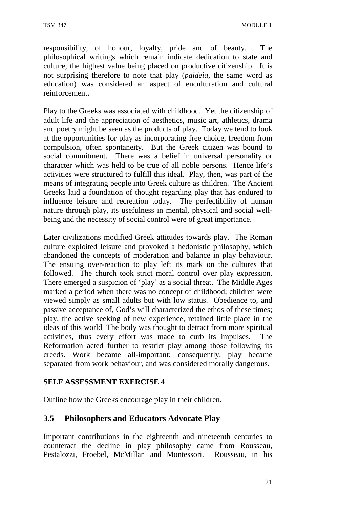responsibility, of honour, loyalty, pride and of beauty. The philosophical writings which remain indicate dedication to state and culture, the highest value being placed on productive citizenship. It is not surprising therefore to note that play (*paideia,* the same word as education) was considered an aspect of enculturation and cultural reinforcement.

Play to the Greeks was associated with childhood. Yet the citizenship of adult life and the appreciation of aesthetics, music art, athletics, drama and poetry might be seen as the products of play. Today we tend to look at the opportunities for play as incorporating free choice, freedom from compulsion, often spontaneity. But the Greek citizen was bound to social commitment. There was a belief in universal personality or character which was held to be true of all noble persons. Hence life's activities were structured to fulfill this ideal. Play, then, was part of the means of integrating people into Greek culture as children. The Ancient Greeks laid a foundation of thought regarding play that has endured to influence leisure and recreation today. The perfectibility of human nature through play, its usefulness in mental, physical and social wellbeing and the necessity of social control were of great importance.

Later civilizations modified Greek attitudes towards play. The Roman culture exploited leisure and provoked a hedonistic philosophy, which abandoned the concepts of moderation and balance in play behaviour. The ensuing over-reaction to play left its mark on the cultures that followed. The church took strict moral control over play expression. There emerged a suspicion of 'play' as a social threat. The Middle Ages marked a period when there was no concept of childhood; children were viewed simply as small adults but with low status. Obedience to, and passive acceptance of, God's will characterized the ethos of these times; play, the active seeking of new experience, retained little place in the ideas of this world The body was thought to detract from more spiritual activities, thus every effort was made to curb its impulses. Reformation acted further to restrict play among those following its creeds. Work became all-important; consequently, play became separated from work behaviour, and was considered morally dangerous.

#### **SELF ASSESSMENT EXERCISE 4**

Outline how the Greeks encourage play in their children.

# **3.5 Philosophers and Educators Advocate Play**

Important contributions in the eighteenth and nineteenth centuries to counteract the decline in play philosophy came from Rousseau, Pestalozzi, Froebel, McMillan and Montessori. Rousseau, in his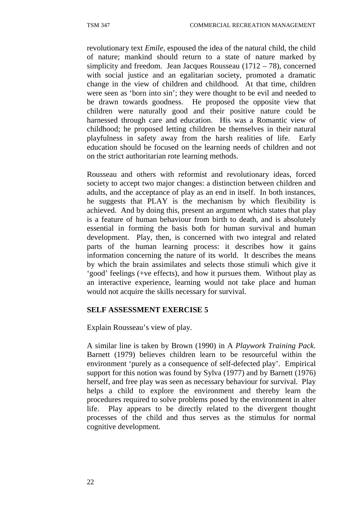revolutionary text *Emile,* espoused the idea of the natural child, the child of nature; mankind should return to a state of nature marked by simplicity and freedom. Jean Jacques Rousseau (1712 – 78), concerned with social justice and an egalitarian society, promoted a dramatic change in the view of children and childhood. At that time, children were seen as 'born into sin'; they were thought to be evil and needed to be drawn towards goodness. He proposed the opposite view that children were naturally good and their positive nature could be harnessed through care and education. His was a Romantic view of childhood; he proposed letting children be themselves in their natural playfulness in safety away from the harsh realities of life. Early education should be focused on the learning needs of children and not on the strict authoritarian rote learning methods.

Rousseau and others with reformist and revolutionary ideas, forced society to accept two major changes: a distinction between children and adults, and the acceptance of play as an end in itself. In both instances, he suggests that PLAY is the mechanism by which flexibility is achieved. And by doing this, present an argument which states that play is a feature of human behaviour from birth to death, and is absolutely essential in forming the basis both for human survival and human development. Play, then, is concerned with two integral and related parts of the human learning process: it describes how it gains information concerning the nature of its world. It describes the means by which the brain assimilates and selects those stimuli which give it 'good' feelings (+ve effects), and how it pursues them. Without play as an interactive experience, learning would not take place and human would not acquire the skills necessary for survival.

#### **SELF ASSESSMENT EXERCISE 5**

Explain Rousseau's view of play.

A similar line is taken by Brown (1990) in A *Playwork Training Pack.* Barnett (1979) believes children learn to be resourceful within the environment 'purely as a consequence of self-defected play'. Empirical support for this notion was found by Sylva (1977) and by Barnett (1976) herself, and free play was seen as necessary behaviour for survival. Play helps a child to explore the environment and thereby learn the procedures required to solve problems posed by the environment in alter life. Play appears to be directly related to the divergent thought processes of the child and thus serves as the stimulus for normal cognitive development.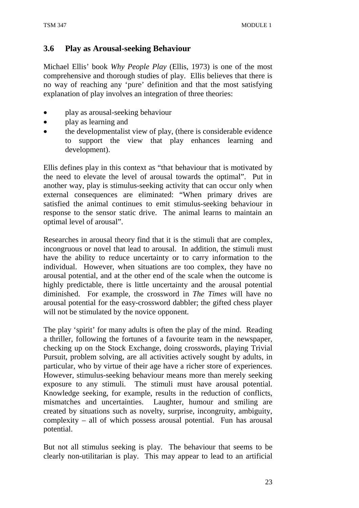# **3.6 Play as Arousal-seeking Behaviour**

Michael Ellis' book *Why People Play* (Ellis, 1973) is one of the most comprehensive and thorough studies of play. Ellis believes that there is no way of reaching any 'pure' definition and that the most satisfying explanation of play involves an integration of three theories:

- play as arousal-seeking behaviour
- play as learning and
- the developmentalist view of play, (there is considerable evidence to support the view that play enhances learning and development).

Ellis defines play in this context as "that behaviour that is motivated by the need to elevate the level of arousal towards the optimal". Put in another way, play is stimulus-seeking activity that can occur only when external consequences are eliminated: "When primary drives are satisfied the animal continues to emit stimulus-seeking behaviour in response to the sensor static drive. The animal learns to maintain an optimal level of arousal".

Researches in arousal theory find that it is the stimuli that are complex, incongruous or novel that lead to arousal. In addition, the stimuli must have the ability to reduce uncertainty or to carry information to the individual. However, when situations are too complex, they have no arousal potential, and at the other end of the scale when the outcome is highly predictable, there is little uncertainty and the arousal potential diminished. For example, the crossword in *The Times* will have no arousal potential for the easy-crossword dabbler; the gifted chess player will not be stimulated by the novice opponent.

The play 'spirit' for many adults is often the play of the mind. Reading a thriller, following the fortunes of a favourite team in the newspaper, checking up on the Stock Exchange, doing crosswords, playing Trivial Pursuit, problem solving, are all activities actively sought by adults, in particular, who by virtue of their age have a richer store of experiences. However, stimulus-seeking behaviour means more than merely seeking exposure to any stimuli. The stimuli must have arousal potential. Knowledge seeking, for example, results in the reduction of conflicts, mismatches and uncertainties. Laughter, humour and smiling are created by situations such as novelty, surprise, incongruity, ambiguity, complexity – all of which possess arousal potential. Fun has arousal potential.

But not all stimulus seeking is play. The behaviour that seems to be clearly non-utilitarian is play. This may appear to lead to an artificial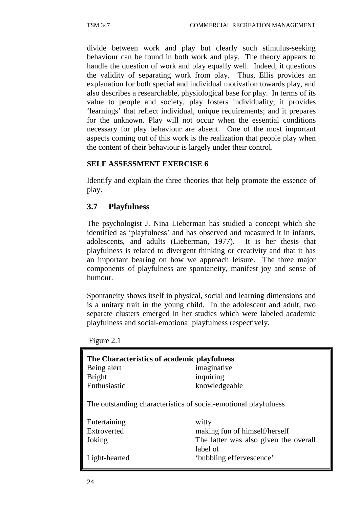divide between work and play but clearly such stimulus-seeking behaviour can be found in both work and play. The theory appears to handle the question of work and play equally well. Indeed, it questions the validity of separating work from play. Thus, Ellis provides an explanation for both special and individual motivation towards play, and also describes a researchable, physiological base for play. In terms of its value to people and society, play fosters individuality; it provides 'learnings' that reflect individual, unique requirements; and it prepares for the unknown. Play will not occur when the essential conditions necessary for play behaviour are absent. One of the most important aspects coming out of this work is the realization that people play when the content of their behaviour is largely under their control.

#### **SELF ASSESSMENT EXERCISE 6**

Identify and explain the three theories that help promote the essence of play.

# **3.7 Playfulness**

The psychologist J. Nina Lieberman has studied a concept which she identified as 'playfulness' and has observed and measured it in infants, adolescents, and adults (Lieberman, 1977). It is her thesis that playfulness is related to divergent thinking or creativity and that it has an important bearing on how we approach leisure. The three major components of playfulness are spontaneity, manifest joy and sense of humour.

Spontaneity shows itself in physical, social and learning dimensions and is a unitary trait in the young child. In the adolescent and adult, two separate clusters emerged in her studies which were labeled academic playfulness and social-emotional playfulness respectively.

| The Characteristics of academic playfulness                                              |                                       |  |  |
|------------------------------------------------------------------------------------------|---------------------------------------|--|--|
| Being alert                                                                              | imaginative                           |  |  |
| <b>Bright</b>                                                                            | inquiring                             |  |  |
| Enthusiastic                                                                             | knowledgeable                         |  |  |
| The outstanding characteristics of social-emotional playfulness<br>Entertaining<br>witty |                                       |  |  |
| Extroverted                                                                              | making fun of himself/herself         |  |  |
| Joking                                                                                   | The latter was also given the overall |  |  |
| Light-hearted                                                                            | label of<br>'bubbling effervescence'  |  |  |

Figure 2.1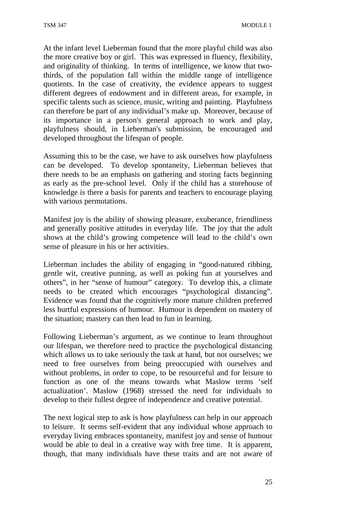At the infant level Lieberman found that the more playful child was also the more creative boy or girl. This was expressed in fluency, flexibility, and originality of thinking. In terms of intelligence, we know that twothirds, of the population fall within the middle range of intelligence quotients. In the case of creativity, the evidence appears to suggest different degrees of endowment and in different areas, for example, in specific talents such as science, music, writing and painting. Playfulness can therefore be part of any individual's make up. Moreover, because of its importance in a person's general approach to work and play, playfulness should, in Lieberman's submission, be encouraged and developed throughout the lifespan of people.

Assuming this to be the case, we have to ask ourselves how playfulness can be developed. To develop spontaneity, Lieberman believes that there needs to be an emphasis on gathering and storing facts beginning as early as the pre-school level. Only if the child has a storehouse of knowledge is there a basis for parents and teachers to encourage playing with various permutations.

Manifest joy is the ability of showing pleasure, exuberance, friendliness and generally positive attitudes in everyday life. The joy that the adult shows at the child's growing competence will lead to the child's own sense of pleasure in his or her activities.

Lieberman includes the ability of engaging in "good-natured ribbing, gentle wit, creative punning, as well as poking fun at yourselves and others", in her "sense of humour" category. To develop this, a climate needs to be created which encourages "psychological distancing". Evidence was found that the cognitively more mature children preferred less hurtful expressions of humour. Humour is dependent on mastery of the situation; mastery can then lead to fun in learning.

Following Lieberman's argument, as we continue to learn throughout our lifespan, we therefore need to practice the psychological distancing which allows us to take seriously the task at hand, but not ourselves; we need to free ourselves from being preoccupied with ourselves and without problems, in order to cope, to be resourceful and for leisure to function as one of the means towards what Maslow terms 'self actualization'. Maslow (1968) stressed the need for individuals to develop to their fullest degree of independence and creative potential.

The next logical step to ask is how playfulness can help in our approach to leisure. It seems self-evident that any individual whose approach to everyday living embraces spontaneity, manifest joy and sense of humour would be able to deal in a creative way with free time. It is apparent, though, that many individuals have these traits and are not aware of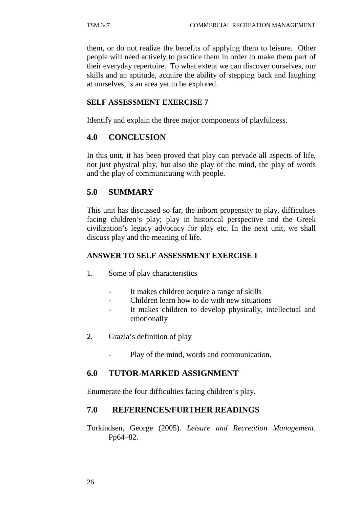them, or do not realize the benefits of applying them to leisure. Other people will need actively to practice them in order to make them part of their everyday repertoire. To what extent we can discover ourselves, our skills and an aptitude, acquire the ability of stepping back and laughing at ourselves, is an area yet to be explored.

#### **SELF ASSESSMENT EXERCISE 7**

Identify and explain the three major components of playfulness.

#### **4.0 CONCLUSION**

In this unit, it has been proved that play can pervade all aspects of life, not just physical play, but also the play of the mind, the play of words and the play of communicating with people.

#### **5.0 SUMMARY**

This unit has discussed so far, the inborn propensity to play, difficulties facing children's play; play in historical perspective and the Greek civilization's legacy advocacy for play etc. In the next unit, we shall discuss play and the meaning of life.

#### **ANSWER TO SELF ASSESSMENT EXERCISE 1**

- 1. Some of play characteristics
	- It makes children acquire a range of skills
	- Children learn how to do with new situations
	- It makes children to develop physically, intellectual and emotionally
- 2. Grazia's definition of play
	- Play of the mind, words and communication.

# **6.0 TUTOR-MARKED ASSIGNMENT**

Enumerate the four difficulties facing children's play.

#### **7.0 REFERENCES/FURTHER READINGS**

Torkindsen, George (2005). *Leisure and Recreation Management*. Pp64–82.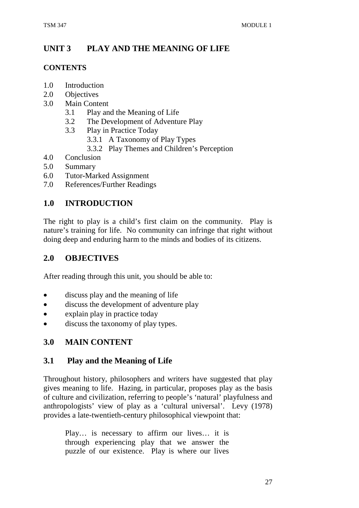# **UNIT 3 PLAY AND THE MEANING OF LIFE**

#### **CONTENTS**

- 1.0 Introduction
- 2.0 Objectives
- 3.0 Main Content
	- 3.1 Play and the Meaning of Life
	- 3.2 The Development of Adventure Play
	- 3.3 Play in Practice Today
		- 3.3.1 A Taxonomy of Play Types
		- 3.3.2 Play Themes and Children's Perception
- 4.0 Conclusion
- 5.0 Summary
- 6.0 Tutor**-**Marked Assignment
- 7.0 References/Further Readings

# **1.0 INTRODUCTION**

The right to play is a child's first claim on the community. Play is nature's training for life. No community can infringe that right without doing deep and enduring harm to the minds and bodies of its citizens.

# **2.0 OBJECTIVES**

After reading through this unit, you should be able to:

- discuss play and the meaning of life
- discuss the development of adventure play
- explain play in practice today
- discuss the taxonomy of play types.

# **3.0 MAIN CONTENT**

# **3.1 Play and the Meaning of Life**

Throughout history, philosophers and writers have suggested that play gives meaning to life. Hazing, in particular, proposes play as the basis of culture and civilization, referring to people's 'natural' playfulness and anthropologists' view of play as a 'cultural universal'. Levy (1978) provides a late-twentieth-century philosophical viewpoint that:

Play… is necessary to affirm our lives… it is through experiencing play that we answer the puzzle of our existence. Play is where our lives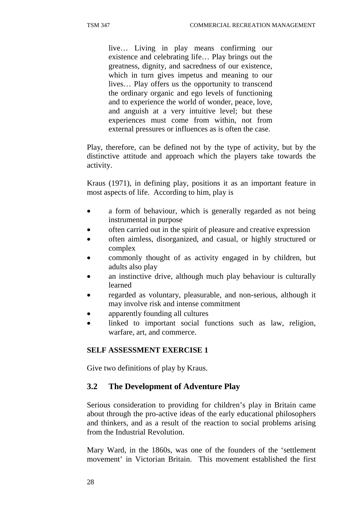live… Living in play means confirming our existence and celebrating life… Play brings out the greatness, dignity, and sacredness of our existence, which in turn gives impetus and meaning to our lives… Play offers us the opportunity to transcend the ordinary organic and ego levels of functioning and to experience the world of wonder, peace, love, and anguish at a very intuitive level; but these experiences must come from within, not from external pressures or influences as is often the case.

Play, therefore, can be defined not by the type of activity, but by the distinctive attitude and approach which the players take towards the activity.

Kraus (1971), in defining play, positions it as an important feature in most aspects of life. According to him, play is

- a form of behaviour, which is generally regarded as not being instrumental in purpose
- often carried out in the spirit of pleasure and creative expression
- often aimless, disorganized, and casual, or highly structured or complex
- commonly thought of as activity engaged in by children, but adults also play
- an instinctive drive, although much play behaviour is culturally learned
- regarded as voluntary, pleasurable, and non-serious, although it may involve risk and intense commitment
- apparently founding all cultures
- linked to important social functions such as law, religion, warfare, art, and commerce.

#### **SELF ASSESSMENT EXERCISE 1**

Give two definitions of play by Kraus.

#### **3.2 The Development of Adventure Play**

Serious consideration to providing for children's play in Britain came about through the pro-active ideas of the early educational philosophers and thinkers, and as a result of the reaction to social problems arising from the Industrial Revolution.

Mary Ward, in the 1860s, was one of the founders of the 'settlement movement' in Victorian Britain. This movement established the first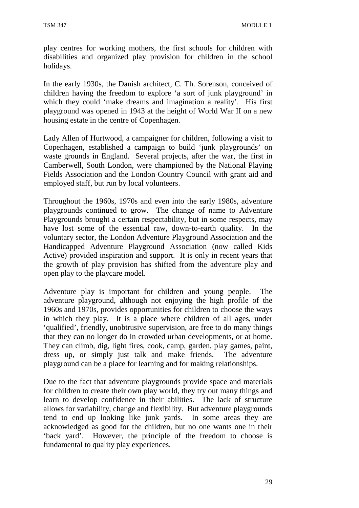play centres for working mothers, the first schools for children with disabilities and organized play provision for children in the school holidays.

In the early 1930s, the Danish architect, C. Th. Sorenson, conceived of children having the freedom to explore 'a sort of junk playground' in which they could 'make dreams and imagination a reality'. His first playground was opened in 1943 at the height of World War II on a new housing estate in the centre of Copenhagen.

Lady Allen of Hurtwood, a campaigner for children, following a visit to Copenhagen, established a campaign to build 'junk playgrounds' on waste grounds in England. Several projects, after the war, the first in Camberwell, South London, were championed by the National Playing Fields Association and the London Country Council with grant aid and employed staff, but run by local volunteers.

Throughout the 1960s, 1970s and even into the early 1980s, adventure playgrounds continued to grow. The change of name to Adventure Playgrounds brought a certain respectability, but in some respects, may have lost some of the essential raw, down-to-earth quality. In the voluntary sector, the London Adventure Playground Association and the Handicapped Adventure Playground Association (now called Kids Active) provided inspiration and support. It is only in recent years that the growth of play provision has shifted from the adventure play and open play to the playcare model.

Adventure play is important for children and young people. The adventure playground, although not enjoying the high profile of the 1960s and 1970s, provides opportunities for children to choose the ways in which they play. It is a place where children of all ages, under 'qualified', friendly, unobtrusive supervision, are free to do many things that they can no longer do in crowded urban developments, or at home. They can climb, dig, light fires, cook, camp, garden, play games, paint, dress up, or simply just talk and make friends. The adventure playground can be a place for learning and for making relationships.

Due to the fact that adventure playgrounds provide space and materials for children to create their own play world, they try out many things and learn to develop confidence in their abilities. The lack of structure allows for variability, change and flexibility. But adventure playgrounds tend to end up looking like junk yards. In some areas they are acknowledged as good for the children, but no one wants one in their 'back yard'. However, the principle of the freedom to choose is fundamental to quality play experiences.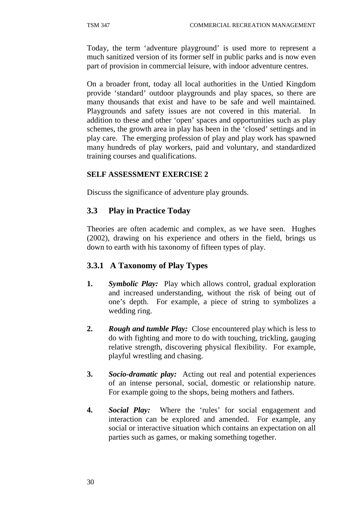Today, the term 'adventure playground' is used more to represent a much sanitized version of its former self in public parks and is now even part of provision in commercial leisure, with indoor adventure centres.

On a broader front, today all local authorities in the Untied Kingdom provide 'standard' outdoor playgrounds and play spaces, so there are many thousands that exist and have to be safe and well maintained. Playgrounds and safety issues are not covered in this material. In addition to these and other 'open' spaces and opportunities such as play schemes, the growth area in play has been in the 'closed' settings and in play care. The emerging profession of play and play work has spawned many hundreds of play workers, paid and voluntary, and standardized training courses and qualifications.

#### **SELF ASSESSMENT EXERCISE 2**

Discuss the significance of adventure play grounds.

### **3.3 Play in Practice Today**

Theories are often academic and complex, as we have seen. Hughes (2002), drawing on his experience and others in the field, brings us down to earth with his taxonomy of fifteen types of play.

## **3.3.1 A Taxonomy of Play Types**

- **1.** *Symbolic Play:* Play which allows control, gradual exploration and increased understanding, without the risk of being out of one's depth. For example, a piece of string to symbolizes a wedding ring.
- **2.** *Rough and tumble Play:* Close encountered play which is less to do with fighting and more to do with touching, trickling, gauging relative strength, discovering physical flexibility. For example, playful wrestling and chasing.
- **3.** *Socio-dramatic play:* Acting out real and potential experiences of an intense personal, social, domestic or relationship nature. For example going to the shops, being mothers and fathers.
- **4.** *Social Play:* Where the 'rules' for social engagement and interaction can be explored and amended. For example, any social or interactive situation which contains an expectation on all parties such as games, or making something together.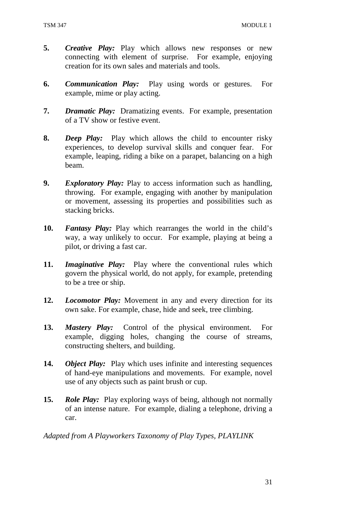- **5.** *Creative Play:* Play which allows new responses or new connecting with element of surprise. For example, enjoying creation for its own sales and materials and tools.
- **6.** *Communication Play:* Play using words or gestures. For example, mime or play acting.
- **7.** *Dramatic Play:* Dramatizing events. For example, presentation of a TV show or festive event.
- **8.** *Deep Play:* Play which allows the child to encounter risky experiences, to develop survival skills and conquer fear. For example, leaping, riding a bike on a parapet, balancing on a high beam.
- **9.** *Exploratory Play:* Play to access information such as handling, throwing. For example, engaging with another by manipulation or movement, assessing its properties and possibilities such as stacking bricks.
- **10.** *Fantasy Play:* Play which rearranges the world in the child's way, a way unlikely to occur. For example, playing at being a pilot, or driving a fast car.
- **11.** *Imaginative Play:* Play where the conventional rules which govern the physical world, do not apply, for example, pretending to be a tree or ship.
- **12.** *Locomotor Play:* Movement in any and every direction for its own sake. For example, chase, hide and seek, tree climbing.
- **13.** *Mastery Play:* Control of the physical environment. For example, digging holes, changing the course of streams, constructing shelters, and building.
- **14.** *Object Play:* Play which uses infinite and interesting sequences of hand-eye manipulations and movements. For example, novel use of any objects such as paint brush or cup.
- **15.** *Role Play:* Play exploring ways of being, although not normally of an intense nature. For example, dialing a telephone, driving a car.

*Adapted from A Playworkers Taxonomy of Play Types, PLAYLINK*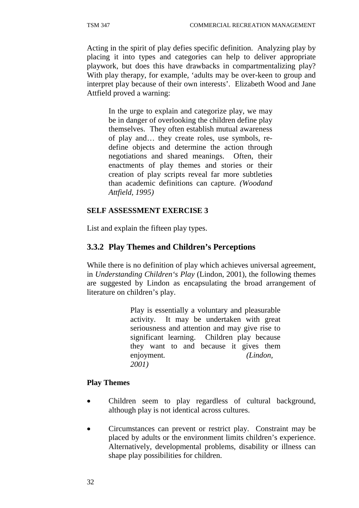Acting in the spirit of play defies specific definition. Analyzing play by placing it into types and categories can help to deliver appropriate playwork, but does this have drawbacks in compartmentalizing play? With play therapy, for example, 'adults may be over-keen to group and interpret play because of their own interests'. Elizabeth Wood and Jane Attfield proved a warning:

 In the urge to explain and categorize play, we may be in danger of overlooking the children define play themselves. They often establish mutual awareness of play and… they create roles, use symbols, redefine objects and determine the action through negotiations and shared meanings. Often, their enactments of play themes and stories or their creation of play scripts reveal far more subtleties than academic definitions can capture. *(Woodand Attfield, 1995)*

#### **SELF ASSESSMENT EXERCISE 3**

List and explain the fifteen play types.

# **3.3.2 Play Themes and Children's Perceptions**

While there is no definition of play which achieves universal agreement, in *Understanding Children's Play* (Lindon, 2001), the following themes are suggested by Lindon as encapsulating the broad arrangement of literature on children's play.

> Play is essentially a voluntary and pleasurable activity. It may be undertaken with great seriousness and attention and may give rise to significant learning. Children play because they want to and because it gives them enjoyment. (*Lindon, 2001)*

#### **Play Themes**

- Children seem to play regardless of cultural background, although play is not identical across cultures.
- Circumstances can prevent or restrict play. Constraint may be placed by adults or the environment limits children's experience. Alternatively, developmental problems, disability or illness can shape play possibilities for children.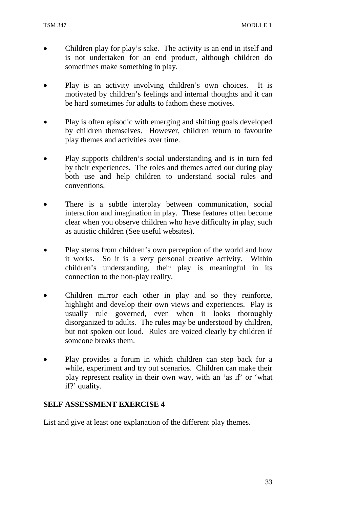- Children play for play's sake. The activity is an end in itself and is not undertaken for an end product, although children do sometimes make something in play.
- Play is an activity involving children's own choices. It is motivated by children's feelings and internal thoughts and it can be hard sometimes for adults to fathom these motives.
- Play is often episodic with emerging and shifting goals developed by children themselves. However, children return to favourite play themes and activities over time.
- Play supports children's social understanding and is in turn fed by their experiences. The roles and themes acted out during play both use and help children to understand social rules and conventions.
- There is a subtle interplay between communication, social interaction and imagination in play. These features often become clear when you observe children who have difficulty in play, such as autistic children (See useful websites).
- Play stems from children's own perception of the world and how it works. So it is a very personal creative activity. Within children's understanding, their play is meaningful in its connection to the non-play reality.
- Children mirror each other in play and so they reinforce, highlight and develop their own views and experiences. Play is usually rule governed, even when it looks thoroughly disorganized to adults. The rules may be understood by children, but not spoken out loud. Rules are voiced clearly by children if someone breaks them.
- Play provides a forum in which children can step back for a while, experiment and try out scenarios. Children can make their play represent reality in their own way, with an 'as if' or 'what if?' quality.

#### **SELF ASSESSMENT EXERCISE 4**

List and give at least one explanation of the different play themes.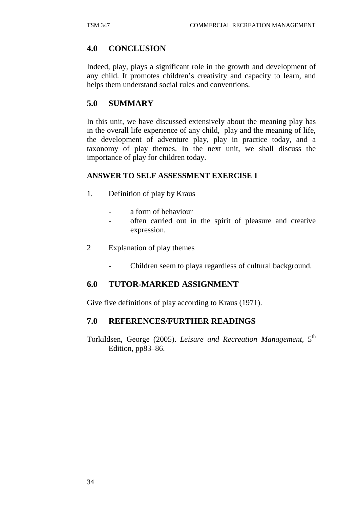### **4.0 CONCLUSION**

Indeed, play, plays a significant role in the growth and development of any child. It promotes children's creativity and capacity to learn, and helps them understand social rules and conventions.

### **5.0 SUMMARY**

In this unit, we have discussed extensively about the meaning play has in the overall life experience of any child, play and the meaning of life, the development of adventure play, play in practice today, and a taxonomy of play themes. In the next unit, we shall discuss the importance of play for children today.

#### **ANSWER TO SELF ASSESSMENT EXERCISE 1**

- 1. Definition of play by Kraus
	- a form of behaviour
	- often carried out in the spirit of pleasure and creative expression.
- 2 Explanation of play themes
	- Children seem to playa regardless of cultural background.

#### **6.0 TUTOR-MARKED ASSIGNMENT**

Give five definitions of play according to Kraus (1971).

## **7.0 REFERENCES/FURTHER READINGS**

Torkildsen, George (2005). *Leisure and Recreation Management,* 5th Edition, pp83–86.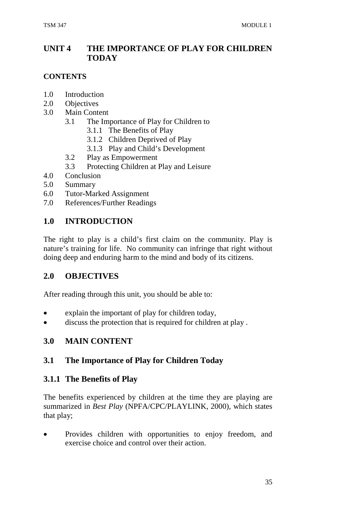# **UNIT 4 THE IMPORTANCE OF PLAY FOR CHILDREN TODAY**

### **CONTENTS**

- 1.0 Introduction
- 2.0 Objectives
- 3.0 Main Content
	- 3.1 The Importance of Play for Children to
		- 3.1.1 The Benefits of Play
		- 3.1.2 Children Deprived of Play
		- 3.1.3 Play and Child's Development
	- 3.2 Play as Empowerment
	- 3.3 Protecting Children at Play and Leisure
- 4.0 Conclusion
- 5.0 Summary
- 6.0 Tutor**-**Marked Assignment
- 7.0 References/Further Readings

# **1.0 INTRODUCTION**

The right to play is a child's first claim on the community. Play is nature's training for life. No community can infringe that right without doing deep and enduring harm to the mind and body of its citizens.

## **2.0 OBJECTIVES**

After reading through this unit, you should be able to:

- explain the important of play for children today,
- discuss the protection that is required for children at play .

## **3.0 MAIN CONTENT**

## **3.1 The Importance of Play for Children Today**

## **3.1.1 The Benefits of Play**

The benefits experienced by children at the time they are playing are summarized in *Best Play* (NPFA/CPC/PLAYLINK, 2000), which states that play;

• Provides children with opportunities to enjoy freedom, and exercise choice and control over their action.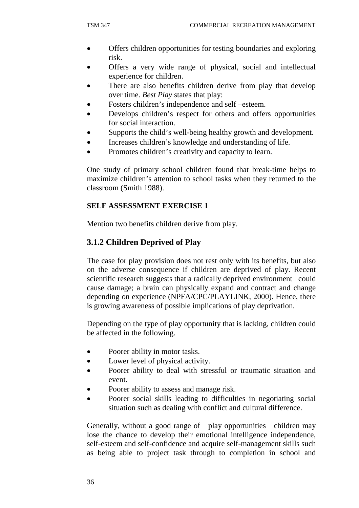- Offers children opportunities for testing boundaries and exploring risk.
- Offers a very wide range of physical, social and intellectual experience for children.
- There are also benefits children derive from play that develop over time. *Best Play* states that play:
- Fosters children's independence and self –esteem.
- Develops children's respect for others and offers opportunities for social interaction.
- Supports the child's well-being healthy growth and development.
- Increases children's knowledge and understanding of life.
- Promotes children's creativity and capacity to learn.

One study of primary school children found that break-time helps to maximize children's attention to school tasks when they returned to the classroom (Smith 1988).

### **SELF ASSESSMENT EXERCISE 1**

Mention two benefits children derive from play.

# **3.1.2 Children Deprived of Play**

The case for play provision does not rest only with its benefits, but also on the adverse consequence if children are deprived of play. Recent scientific research suggests that a radically deprived environment could cause damage; a brain can physically expand and contract and change depending on experience (NPFA/CPC/PLAYLINK, 2000). Hence, there is growing awareness of possible implications of play deprivation.

Depending on the type of play opportunity that is lacking, children could be affected in the following.

- Poorer ability in motor tasks.
- Lower level of physical activity.
- Poorer ability to deal with stressful or traumatic situation and event.
- Poorer ability to assess and manage risk.
- Poorer social skills leading to difficulties in negotiating social situation such as dealing with conflict and cultural difference.

Generally, without a good range of play opportunities children may lose the chance to develop their emotional intelligence independence, self-esteem and self-confidence and acquire self-management skills such as being able to project task through to completion in school and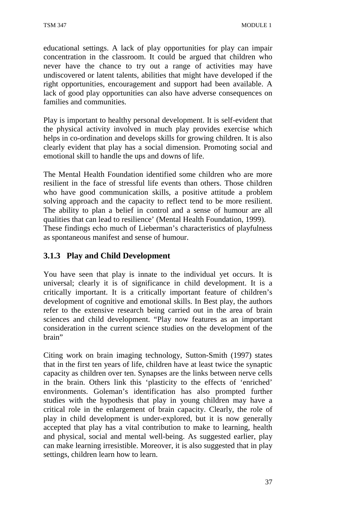educational settings. A lack of play opportunities for play can impair concentration in the classroom. It could be argued that children who never have the chance to try out a range of activities may have undiscovered or latent talents, abilities that might have developed if the right opportunities, encouragement and support had been available. A lack of good play opportunities can also have adverse consequences on families and communities.

Play is important to healthy personal development. It is self-evident that the physical activity involved in much play provides exercise which helps in co-ordination and develops skills for growing children. It is also clearly evident that play has a social dimension. Promoting social and emotional skill to handle the ups and downs of life.

The Mental Health Foundation identified some children who are more resilient in the face of stressful life events than others. Those children who have good communication skills, a positive attitude a problem solving approach and the capacity to reflect tend to be more resilient. The ability to plan a belief in control and a sense of humour are all qualities that can lead to resilience' (Mental Health Foundation, 1999). These findings echo much of Lieberman's characteristics of playfulness as spontaneous manifest and sense of humour.

## **3.1.3 Play and Child Development**

You have seen that play is innate to the individual yet occurs. It is universal; clearly it is of significance in child development. It is a critically important. It is a critically important feature of children's development of cognitive and emotional skills. In Best play, the authors refer to the extensive research being carried out in the area of brain sciences and child development. "Play now features as an important consideration in the current science studies on the development of the brain"

Citing work on brain imaging technology, Sutton-Smith (1997) states that in the first ten years of life, children have at least twice the synaptic capacity as children over ten. Synapses are the links between nerve cells in the brain. Others link this 'plasticity to the effects of 'enriched' environments. Goleman's identification has also prompted further studies with the hypothesis that play in young children may have a critical role in the enlargement of brain capacity. Clearly, the role of play in child development is under-explored, but it is now generally accepted that play has a vital contribution to make to learning, health and physical, social and mental well-being. As suggested earlier, play can make learning irresistible. Moreover, it is also suggested that in play settings, children learn how to learn.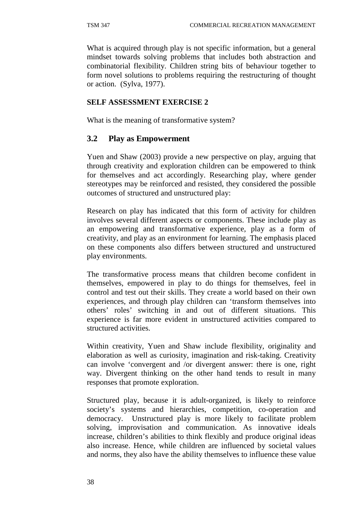What is acquired through play is not specific information, but a general mindset towards solving problems that includes both abstraction and combinatorial flexibility. Children string bits of behaviour together to form novel solutions to problems requiring the restructuring of thought or action. (Sylva, 1977).

#### **SELF ASSESSMENT EXERCISE 2**

What is the meaning of transformative system?

#### **3.2 Play as Empowerment**

Yuen and Shaw (2003) provide a new perspective on play, arguing that through creativity and exploration children can be empowered to think for themselves and act accordingly. Researching play, where gender stereotypes may be reinforced and resisted, they considered the possible outcomes of structured and unstructured play:

Research on play has indicated that this form of activity for children involves several different aspects or components. These include play as an empowering and transformative experience, play as a form of creativity, and play as an environment for learning. The emphasis placed on these components also differs between structured and unstructured play environments.

The transformative process means that children become confident in themselves, empowered in play to do things for themselves, feel in control and test out their skills. They create a world based on their own experiences, and through play children can 'transform themselves into others' roles' switching in and out of different situations. This experience is far more evident in unstructured activities compared to structured activities.

Within creativity, Yuen and Shaw include flexibility, originality and elaboration as well as curiosity, imagination and risk-taking. Creativity can involve 'convergent and /or divergent answer: there is one, right way. Divergent thinking on the other hand tends to result in many responses that promote exploration.

Structured play, because it is adult-organized, is likely to reinforce society's systems and hierarchies, competition, co-operation and democracy. Unstructured play is more likely to facilitate problem solving, improvisation and communication. As innovative ideals increase, children's abilities to think flexibly and produce original ideas also increase. Hence, while children are influenced by societal values and norms, they also have the ability themselves to influence these value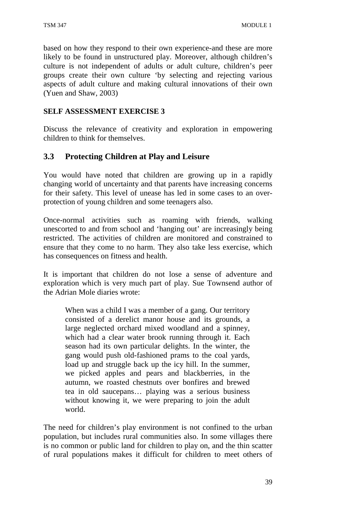based on how they respond to their own experience-and these are more likely to be found in unstructured play. Moreover, although children's culture is not independent of adults or adult culture, children's peer groups create their own culture 'by selecting and rejecting various aspects of adult culture and making cultural innovations of their own (Yuen and Shaw, 2003)

#### **SELF ASSESSMENT EXERCISE 3**

Discuss the relevance of creativity and exploration in empowering children to think for themselves.

# **3.3 Protecting Children at Play and Leisure**

You would have noted that children are growing up in a rapidly changing world of uncertainty and that parents have increasing concerns for their safety. This level of unease has led in some cases to an overprotection of young children and some teenagers also.

Once-normal activities such as roaming with friends, walking unescorted to and from school and 'hanging out' are increasingly being restricted. The activities of children are monitored and constrained to ensure that they come to no harm. They also take less exercise, which has consequences on fitness and health.

It is important that children do not lose a sense of adventure and exploration which is very much part of play. Sue Townsend author of the Adrian Mole diaries wrote:

When was a child I was a member of a gang. Our territory consisted of a derelict manor house and its grounds, a large neglected orchard mixed woodland and a spinney, which had a clear water brook running through it. Each season had its own particular delights. In the winter, the gang would push old-fashioned prams to the coal yards, load up and struggle back up the icy hill. In the summer, we picked apples and pears and blackberries, in the autumn, we roasted chestnuts over bonfires and brewed tea in old saucepans… playing was a serious business without knowing it, we were preparing to join the adult world.

The need for children's play environment is not confined to the urban population, but includes rural communities also. In some villages there is no common or public land for children to play on, and the thin scatter of rural populations makes it difficult for children to meet others of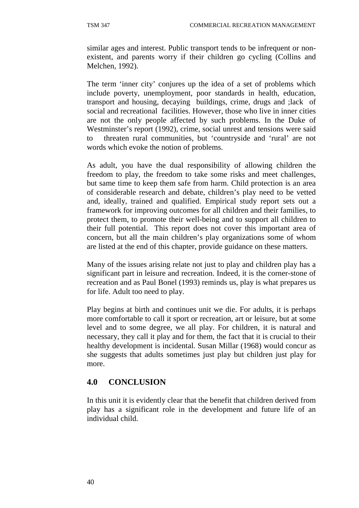similar ages and interest. Public transport tends to be infrequent or nonexistent, and parents worry if their children go cycling (Collins and Melchen, 1992).

The term 'inner city' conjures up the idea of a set of problems which include poverty, unemployment, poor standards in health, education, transport and housing, decaying buildings, crime, drugs and ;lack of social and recreational facilities. However, those who live in inner cities are not the only people affected by such problems. In the Duke of Westminster's report (1992), crime, social unrest and tensions were said to threaten rural communities, but 'countryside and 'rural' are not words which evoke the notion of problems.

As adult, you have the dual responsibility of allowing children the freedom to play, the freedom to take some risks and meet challenges, but same time to keep them safe from harm. Child protection is an area of considerable research and debate, children's play need to be vetted and, ideally, trained and qualified. Empirical study report sets out a framework for improving outcomes for all children and their families, to protect them, to promote their well-being and to support all children to their full potential. This report does not cover this important area of concern, but all the main children's play organizations some of whom are listed at the end of this chapter, provide guidance on these matters.

Many of the issues arising relate not just to play and children play has a significant part in leisure and recreation. Indeed, it is the corner-stone of recreation and as Paul Bonel (1993) reminds us, play is what prepares us for life. Adult too need to play.

Play begins at birth and continues unit we die. For adults, it is perhaps more comfortable to call it sport or recreation, art or leisure, but at some level and to some degree, we all play. For children, it is natural and necessary, they call it play and for them, the fact that it is crucial to their healthy development is incidental. Susan Millar (1968) would concur as she suggests that adults sometimes just play but children just play for more.

## **4.0 CONCLUSION**

In this unit it is evidently clear that the benefit that children derived from play has a significant role in the development and future life of an individual child.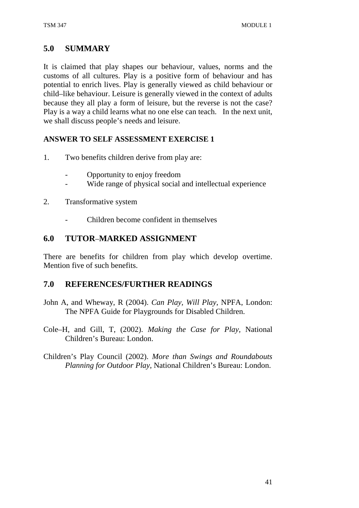## **5.0 SUMMARY**

It is claimed that play shapes our behaviour, values, norms and the customs of all cultures. Play is a positive form of behaviour and has potential to enrich lives. Play is generally viewed as child behaviour or child–like behaviour. Leisure is generally viewed in the context of adults because they all play a form of leisure, but the reverse is not the case? Play is a way a child learns what no one else can teach. In the next unit, we shall discuss people's needs and leisure.

#### **ANSWER TO SELF ASSESSMENT EXERCISE 1**

- 1. Two benefits children derive from play are:
	- Opportunity to enjoy freedom
	- Wide range of physical social and intellectual experience
- 2. Transformative system
	- Children become confident in themselves

## **6.0 TUTOR**–**MARKED ASSIGNMENT**

There are benefits for children from play which develop overtime. Mention five of such benefits.

#### **7.0 REFERENCES/FURTHER READINGS**

- John A, and Wheway, R (2004). *Can Play, Will Play*, NPFA, London: The NPFA Guide for Playgrounds for Disabled Children.
- Cole–H, and Gill, T, (2002). *Making the Case for Play,* National Children's Bureau: London.
- Children's Play Council (2002). *More than Swings and Roundabouts Planning for Outdoor Play*, National Children's Bureau: London.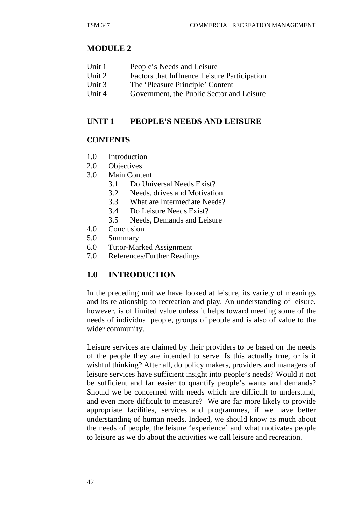## **MODULE 2**

| Unit 1 | People's Needs and Leisure |
|--------|----------------------------|
|--------|----------------------------|

- Unit 2 Factors that Influence Leisure Participation
- Unit 3 The 'Pleasure Principle' Content
- Unit 4 Government, the Public Sector and Leisure

### **UNIT 1 PEOPLE'S NEEDS AND LEISURE**

#### **CONTENTS**

- 1.0 Introduction
- 2.0 Objectives
- 3.0 Main Content
	- 3.1 Do Universal Needs Exist?
	- 3.2 Needs, drives and Motivation
	- 3.3 What are Intermediate Needs?
	- 3.4 Do Leisure Needs Exist?
	- 3.5 Needs, Demands and Leisure
- 4.0 Conclusion
- 5.0 Summary
- 6.0 Tutor-Marked Assignment
- 7.0 References/Further Readings

## **1.0 INTRODUCTION**

In the preceding unit we have looked at leisure, its variety of meanings and its relationship to recreation and play. An understanding of leisure, however, is of limited value unless it helps toward meeting some of the needs of individual people, groups of people and is also of value to the wider community.

Leisure services are claimed by their providers to be based on the needs of the people they are intended to serve. Is this actually true, or is it wishful thinking? After all, do policy makers, providers and managers of leisure services have sufficient insight into people's needs? Would it not be sufficient and far easier to quantify people's wants and demands? Should we be concerned with needs which are difficult to understand, and even more difficult to measure? We are far more likely to provide appropriate facilities, services and programmes, if we have better understanding of human needs. Indeed, we should know as much about the needs of people, the leisure 'experience' and what motivates people to leisure as we do about the activities we call leisure and recreation.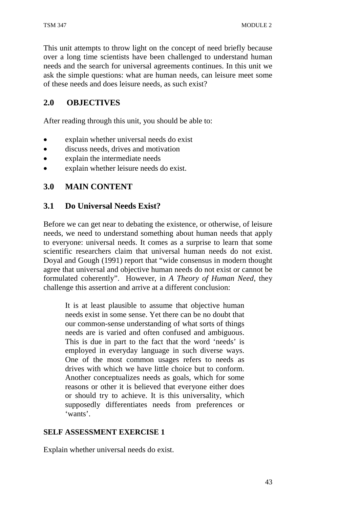This unit attempts to throw light on the concept of need briefly because over a long time scientists have been challenged to understand human needs and the search for universal agreements continues. In this unit we ask the simple questions: what are human needs, can leisure meet some of these needs and does leisure needs, as such exist?

### **2.0 OBJECTIVES**

After reading through this unit, you should be able to:

- explain whether universal needs do exist
- discuss needs, drives and motivation
- explain the intermediate needs
- explain whether leisure needs do exist.

### **3.0 MAIN CONTENT**

#### **3.1 Do Universal Needs Exist?**

Before we can get near to debating the existence, or otherwise, of leisure needs, we need to understand something about human needs that apply to everyone: universal needs. It comes as a surprise to learn that some scientific researchers claim that universal human needs do not exist. Doyal and Gough (1991) report that "wide consensus in modern thought agree that universal and objective human needs do not exist or cannot be formulated coherently". However, in *A Theory of Human Need*, they challenge this assertion and arrive at a different conclusion:

It is at least plausible to assume that objective human needs exist in some sense. Yet there can be no doubt that our common-sense understanding of what sorts of things needs are is varied and often confused and ambiguous. This is due in part to the fact that the word 'needs' is employed in everyday language in such diverse ways. One of the most common usages refers to needs as drives with which we have little choice but to conform. Another conceptualizes needs as goals, which for some reasons or other it is believed that everyone either does or should try to achieve. It is this universality, which supposedly differentiates needs from preferences or 'wants'.

#### **SELF ASSESSMENT EXERCISE 1**

Explain whether universal needs do exist.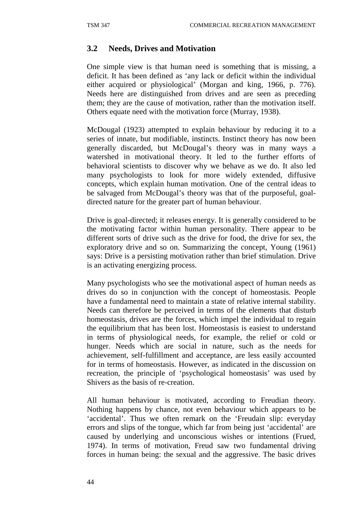#### **3.2 Needs, Drives and Motivation**

One simple view is that human need is something that is missing, a deficit. It has been defined as 'any lack or deficit within the individual either acquired or physiological' (Morgan and king, 1966, p. 776). Needs here are distinguished from drives and are seen as preceding them; they are the cause of motivation, rather than the motivation itself. Others equate need with the motivation force (Murray, 1938).

McDougal (1923) attempted to explain behaviour by reducing it to a series of innate, but modifiable, instincts. Instinct theory has now been generally discarded, but McDougal's theory was in many ways a watershed in motivational theory. It led to the further efforts of behavioral scientists to discover why we behave as we do. It also led many psychologists to look for more widely extended, diffusive concepts, which explain human motivation. One of the central ideas to be salvaged from McDougal's theory was that of the purposeful, goaldirected nature for the greater part of human behaviour.

Drive is goal-directed; it releases energy. It is generally considered to be the motivating factor within human personality. There appear to be different sorts of drive such as the drive for food, the drive for sex, the exploratory drive and so on. Summarizing the concept, Young (1961) says: Drive is a persisting motivation rather than brief stimulation. Drive is an activating energizing process.

Many psychologists who see the motivational aspect of human needs as drives do so in conjunction with the concept of homeostasis. People have a fundamental need to maintain a state of relative internal stability. Needs can therefore be perceived in terms of the elements that disturb homeostasis, drives are the forces, which impel the individual to regain the equilibrium that has been lost. Homeostasis is easiest to understand in terms of physiological needs, for example, the relief or cold or hunger. Needs which are social in nature, such as the needs for achievement, self-fulfillment and acceptance, are less easily accounted for in terms of homeostasis. However, as indicated in the discussion on recreation, the principle of 'psychological homeostasis' was used by Shivers as the basis of re-creation.

All human behaviour is motivated, according to Freudian theory. Nothing happens by chance, not even behaviour which appears to be 'accidental'. Thus we often remark on the 'Freudain slip: everyday errors and slips of the tongue, which far from being just 'accidental' are caused by underlying and unconscious wishes or intentions (Frued, 1974). In terms of motivation, Freud saw two fundamental driving forces in human being: the sexual and the aggressive. The basic drives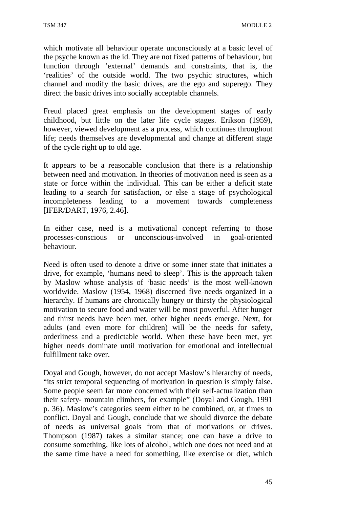which motivate all behaviour operate unconsciously at a basic level of the psyche known as the id. They are not fixed patterns of behaviour, but function through 'external' demands and constraints, that is, the 'realities' of the outside world. The two psychic structures, which channel and modify the basic drives, are the ego and superego. They direct the basic drives into socially acceptable channels.

Freud placed great emphasis on the development stages of early childhood, but little on the later life cycle stages. Erikson (1959), however, viewed development as a process, which continues throughout life; needs themselves are developmental and change at different stage of the cycle right up to old age.

It appears to be a reasonable conclusion that there is a relationship between need and motivation. In theories of motivation need is seen as a state or force within the individual. This can be either a deficit state leading to a search for satisfaction, or else a stage of psychological incompleteness leading to a movement towards completeness [IFER/DART, 1976, 2.46].

In either case, need is a motivational concept referring to those processes-conscious or unconscious-involved in goal-oriented behaviour.

Need is often used to denote a drive or some inner state that initiates a drive, for example, 'humans need to sleep'. This is the approach taken by Maslow whose analysis of 'basic needs' is the most well-known worldwide. Maslow (1954, 1968) discerned five needs organized in a hierarchy. If humans are chronically hungry or thirsty the physiological motivation to secure food and water will be most powerful. After hunger and thirst needs have been met, other higher needs emerge. Next, for adults (and even more for children) will be the needs for safety, orderliness and a predictable world. When these have been met, yet higher needs dominate until motivation for emotional and intellectual fulfillment take over.

Doyal and Gough, however, do not accept Maslow's hierarchy of needs, "its strict temporal sequencing of motivation in question is simply false. Some people seem far more concerned with their self-actualization than their safety- mountain climbers, for example" (Doyal and Gough, 1991 p. 36). Maslow's categories seem either to be combined, or, at times to conflict. Doyal and Gough, conclude that we should divorce the debate of needs as universal goals from that of motivations or drives. Thompson (1987) takes a similar stance; one can have a drive to consume something, like lots of alcohol, which one does not need and at the same time have a need for something, like exercise or diet, which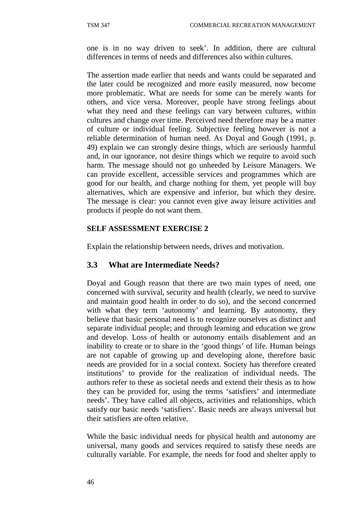one is in no way driven to seek'. In addition, there are cultural differences in terms of needs and differences also within cultures.

The assertion made earlier that needs and wants could be separated and the later could be recognized and more easily measured, now become more problematic. What are needs for some can be merely wants for others, and vice versa. Moreover, people have strong feelings about what they need and these feelings can vary between cultures, within cultures and change over time. Perceived need therefore may be a matter of culture or individual feeling. Subjective feeling however is not a reliable determination of human need. As Doyal and Gough (1991, p. 49) explain we can strongly desire things, which are seriously harmful and, in our ignorance, not desire things which we require to avoid such harm. The message should not go unheeded by Leisure Managers. We can provide excellent, accessible services and programmes which are good for our health, and charge nothing for them, yet people will buy alternatives, which are expensive and inferior, but which they desire. The message is clear: you cannot even give away leisure activities and products if people do not want them.

#### **SELF ASSESSMENT EXERCISE 2**

Explain the relationship between needs, drives and motivation.

# **3.3 What are Intermediate Needs?**

Doyal and Gough reason that there are two main types of need, one concerned with survival, security and health (clearly, we need to survive and maintain good health in order to do so), and the second concerned with what they term 'autonomy' and learning. By autonomy, they believe that basic personal need is to recognize ourselves as distinct and separate individual people; and through learning and education we grow and develop. Loss of health or autonomy entails disablement and an inability to create or to share in the 'good things' of life. Human beings are not capable of growing up and developing alone, therefore basic needs are provided for in a social context. Society has therefore created institutions' to provide for the realization of individual needs. The authors refer to these as societal needs and extend their thesis as to how they can be provided for, using the terms 'satisfiers' and intermediate needs'. They have called all objects, activities and relationships, which satisfy our basic needs 'satisfiers'. Basic needs are always universal but their satisfiers are often relative.

While the basic individual needs for physical health and autonomy are universal, many goods and services required to satisfy these needs are culturally variable. For example, the needs for food and shelter apply to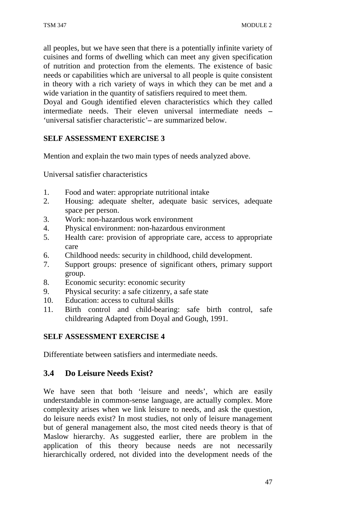all peoples, but we have seen that there is a potentially infinite variety of cuisines and forms of dwelling which can meet any given specification of nutrition and protection from the elements. The existence of basic needs or capabilities which are universal to all people is quite consistent in theory with a rich variety of ways in which they can be met and a wide variation in the quantity of satisfiers required to meet them.

Doyal and Gough identified eleven characteristics which they called intermediate needs. Their eleven universal intermediate needs **–** 'universal satisfier characteristic'**–** are summarized below.

### **SELF ASSESSMENT EXERCISE 3**

Mention and explain the two main types of needs analyzed above.

Universal satisfier characteristics

- 1. Food and water: appropriate nutritional intake
- 2. Housing: adequate shelter, adequate basic services, adequate space per person.
- 3. Work: non-hazardous work environment
- 4. Physical environment: non-hazardous environment
- 5. Health care: provision of appropriate care, access to appropriate care
- 6. Childhood needs: security in childhood, child development.
- 7. Support groups: presence of significant others, primary support group.
- 8. Economic security: economic security
- 9. Physical security: a safe citizenry, a safe state
- 10. Education: access to cultural skills
- 11. Birth control and child-bearing: safe birth control, safe childrearing Adapted from Doyal and Gough, 1991.

#### **SELF ASSESSMENT EXERCISE 4**

Differentiate between satisfiers and intermediate needs.

## **3.4 Do Leisure Needs Exist?**

We have seen that both 'leisure and needs', which are easily understandable in common-sense language, are actually complex. More complexity arises when we link leisure to needs, and ask the question, do leisure needs exist? In most studies, not only of leisure management but of general management also, the most cited needs theory is that of Maslow hierarchy. As suggested earlier, there are problem in the application of this theory because needs are not necessarily hierarchically ordered, not divided into the development needs of the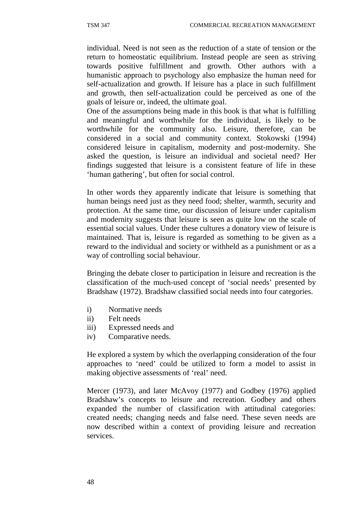individual. Need is not seen as the reduction of a state of tension or the return to homeostatic equilibrium. Instead people are seen as striving towards positive fulfillment and growth. Other authors with a humanistic approach to psychology also emphasize the human need for self-actualization and growth. If leisure has a place in such fulfillment and growth, then self-actualization could be perceived as one of the goals of leisure or, indeed, the ultimate goal.

One of the assumptions being made in this book is that what is fulfilling and meaningful and worthwhile for the individual, is likely to be worthwhile for the community also. Leisure, therefore, can be considered in a social and community context. Stokowski (1994) considered leisure in capitalism, modernity and post-modernity. She asked the question, is leisure an individual and societal need? Her findings suggested that leisure is a consistent feature of life in these 'human gathering', but often for social control.

In other words they apparently indicate that leisure is something that human beings need just as they need food; shelter, warmth, security and protection. At the same time, our discussion of leisure under capitalism and modernity suggests that leisure is seen as quite low on the scale of essential social values. Under these cultures a donatory view of leisure is maintained. That is, leisure is regarded as something to be given as a reward to the individual and society or withheld as a punishment or as a way of controlling social behaviour.

Bringing the debate closer to participation in leisure and recreation is the classification of the much-used concept of 'social needs' presented by Bradshaw (1972). Bradshaw classified social needs into four categories.

- i) Normative needs
- ii) Felt needs
- iii) Expressed needs and
- iv) Comparative needs.

He explored a system by which the overlapping consideration of the four approaches to 'need' could be utilized to form a model to assist in making objective assessments of 'real' need.

Mercer (1973), and later McAvoy (1977) and Godbey (1976) applied Bradshaw's concepts to leisure and recreation. Godbey and others expanded the number of classification with attitudinal categories: created needs; changing needs and false need. These seven needs are now described within a context of providing leisure and recreation services.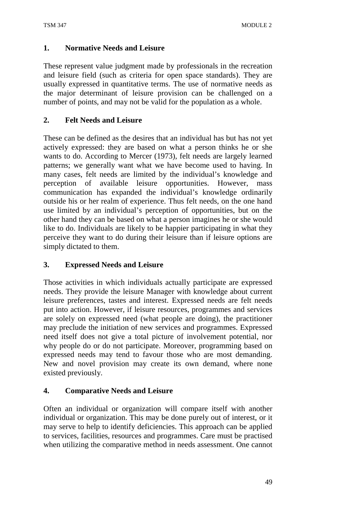#### **1. Normative Needs and Leisure**

These represent value judgment made by professionals in the recreation and leisure field (such as criteria for open space standards). They are usually expressed in quantitative terms. The use of normative needs as the major determinant of leisure provision can be challenged on a number of points, and may not be valid for the population as a whole.

#### **2. Felt Needs and Leisure**

These can be defined as the desires that an individual has but has not yet actively expressed: they are based on what a person thinks he or she wants to do. According to Mercer (1973), felt needs are largely learned patterns; we generally want what we have become used to having. In many cases, felt needs are limited by the individual's knowledge and perception of available leisure opportunities. However, mass communication has expanded the individual's knowledge ordinarily outside his or her realm of experience. Thus felt needs, on the one hand use limited by an individual's perception of opportunities, but on the other hand they can be based on what a person imagines he or she would like to do. Individuals are likely to be happier participating in what they perceive they want to do during their leisure than if leisure options are simply dictated to them.

#### **3. Expressed Needs and Leisure**

Those activities in which individuals actually participate are expressed needs. They provide the leisure Manager with knowledge about current leisure preferences, tastes and interest. Expressed needs are felt needs put into action. However, if leisure resources, programmes and services are solely on expressed need (what people are doing), the practitioner may preclude the initiation of new services and programmes. Expressed need itself does not give a total picture of involvement potential, nor why people do or do not participate. Moreover, programming based on expressed needs may tend to favour those who are most demanding. New and novel provision may create its own demand, where none existed previously.

#### **4. Comparative Needs and Leisure**

Often an individual or organization will compare itself with another individual or organization. This may be done purely out of interest, or it may serve to help to identify deficiencies. This approach can be applied to services, facilities, resources and programmes. Care must be practised when utilizing the comparative method in needs assessment. One cannot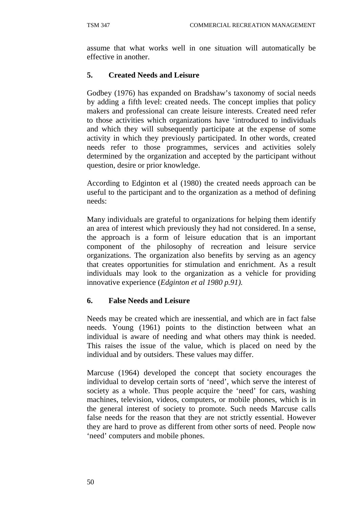assume that what works well in one situation will automatically be effective in another.

### **5. Created Needs and Leisure**

Godbey (1976) has expanded on Bradshaw's taxonomy of social needs by adding a fifth level: created needs. The concept implies that policy makers and professional can create leisure interests. Created need refer to those activities which organizations have 'introduced to individuals and which they will subsequently participate at the expense of some activity in which they previously participated. In other words, created needs refer to those programmes, services and activities solely determined by the organization and accepted by the participant without question, desire or prior knowledge.

According to Edginton et al (1980) the created needs approach can be useful to the participant and to the organization as a method of defining needs:

Many individuals are grateful to organizations for helping them identify an area of interest which previously they had not considered. In a sense, the approach is a form of leisure education that is an important component of the philosophy of recreation and leisure service organizations. The organization also benefits by serving as an agency that creates opportunities for stimulation and enrichment. As a result individuals may look to the organization as a vehicle for providing innovative experience (*Edginton et al 1980 p.91).* 

#### **6. False Needs and Leisure**

Needs may be created which are inessential, and which are in fact false needs. Young (1961) points to the distinction between what an individual is aware of needing and what others may think is needed. This raises the issue of the value, which is placed on need by the individual and by outsiders. These values may differ.

Marcuse (1964) developed the concept that society encourages the individual to develop certain sorts of 'need', which serve the interest of society as a whole. Thus people acquire the 'need' for cars, washing machines, television, videos, computers, or mobile phones, which is in the general interest of society to promote. Such needs Marcuse calls false needs for the reason that they are not strictly essential. However they are hard to prove as different from other sorts of need. People now 'need' computers and mobile phones.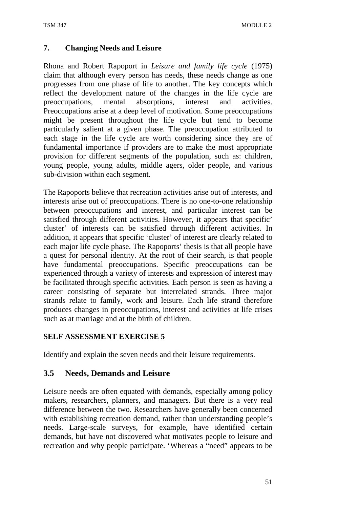### **7. Changing Needs and Leisure**

Rhona and Robert Rapoport in *Leisure and family life cycle* (1975) claim that although every person has needs, these needs change as one progresses from one phase of life to another. The key concepts which reflect the development nature of the changes in the life cycle are preoccupations, mental absorptions, interest and activities. Preoccupations arise at a deep level of motivation. Some preoccupations might be present throughout the life cycle but tend to become particularly salient at a given phase. The preoccupation attributed to each stage in the life cycle are worth considering since they are of fundamental importance if providers are to make the most appropriate provision for different segments of the population, such as: children, young people, young adults, middle agers, older people, and various sub-division within each segment.

The Rapoports believe that recreation activities arise out of interests, and interests arise out of preoccupations. There is no one-to-one relationship between preoccupations and interest, and particular interest can be satisfied through different activities. However, it appears that specific' cluster' of interests can be satisfied through different activities. In addition, it appears that specific 'cluster' of interest are clearly related to each major life cycle phase. The Rapoports' thesis is that all people have a quest for personal identity. At the root of their search, is that people have fundamental preoccupations. Specific preoccupations can be experienced through a variety of interests and expression of interest may be facilitated through specific activities. Each person is seen as having a career consisting of separate but interrelated strands. Three major strands relate to family, work and leisure. Each life strand therefore produces changes in preoccupations, interest and activities at life crises such as at marriage and at the birth of children.

#### **SELF ASSESSMENT EXERCISE 5**

Identify and explain the seven needs and their leisure requirements.

## **3.5 Needs, Demands and Leisure**

Leisure needs are often equated with demands, especially among policy makers, researchers, planners, and managers. But there is a very real difference between the two. Researchers have generally been concerned with establishing recreation demand, rather than understanding people's needs. Large-scale surveys, for example, have identified certain demands, but have not discovered what motivates people to leisure and recreation and why people participate. 'Whereas a "need" appears to be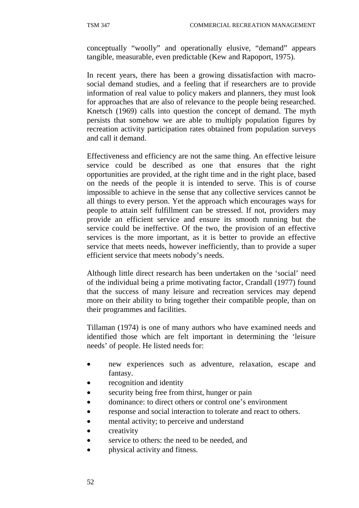conceptually "woolly" and operationally elusive, "demand" appears tangible, measurable, even predictable (Kew and Rapoport, 1975).

In recent years, there has been a growing dissatisfaction with macrosocial demand studies, and a feeling that if researchers are to provide information of real value to policy makers and planners, they must look for approaches that are also of relevance to the people being researched. Knetsch (1969) calls into question the concept of demand. The myth persists that somehow we are able to multiply population figures by recreation activity participation rates obtained from population surveys and call it demand.

Effectiveness and efficiency are not the same thing. An effective leisure service could be described as one that ensures that the right opportunities are provided, at the right time and in the right place, based on the needs of the people it is intended to serve. This is of course impossible to achieve in the sense that any collective services cannot be all things to every person. Yet the approach which encourages ways for people to attain self fulfillment can be stressed. If not, providers may provide an efficient service and ensure its smooth running but the service could be ineffective. Of the two, the provision of an effective services is the more important, as it is better to provide an effective service that meets needs, however inefficiently, than to provide a super efficient service that meets nobody's needs.

Although little direct research has been undertaken on the 'social' need of the individual being a prime motivating factor, Crandall (1977) found that the success of many leisure and recreation services may depend more on their ability to bring together their compatible people, than on their programmes and facilities.

Tillaman (1974) is one of many authors who have examined needs and identified those which are felt important in determining the 'leisure needs' of people. He listed needs for:

- new experiences such as adventure, relaxation, escape and fantasy.
- recognition and identity
- security being free from thirst, hunger or pain
- dominance: to direct others or control one's environment
- response and social interaction to tolerate and react to others.
- mental activity; to perceive and understand
- creativity
- service to others: the need to be needed, and
- physical activity and fitness.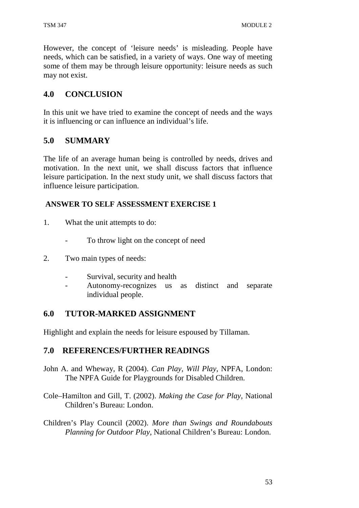However, the concept of 'leisure needs' is misleading. People have needs, which can be satisfied, in a variety of ways. One way of meeting some of them may be through leisure opportunity: leisure needs as such may not exist.

# **4.0 CONCLUSION**

In this unit we have tried to examine the concept of needs and the ways it is influencing or can influence an individual's life.

# **5.0 SUMMARY**

The life of an average human being is controlled by needs, drives and motivation. In the next unit, we shall discuss factors that influence leisure participation. In the next study unit, we shall discuss factors that influence leisure participation.

## **ANSWER TO SELF ASSESSMENT EXERCISE 1**

- 1. What the unit attempts to do:
	- To throw light on the concept of need
- 2. Two main types of needs:
	- Survival, security and health
	- Autonomy-recognizes us as distinct and separate individual people.

## **6.0 TUTOR-MARKED ASSIGNMENT**

Highlight and explain the needs for leisure espoused by Tillaman.

## **7.0 REFERENCES/FURTHER READINGS**

- John A. and Wheway, R (2004). *Can Play, Will Play,* NPFA, London: The NPFA Guide for Playgrounds for Disabled Children.
- Cole–Hamilton and Gill, T. (2002). *Making the Case for Play*, National Children's Bureau: London.
- Children's Play Council (2002). *More than Swings and Roundabouts Planning for Outdoor Play*, National Children's Bureau: London.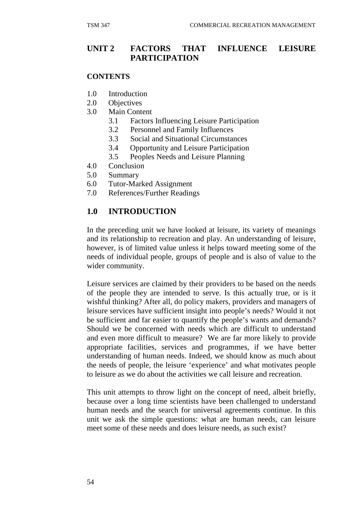## **UNIT 2 FACTORS THAT INFLUENCE LEISURE PARTICIPATION**

#### **CONTENTS**

- 1.0 Introduction
- 2.0 Objectives
- 3.0 Main Content
	- 3.1 Factors Influencing Leisure Participation
	- 3.2 Personnel and Family Influences
	- 3.3 Social and Situational Circumstances
	- 3.4 Opportunity and Leisure Participation
	- 3.5 Peoples Needs and Leisure Planning
- 4.0 Conclusion
- 5.0 Summary
- 6.0 Tutor-Marked Assignment
- 7.0 References/Further Readings

## **1.0 INTRODUCTION**

In the preceding unit we have looked at leisure, its variety of meanings and its relationship to recreation and play. An understanding of leisure, however, is of limited value unless it helps toward meeting some of the needs of individual people, groups of people and is also of value to the wider community.

Leisure services are claimed by their providers to be based on the needs of the people they are intended to serve. Is this actually true, or is it wishful thinking? After all, do policy makers, providers and managers of leisure services have sufficient insight into people's needs? Would it not be sufficient and far easier to quantify the people's wants and demands? Should we be concerned with needs which are difficult to understand and even more difficult to measure? We are far more likely to provide appropriate facilities, services and programmes, if we have better understanding of human needs. Indeed, we should know as much about the needs of people, the leisure 'experience' and what motivates people to leisure as we do about the activities we call leisure and recreation.

This unit attempts to throw light on the concept of need, albeit briefly, because over a long time scientists have been challenged to understand human needs and the search for universal agreements continue. In this unit we ask the simple questions: what are human needs, can leisure meet some of these needs and does leisure needs, as such exist?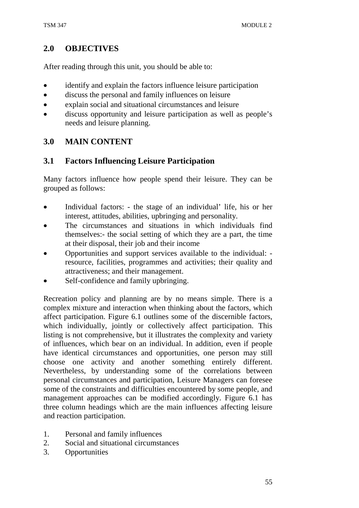## **2.0 OBJECTIVES**

After reading through this unit, you should be able to:

- identify and explain the factors influence leisure participation
- discuss the personal and family influences on leisure
- explain social and situational circumstances and leisure
- discuss opportunity and leisure participation as well as people's needs and leisure planning.

# **3.0 MAIN CONTENT**

# **3.1 Factors Influencing Leisure Participation**

Many factors influence how people spend their leisure. They can be grouped as follows:

- Individual factors: the stage of an individual' life, his or her interest, attitudes, abilities, upbringing and personality.
- The circumstances and situations in which individuals find themselves:- the social setting of which they are a part, the time at their disposal, their job and their income
- Opportunities and support services available to the individual: resource, facilities, programmes and activities; their quality and attractiveness; and their management.
- Self-confidence and family upbringing.

Recreation policy and planning are by no means simple. There is a complex mixture and interaction when thinking about the factors, which affect participation. Figure 6.1 outlines some of the discernible factors, which individually, jointly or collectively affect participation. This listing is not comprehensive, but it illustrates the complexity and variety of influences, which bear on an individual. In addition, even if people have identical circumstances and opportunities, one person may still choose one activity and another something entirely different. Nevertheless, by understanding some of the correlations between personal circumstances and participation, Leisure Managers can foresee some of the constraints and difficulties encountered by some people, and management approaches can be modified accordingly. Figure 6.1 has three column headings which are the main influences affecting leisure and reaction participation.

- 1. Personal and family influences
- 2. Social and situational circumstances
- 3. Opportunities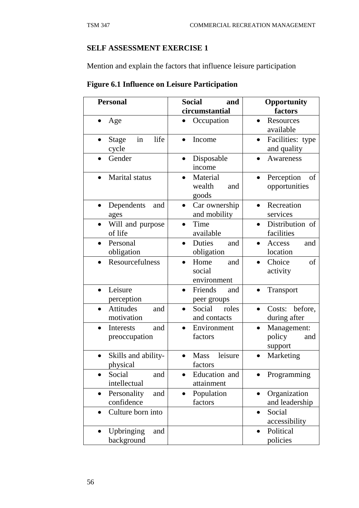## **SELF ASSESSMENT EXERCISE 1**

Mention and explain the factors that influence leisure participation

# **Figure 6.1 Influence on Leisure Participation**

| <b>Personal</b>                             | <b>Social</b><br>and<br>circumstantial            | Opportunity<br>factors                         |
|---------------------------------------------|---------------------------------------------------|------------------------------------------------|
| Age<br>$\bullet$                            | Occupation                                        | Resources<br>$\bullet$<br>available            |
| in<br>life<br><b>Stage</b><br>cycle         | Income                                            | Facilities: type<br>and quality                |
| Gender                                      | Disposable<br>income                              | Awareness                                      |
| Marital status                              | Material<br>wealth<br>and<br>goods                | Perception<br>of<br>opportunities              |
| Dependents<br>and<br>ages                   | Car ownership<br>and mobility                     | Recreation<br>services                         |
| Will and purpose<br>$\bullet$<br>of life    | Time<br>$\bullet$<br>available                    | Distribution of<br>$\bullet$<br>facilities     |
| Personal<br>$\bullet$<br>obligation         | Duties<br>and<br>$\bullet$<br>obligation          | Access<br>and<br>$\bullet$<br>location         |
| Resourcefulness                             | Home<br>and<br>$\bullet$<br>social<br>environment | Choice<br>of<br>$\bullet$<br>activity          |
| Leisure<br>perception                       | Friends<br>and<br>peer groups                     | Transport                                      |
| Attitudes<br>and<br>$\bullet$<br>motivation | Social<br>roles<br>and contacts                   | before,<br>Costs:<br>$\bullet$<br>during after |
| Interests<br>and<br>preoccupation           | Environment<br>factors                            | Management:<br>policy<br>and<br>support        |
| Skills and ability-<br>physical             | leisure<br>Mass<br>factors                        | Marketing                                      |
| Social<br>and<br>intellectual               | Education and<br>attainment                       | Programming                                    |
| Personality<br>and<br>confidence            | Population<br>factors                             | Organization<br>and leadership                 |
| Culture born into                           |                                                   | Social<br>$\bullet$<br>accessibility           |
| Upbringing<br>and<br>background             |                                                   | Political<br>$\bullet$<br>policies             |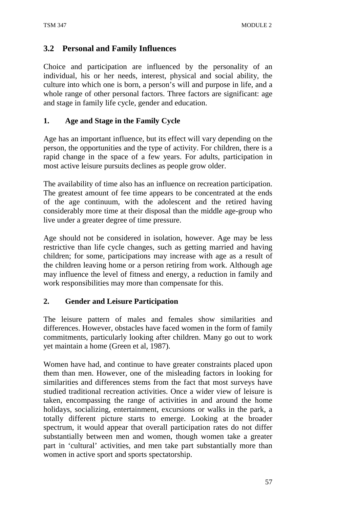### **3.2 Personal and Family Influences**

Choice and participation are influenced by the personality of an individual, his or her needs, interest, physical and social ability, the culture into which one is born, a person's will and purpose in life, and a whole range of other personal factors. Three factors are significant: age and stage in family life cycle, gender and education.

#### **1. Age and Stage in the Family Cycle**

Age has an important influence, but its effect will vary depending on the person, the opportunities and the type of activity. For children, there is a rapid change in the space of a few years. For adults, participation in most active leisure pursuits declines as people grow older.

The availability of time also has an influence on recreation participation. The greatest amount of fee time appears to be concentrated at the ends of the age continuum, with the adolescent and the retired having considerably more time at their disposal than the middle age-group who live under a greater degree of time pressure.

Age should not be considered in isolation, however. Age may be less restrictive than life cycle changes, such as getting married and having children; for some, participations may increase with age as a result of the children leaving home or a person retiring from work. Although age may influence the level of fitness and energy, a reduction in family and work responsibilities may more than compensate for this.

#### **2. Gender and Leisure Participation**

The leisure pattern of males and females show similarities and differences. However, obstacles have faced women in the form of family commitments, particularly looking after children. Many go out to work yet maintain a home (Green et al, 1987).

Women have had, and continue to have greater constraints placed upon them than men. However, one of the misleading factors in looking for similarities and differences stems from the fact that most surveys have studied traditional recreation activities. Once a wider view of leisure is taken, encompassing the range of activities in and around the home holidays, socializing, entertainment, excursions or walks in the park, a totally different picture starts to emerge. Looking at the broader spectrum, it would appear that overall participation rates do not differ substantially between men and women, though women take a greater part in 'cultural' activities, and men take part substantially more than women in active sport and sports spectatorship.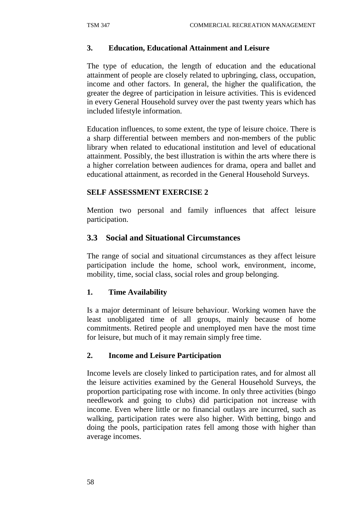#### **3. Education, Educational Attainment and Leisure**

The type of education, the length of education and the educational attainment of people are closely related to upbringing, class, occupation, income and other factors. In general, the higher the qualification, the greater the degree of participation in leisure activities. This is evidenced in every General Household survey over the past twenty years which has included lifestyle information.

Education influences, to some extent, the type of leisure choice. There is a sharp differential between members and non-members of the public library when related to educational institution and level of educational attainment. Possibly, the best illustration is within the arts where there is a higher correlation between audiences for drama, opera and ballet and educational attainment, as recorded in the General Household Surveys.

#### **SELF ASSESSMENT EXERCISE 2**

Mention two personal and family influences that affect leisure participation.

#### **3.3 Social and Situational Circumstances**

The range of social and situational circumstances as they affect leisure participation include the home, school work, environment, income, mobility, time, social class, social roles and group belonging.

#### **1. Time Availability**

Is a major determinant of leisure behaviour. Working women have the least unobligated time of all groups, mainly because of home commitments. Retired people and unemployed men have the most time for leisure, but much of it may remain simply free time.

#### **2. Income and Leisure Participation**

Income levels are closely linked to participation rates, and for almost all the leisure activities examined by the General Household Surveys, the proportion participating rose with income. In only three activities (bingo needlework and going to clubs) did participation not increase with income. Even where little or no financial outlays are incurred, such as walking, participation rates were also higher. With betting, bingo and doing the pools, participation rates fell among those with higher than average incomes.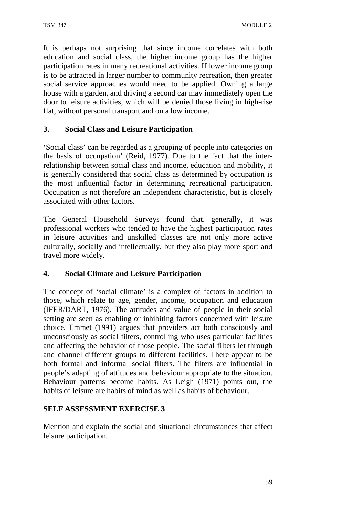It is perhaps not surprising that since income correlates with both education and social class, the higher income group has the higher participation rates in many recreational activities. If lower income group is to be attracted in larger number to community recreation, then greater social service approaches would need to be applied. Owning a large house with a garden, and driving a second car may immediately open the door to leisure activities, which will be denied those living in high-rise flat, without personal transport and on a low income.

### **3. Social Class and Leisure Participation**

'Social class' can be regarded as a grouping of people into categories on the basis of occupation' (Reid, 1977). Due to the fact that the interrelationship between social class and income, education and mobility, it is generally considered that social class as determined by occupation is the most influential factor in determining recreational participation. Occupation is not therefore an independent characteristic, but is closely associated with other factors.

The General Household Surveys found that, generally, it was professional workers who tended to have the highest participation rates in leisure activities and unskilled classes are not only more active culturally, socially and intellectually, but they also play more sport and travel more widely.

#### **4. Social Climate and Leisure Participation**

The concept of 'social climate' is a complex of factors in addition to those, which relate to age, gender, income, occupation and education (IFER/DART, 1976). The attitudes and value of people in their social setting are seen as enabling or inhibiting factors concerned with leisure choice. Emmet (1991) argues that providers act both consciously and unconsciously as social filters, controlling who uses particular facilities and affecting the behavior of those people. The social filters let through and channel different groups to different facilities. There appear to be both formal and informal social filters. The filters are influential in people's adapting of attitudes and behaviour appropriate to the situation. Behaviour patterns become habits. As Leigh (1971) points out, the habits of leisure are habits of mind as well as habits of behaviour.

#### **SELF ASSESSMENT EXERCISE 3**

Mention and explain the social and situational circumstances that affect leisure participation.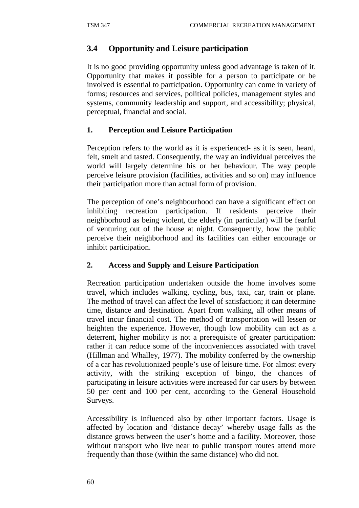### **3.4 Opportunity and Leisure participation**

It is no good providing opportunity unless good advantage is taken of it. Opportunity that makes it possible for a person to participate or be involved is essential to participation. Opportunity can come in variety of forms; resources and services, political policies, management styles and systems, community leadership and support, and accessibility; physical, perceptual, financial and social.

#### **1. Perception and Leisure Participation**

Perception refers to the world as it is experienced- as it is seen, heard, felt, smelt and tasted. Consequently, the way an individual perceives the world will largely determine his or her behaviour. The way people perceive leisure provision (facilities, activities and so on) may influence their participation more than actual form of provision.

The perception of one's neighbourhood can have a significant effect on inhibiting recreation participation. If residents perceive their neighborhood as being violent, the elderly (in particular) will be fearful of venturing out of the house at night. Consequently, how the public perceive their neighborhood and its facilities can either encourage or inhibit participation.

#### **2. Access and Supply and Leisure Participation**

Recreation participation undertaken outside the home involves some travel, which includes walking, cycling, bus, taxi, car, train or plane. The method of travel can affect the level of satisfaction; it can determine time, distance and destination. Apart from walking, all other means of travel incur financial cost. The method of transportation will lessen or heighten the experience. However, though low mobility can act as a deterrent, higher mobility is not a prerequisite of greater participation: rather it can reduce some of the inconveniences associated with travel (Hillman and Whalley, 1977). The mobility conferred by the ownership of a car has revolutionized people's use of leisure time. For almost every activity, with the striking exception of bingo, the chances of participating in leisure activities were increased for car users by between 50 per cent and 100 per cent, according to the General Household Surveys.

Accessibility is influenced also by other important factors. Usage is affected by location and 'distance decay' whereby usage falls as the distance grows between the user's home and a facility. Moreover, those without transport who live near to public transport routes attend more frequently than those (within the same distance) who did not.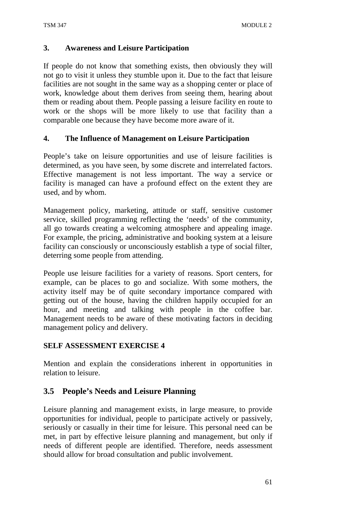#### **3. Awareness and Leisure Participation**

If people do not know that something exists, then obviously they will not go to visit it unless they stumble upon it. Due to the fact that leisure facilities are not sought in the same way as a shopping center or place of work, knowledge about them derives from seeing them, hearing about them or reading about them. People passing a leisure facility en route to work or the shops will be more likely to use that facility than a comparable one because they have become more aware of it.

#### **4. The Influence of Management on Leisure Participation**

People's take on leisure opportunities and use of leisure facilities is determined, as you have seen, by some discrete and interrelated factors. Effective management is not less important. The way a service or facility is managed can have a profound effect on the extent they are used, and by whom.

Management policy, marketing, attitude or staff, sensitive customer service, skilled programming reflecting the 'needs' of the community, all go towards creating a welcoming atmosphere and appealing image. For example, the pricing, administrative and booking system at a leisure facility can consciously or unconsciously establish a type of social filter, deterring some people from attending.

People use leisure facilities for a variety of reasons. Sport centers, for example, can be places to go and socialize. With some mothers, the activity itself may be of quite secondary importance compared with getting out of the house, having the children happily occupied for an hour, and meeting and talking with people in the coffee bar. Management needs to be aware of these motivating factors in deciding management policy and delivery.

#### **SELF ASSESSMENT EXERCISE 4**

Mention and explain the considerations inherent in opportunities in relation to leisure.

#### **3.5 People's Needs and Leisure Planning**

Leisure planning and management exists, in large measure, to provide opportunities for individual, people to participate actively or passively, seriously or casually in their time for leisure. This personal need can be met, in part by effective leisure planning and management, but only if needs of different people are identified. Therefore, needs assessment should allow for broad consultation and public involvement.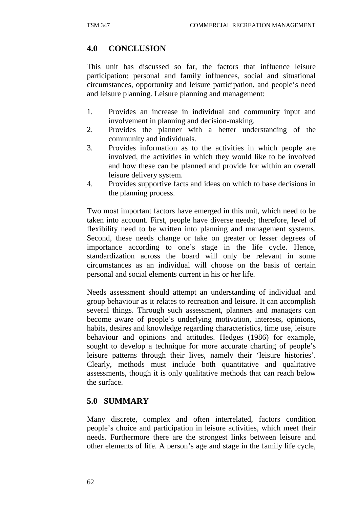### **4.0 CONCLUSION**

This unit has discussed so far, the factors that influence leisure participation: personal and family influences, social and situational circumstances, opportunity and leisure participation, and people's need and leisure planning. Leisure planning and management:

- 1. Provides an increase in individual and community input and involvement in planning and decision-making.
- 2. Provides the planner with a better understanding of the community and individuals.
- 3. Provides information as to the activities in which people are involved, the activities in which they would like to be involved and how these can be planned and provide for within an overall leisure delivery system.
- 4. Provides supportive facts and ideas on which to base decisions in the planning process.

Two most important factors have emerged in this unit, which need to be taken into account. First, people have diverse needs; therefore, level of flexibility need to be written into planning and management systems. Second, these needs change or take on greater or lesser degrees of importance according to one's stage in the life cycle. Hence, standardization across the board will only be relevant in some circumstances as an individual will choose on the basis of certain personal and social elements current in his or her life.

Needs assessment should attempt an understanding of individual and group behaviour as it relates to recreation and leisure. It can accomplish several things. Through such assessment, planners and managers can become aware of people's underlying motivation, interests, opinions, habits, desires and knowledge regarding characteristics, time use, leisure behaviour and opinions and attitudes. Hedges (1986) for example, sought to develop a technique for more accurate charting of people's leisure patterns through their lives, namely their 'leisure histories'. Clearly, methods must include both quantitative and qualitative assessments, though it is only qualitative methods that can reach below the surface.

## **5.0 SUMMARY**

Many discrete, complex and often interrelated, factors condition people's choice and participation in leisure activities, which meet their needs. Furthermore there are the strongest links between leisure and other elements of life. A person's age and stage in the family life cycle,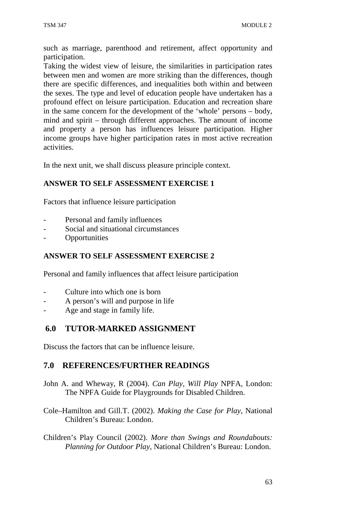such as marriage, parenthood and retirement, affect opportunity and participation.

Taking the widest view of leisure, the similarities in participation rates between men and women are more striking than the differences, though there are specific differences, and inequalities both within and between the sexes. The type and level of education people have undertaken has a profound effect on leisure participation. Education and recreation share in the same concern for the development of the 'whole' persons – body, mind and spirit – through different approaches. The amount of income and property a person has influences leisure participation. Higher income groups have higher participation rates in most active recreation activities.

In the next unit, we shall discuss pleasure principle context.

### **ANSWER TO SELF ASSESSMENT EXERCISE 1**

Factors that influence leisure participation

- Personal and family influences
- Social and situational circumstances
- Opportunities

#### **ANSWER TO SELF ASSESSMENT EXERCISE 2**

Personal and family influences that affect leisure participation

- Culture into which one is born
- A person's will and purpose in life
- Age and stage in family life.

## **6.0 TUTOR-MARKED ASSIGNMENT**

Discuss the factors that can be influence leisure.

## **7.0 REFERENCES/FURTHER READINGS**

- John A. and Wheway, R (2004). *Can Play, Will Play* NPFA, London: The NPFA Guide for Playgrounds for Disabled Children.
- Cole–Hamilton and Gill.T. (2002). *Making the Case for Play*, National Children's Bureau: London.
- Children's Play Council (2002). *More than Swings and Roundabouts: Planning for Outdoor Play*, National Children's Bureau: London.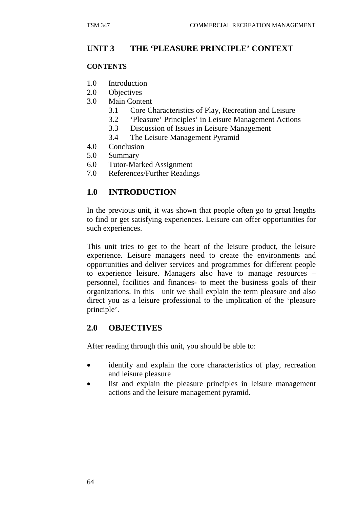### **UNIT 3 THE 'PLEASURE PRINCIPLE' CONTEXT**

#### **CONTENTS**

- 1.0 Introduction
- 2.0 Objectives
- 3.0 Main Content
	- 3.1 Core Characteristics of Play, Recreation and Leisure
	- 3.2 'Pleasure' Principles' in Leisure Management Actions
	- 3.3 Discussion of Issues in Leisure Management
	- 3.4 The Leisure Management Pyramid
- 4.0 Conclusion
- 5.0 Summary
- 6.0 Tutor-Marked Assignment
- 7.0 References/Further Readings

### **1.0 INTRODUCTION**

In the previous unit, it was shown that people often go to great lengths to find or get satisfying experiences. Leisure can offer opportunities for such experiences.

This unit tries to get to the heart of the leisure product, the leisure experience. Leisure managers need to create the environments and opportunities and deliver services and programmes for different people to experience leisure. Managers also have to manage resources – personnel, facilities and finances- to meet the business goals of their organizations. In this unit we shall explain the term pleasure and also direct you as a leisure professional to the implication of the 'pleasure principle'.

## **2.0 OBJECTIVES**

After reading through this unit, you should be able to:

- identify and explain the core characteristics of play, recreation and leisure pleasure
- list and explain the pleasure principles in leisure management actions and the leisure management pyramid.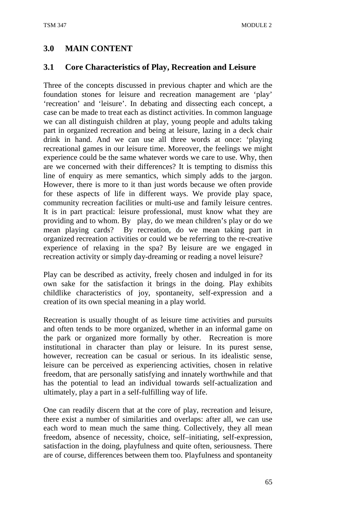#### **3.0 MAIN CONTENT**

#### **3.1 Core Characteristics of Play, Recreation and Leisure**

Three of the concepts discussed in previous chapter and which are the foundation stones for leisure and recreation management are 'play' 'recreation' and 'leisure'. In debating and dissecting each concept, a case can be made to treat each as distinct activities. In common language we can all distinguish children at play, young people and adults taking part in organized recreation and being at leisure, lazing in a deck chair drink in hand. And we can use all three words at once: 'playing recreational games in our leisure time. Moreover, the feelings we might experience could be the same whatever words we care to use. Why, then are we concerned with their differences? It is tempting to dismiss this line of enquiry as mere semantics, which simply adds to the jargon. However, there is more to it than just words because we often provide for these aspects of life in different ways. We provide play space, community recreation facilities or multi-use and family leisure centres. It is in part practical: leisure professional, must know what they are providing and to whom. By play, do we mean children's play or do we mean playing cards? By recreation, do we mean taking part in organized recreation activities or could we be referring to the re-creative experience of relaxing in the spa? By leisure are we engaged in recreation activity or simply day-dreaming or reading a novel leisure?

Play can be described as activity, freely chosen and indulged in for its own sake for the satisfaction it brings in the doing. Play exhibits childlike characteristics of joy, spontaneity, self-expression and a creation of its own special meaning in a play world.

Recreation is usually thought of as leisure time activities and pursuits and often tends to be more organized, whether in an informal game on the park or organized more formally by other. Recreation is more institutional in character than play or leisure. In its purest sense, however, recreation can be casual or serious. In its idealistic sense, leisure can be perceived as experiencing activities, chosen in relative freedom, that are personally satisfying and innately worthwhile and that has the potential to lead an individual towards self-actualization and ultimately, play a part in a self-fulfilling way of life.

One can readily discern that at the core of play, recreation and leisure, there exist a number of similarities and overlaps: after all, we can use each word to mean much the same thing. Collectively, they all mean freedom, absence of necessity, choice, self–initiating, self-expression, satisfaction in the doing, playfulness and quite often, seriousness. There are of course, differences between them too. Playfulness and spontaneity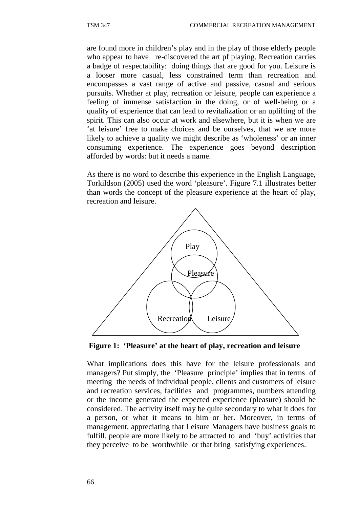are found more in children's play and in the play of those elderly people who appear to have re-discovered the art pf playing. Recreation carries a badge of respectability: doing things that are good for you. Leisure is a looser more casual, less constrained term than recreation and encompasses a vast range of active and passive, casual and serious pursuits. Whether at play, recreation or leisure, people can experience a feeling of immense satisfaction in the doing, or of well-being or a quality of experience that can lead to revitalization or an uplifting of the spirit. This can also occur at work and elsewhere, but it is when we are 'at leisure' free to make choices and be ourselves, that we are more likely to achieve a quality we might describe as 'wholeness' or an inner consuming experience. The experience goes beyond description afforded by words: but it needs a name.

As there is no word to describe this experience in the English Language, Torkildson (2005) used the word 'pleasure'. Figure 7.1 illustrates better than words the concept of the pleasure experience at the heart of play, recreation and leisure.



 **Figure 1: 'Pleasure' at the heart of play, recreation and leisure** 

What implications does this have for the leisure professionals and managers? Put simply, the 'Pleasure principle' implies that in terms of meeting the needs of individual people, clients and customers of leisure and recreation services, facilities and programmes, numbers attending or the income generated the expected experience (pleasure) should be considered. The activity itself may be quite secondary to what it does for a person, or what it means to him or her. Moreover, in terms of management, appreciating that Leisure Managers have business goals to fulfill, people are more likely to be attracted to and 'buy' activities that they perceive to be worthwhile or that bring satisfying experiences.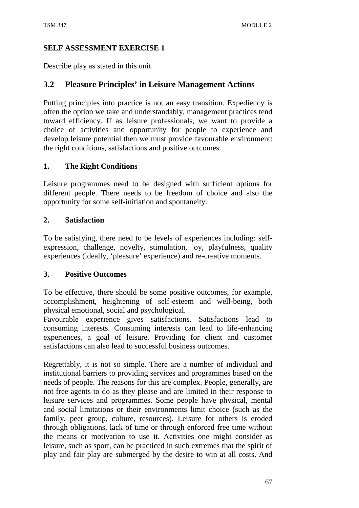## **SELF ASSESSMENT EXERCISE 1**

Describe play as stated in this unit.

## **3.2 Pleasure Principles' in Leisure Management Actions**

Putting principles into practice is not an easy transition. Expediency is often the option we take and understandably, management practices tend toward efficiency. If as leisure professionals, we want to provide a choice of activities and opportunity for people to experience and develop leisure potential then we must provide favourable environment: the right conditions, satisfactions and positive outcomes.

#### **1. The Right Conditions**

Leisure programmes need to be designed with sufficient options for different people. There needs to be freedom of choice and also the opportunity for some self-initiation and spontaneity.

#### **2. Satisfaction**

To be satisfying, there need to be levels of experiences including: selfexpression, challenge, novelty, stimulation, joy, playfulness, quality experiences (ideally, 'pleasure' experience) and re-creative moments.

#### **3. Positive Outcomes**

To be effective, there should be some positive outcomes, for example, accomplishment, heightening of self-esteem and well-being, both physical emotional, social and psychological.

Favourable experience gives satisfactions. Satisfactions lead to consuming interests. Consuming interests can lead to life-enhancing experiences, a goal of leisure. Providing for client and customer satisfactions can also lead to successful business outcomes.

Regrettably, it is not so simple. There are a number of individual and institutional barriers to providing services and programmes based on the needs of people. The reasons for this are complex. People, generally, are not free agents to do as they please and are limited in their response to leisure services and programmes. Some people have physical, mental and social limitations or their environments limit choice (such as the family, peer group, culture, resources). Leisure for others is eroded through obligations, lack of time or through enforced free time without the means or motivation to use it. Activities one might consider as leisure, such as sport, can be practiced in such extremes that the spirit of play and fair play are submerged by the desire to win at all costs. And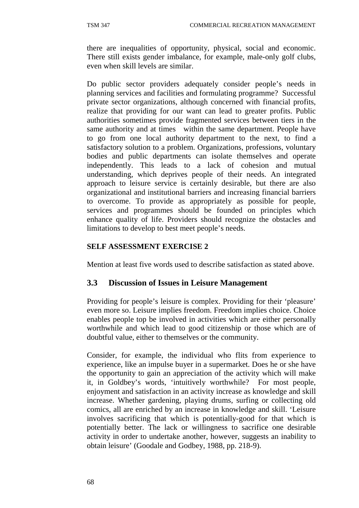there are inequalities of opportunity, physical, social and economic. There still exists gender imbalance, for example, male-only golf clubs, even when skill levels are similar.

Do public sector providers adequately consider people's needs in planning services and facilities and formulating programme? Successful private sector organizations, although concerned with financial profits, realize that providing for our want can lead to greater profits. Public authorities sometimes provide fragmented services between tiers in the same authority and at times within the same department. People have to go from one local authority department to the next, to find a satisfactory solution to a problem. Organizations, professions, voluntary bodies and public departments can isolate themselves and operate independently. This leads to a lack of cohesion and mutual understanding, which deprives people of their needs. An integrated approach to leisure service is certainly desirable, but there are also organizational and institutional barriers and increasing financial barriers to overcome. To provide as appropriately as possible for people, services and programmes should be founded on principles which enhance quality of life. Providers should recognize the obstacles and limitations to develop to best meet people's needs.

#### **SELF ASSESSMENT EXERCISE 2**

Mention at least five words used to describe satisfaction as stated above.

#### **3.3 Discussion of Issues in Leisure Management**

Providing for people's leisure is complex. Providing for their 'pleasure' even more so. Leisure implies freedom. Freedom implies choice. Choice enables people top be involved in activities which are either personally worthwhile and which lead to good citizenship or those which are of doubtful value, either to themselves or the community.

Consider, for example, the individual who flits from experience to experience, like an impulse buyer in a supermarket. Does he or she have the opportunity to gain an appreciation of the activity which will make it, in Goldbey's words, 'intuitively worthwhile? For most people, enjoyment and satisfaction in an activity increase as knowledge and skill increase. Whether gardening, playing drums, surfing or collecting old comics, all are enriched by an increase in knowledge and skill. 'Leisure involves sacrificing that which is potentially-good for that which is potentially better. The lack or willingness to sacrifice one desirable activity in order to undertake another, however, suggests an inability to obtain leisure' (Goodale and Godbey, 1988, pp. 218-9).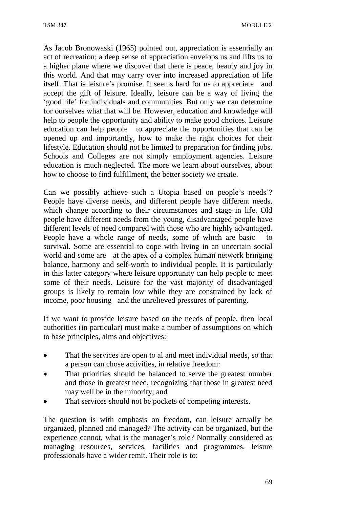As Jacob Bronowaski (1965) pointed out, appreciation is essentially an act of recreation; a deep sense of appreciation envelops us and lifts us to a higher plane where we discover that there is peace, beauty and joy in this world. And that may carry over into increased appreciation of life itself. That is leisure's promise. It seems hard for us to appreciate and accept the gift of leisure. Ideally, leisure can be a way of living the 'good life' for individuals and communities. But only we can determine for ourselves what that will be. However, education and knowledge will help to people the opportunity and ability to make good choices. Leisure education can help people to appreciate the opportunities that can be opened up and importantly, how to make the right choices for their lifestyle. Education should not be limited to preparation for finding jobs. Schools and Colleges are not simply employment agencies. Leisure education is much neglected. The more we learn about ourselves, about how to choose to find fulfillment, the better society we create.

Can we possibly achieve such a Utopia based on people's needs'? People have diverse needs, and different people have different needs, which change according to their circumstances and stage in life. Old people have different needs from the young, disadvantaged people have different levels of need compared with those who are highly advantaged. People have a whole range of needs, some of which are basic to survival. Some are essential to cope with living in an uncertain social world and some are at the apex of a complex human network bringing balance, harmony and self-worth to individual people. It is particularly in this latter category where leisure opportunity can help people to meet some of their needs. Leisure for the vast majority of disadvantaged groups is likely to remain low while they are constrained by lack of income, poor housing and the unrelieved pressures of parenting.

If we want to provide leisure based on the needs of people, then local authorities (in particular) must make a number of assumptions on which to base principles, aims and objectives:

- That the services are open to al and meet individual needs, so that a person can chose activities, in relative freedom:
- That priorities should be balanced to serve the greatest number and those in greatest need, recognizing that those in greatest need may well be in the minority; and
- That services should not be pockets of competing interests.

The question is with emphasis on freedom, can leisure actually be organized, planned and managed? The activity can be organized, but the experience cannot, what is the manager's role? Normally considered as managing resources, services, facilities and programmes, leisure professionals have a wider remit. Their role is to: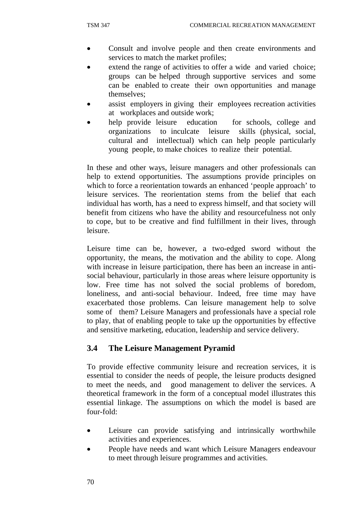- Consult and involve people and then create environments and services to match the market profiles;
- extend the range of activities to offer a wide and varied choice; groups can be helped through supportive services and some can be enabled to create their own opportunities and manage themselves;
- assist employers in giving their employees recreation activities at workplaces and outside work;
- help provide leisure education for schools, college and organizations to inculcate leisure skills (physical, social, cultural and intellectual) which can help people particularly young people, to make choices to realize their potential.

In these and other ways, leisure managers and other professionals can help to extend opportunities. The assumptions provide principles on which to force a reorientation towards an enhanced 'people approach' to leisure services. The reorientation stems from the belief that each individual has worth, has a need to express himself, and that society will benefit from citizens who have the ability and resourcefulness not only to cope, but to be creative and find fulfillment in their lives, through leisure.

Leisure time can be, however, a two-edged sword without the opportunity, the means, the motivation and the ability to cope. Along with increase in leisure participation, there has been an increase in antisocial behaviour, particularly in those areas where leisure opportunity is low. Free time has not solved the social problems of boredom, loneliness, and anti-social behaviour. Indeed, free time may have exacerbated those problems. Can leisure management help to solve some of them? Leisure Managers and professionals have a special role to play, that of enabling people to take up the opportunities by effective and sensitive marketing, education, leadership and service delivery.

## **3.4 The Leisure Management Pyramid**

To provide effective community leisure and recreation services, it is essential to consider the needs of people, the leisure products designed to meet the needs, and good management to deliver the services. A theoretical framework in the form of a conceptual model illustrates this essential linkage. The assumptions on which the model is based are four-fold:

- Leisure can provide satisfying and intrinsically worthwhile activities and experiences.
- People have needs and want which Leisure Managers endeavour to meet through leisure programmes and activities.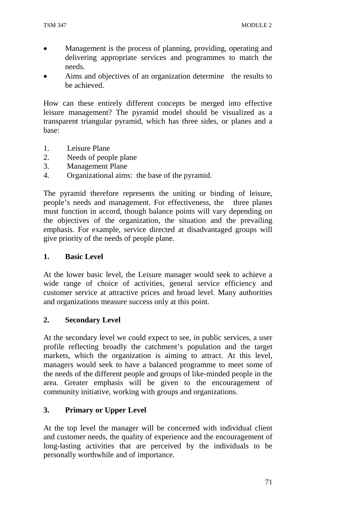- Management is the process of planning, providing, operating and delivering appropriate services and programmes to match the needs.
- Aims and objectives of an organization determine the results to be achieved.

How can these entirely different concepts be merged into effective leisure management? The pyramid model should be visualized as a transparent triangular pyramid, which has three sides, or planes and a base:

- 1. Leisure Plane
- 2. Needs of people plane
- 3. Management Plane
- 4. Organizational aims: the base of the pyramid.

The pyramid therefore represents the uniting or binding of leisure, people's needs and management. For effectiveness, the three planes must function in accord, though balance points will vary depending on the objectives of the organization, the situation and the prevailing emphasis. For example, service directed at disadvantaged groups will give priority of the needs of people plane.

#### **1. Basic Level**

At the lower basic level, the Leisure manager would seek to achieve a wide range of choice of activities, general service efficiency and customer service at attractive prices and broad level. Many authorities and organizations measure success only at this point.

#### **2. Secondary Level**

At the secondary level we could expect to see, in public services, a user profile reflecting broadly the catchment's population and the target markets, which the organization is aiming to attract. At this level, managers would seek to have a balanced programme to meet some of the needs of the different people and groups of like-minded people in the area. Greater emphasis will be given to the encouragement of community initiative, working with groups and organizations.

#### **3. Primary or Upper Level**

At the top level the manager will be concerned with individual client and customer needs, the quality of experience and the encouragement of long-lasting activities that are perceived by the individuals to be personally worthwhile and of importance.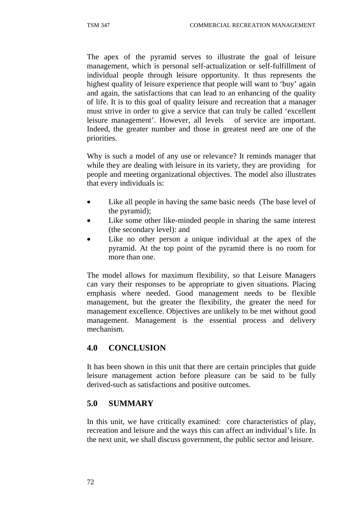The apex of the pyramid serves to illustrate the goal of leisure management, which is personal self-actualization or self-fulfillment of individual people through leisure opportunity. It thus represents the highest quality of leisure experience that people will want to 'buy' again and again, the satisfactions that can lead to an enhancing of the quality of life. It is to this goal of quality leisure and recreation that a manager must strive in order to give a service that can truly be called 'excellent leisure management'. However, all levels of service are important. Indeed, the greater number and those in greatest need are one of the priorities.

Why is such a model of any use or relevance? It reminds manager that while they are dealing with leisure in its variety, they are providing for people and meeting organizational objectives. The model also illustrates that every individuals is:

- Like all people in having the same basic needs (The base level of the pyramid);
- Like some other like-minded people in sharing the same interest (the secondary level): and
- Like no other person a unique individual at the apex of the pyramid. At the top point of the pyramid there is no room for more than one.

The model allows for maximum flexibility, so that Leisure Managers can vary their responses to be appropriate to given situations. Placing emphasis where needed. Good management needs to be flexible management, but the greater the flexibility, the greater the need for management excellence. Objectives are unlikely to be met without good management. Management is the essential process and delivery mechanism.

## **4.0 CONCLUSION**

It has been shown in this unit that there are certain principles that guide leisure management action before pleasure can be said to be fully derived-such as satisfactions and positive outcomes.

#### **5.0 SUMMARY**

In this unit, we have critically examined: core characteristics of play, recreation and leisure and the ways this can affect an individual's life. In the next unit, we shall discuss government, the public sector and leisure.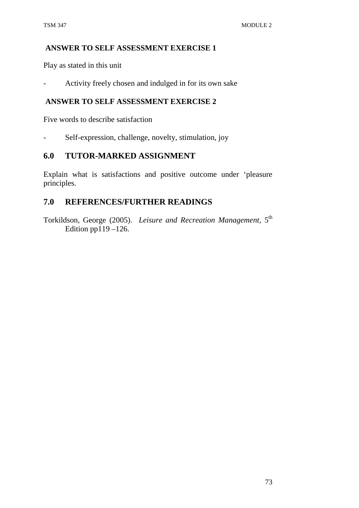## **ANSWER TO SELF ASSESSMENT EXERCISE 1**

Play as stated in this unit

- Activity freely chosen and indulged in for its own sake

## **ANSWER TO SELF ASSESSMENT EXERCISE 2**

Five words to describe satisfaction

- Self-expression, challenge, novelty, stimulation, joy

# **6.0 TUTOR-MARKED ASSIGNMENT**

Explain what is satisfactions and positive outcome under 'pleasure principles.

# **7.0 REFERENCES/FURTHER READINGS**

Torkildson, George (2005). *Leisure and Recreation Management,* 5th Edition pp $119 - 126$ .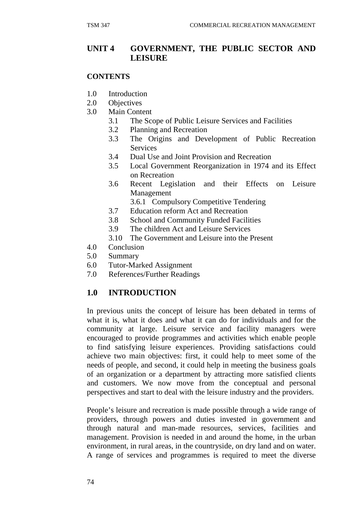## **UNIT 4 GOVERNMENT, THE PUBLIC SECTOR AND LEISURE**

#### **CONTENTS**

- 1.0 Introduction
- 2.0 Objectives
- 3.0 Main Content
	- 3.1 The Scope of Public Leisure Services and Facilities
	- 3.2 Planning and Recreation
	- 3.3 The Origins and Development of Public Recreation Services
	- 3.4 Dual Use and Joint Provision and Recreation
	- 3.5 Local Government Reorganization in 1974 and its Effect on Recreation
	- 3.6 Recent Legislation and their Effects on Leisure Management

3.6.1 Compulsory Competitive Tendering

- 3.7 Education reform Act and Recreation
- 3.8 School and Community Funded Facilities
- 3.9 The children Act and Leisure Services
- 3.10 The Government and Leisure into the Present
- 4.0 Conclusion
- 5.0 Summary
- 6.0 Tutor-Marked Assignment
- 7.0 References/Further Readings

## **1.0 INTRODUCTION**

In previous units the concept of leisure has been debated in terms of what it is, what it does and what it can do for individuals and for the community at large. Leisure service and facility managers were encouraged to provide programmes and activities which enable people to find satisfying leisure experiences. Providing satisfactions could achieve two main objectives: first, it could help to meet some of the needs of people, and second, it could help in meeting the business goals of an organization or a department by attracting more satisfied clients and customers. We now move from the conceptual and personal perspectives and start to deal with the leisure industry and the providers.

People's leisure and recreation is made possible through a wide range of providers, through powers and duties invested in government and through natural and man-made resources, services, facilities and management. Provision is needed in and around the home, in the urban environment, in rural areas, in the countryside, on dry land and on water. A range of services and programmes is required to meet the diverse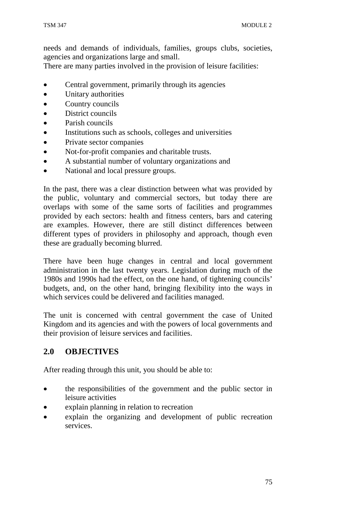needs and demands of individuals, families, groups clubs, societies, agencies and organizations large and small.

There are many parties involved in the provision of leisure facilities:

- Central government, primarily through its agencies
- Unitary authorities
- Country councils
- District councils
- Parish councils
- Institutions such as schools, colleges and universities
- Private sector companies
- Not-for-profit companies and charitable trusts.
- A substantial number of voluntary organizations and
- National and local pressure groups.

In the past, there was a clear distinction between what was provided by the public, voluntary and commercial sectors, but today there are overlaps with some of the same sorts of facilities and programmes provided by each sectors: health and fitness centers, bars and catering are examples. However, there are still distinct differences between different types of providers in philosophy and approach, though even these are gradually becoming blurred.

There have been huge changes in central and local government administration in the last twenty years. Legislation during much of the 1980s and 1990s had the effect, on the one hand, of tightening councils' budgets, and, on the other hand, bringing flexibility into the ways in which services could be delivered and facilities managed.

The unit is concerned with central government the case of United Kingdom and its agencies and with the powers of local governments and their provision of leisure services and facilities.

# **2.0 OBJECTIVES**

After reading through this unit, you should be able to:

- the responsibilities of the government and the public sector in leisure activities
- explain planning in relation to recreation
- explain the organizing and development of public recreation services.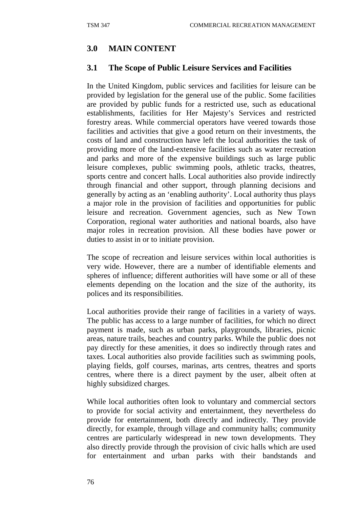# **3.0 MAIN CONTENT**

#### **3.1 The Scope of Public Leisure Services and Facilities**

In the United Kingdom, public services and facilities for leisure can be provided by legislation for the general use of the public. Some facilities are provided by public funds for a restricted use, such as educational establishments, facilities for Her Majesty's Services and restricted forestry areas. While commercial operators have veered towards those facilities and activities that give a good return on their investments, the costs of land and construction have left the local authorities the task of providing more of the land-extensive facilities such as water recreation and parks and more of the expensive buildings such as large public leisure complexes, public swimming pools, athletic tracks, theatres, sports centre and concert halls. Local authorities also provide indirectly through financial and other support, through planning decisions and generally by acting as an 'enabling authority'. Local authority thus plays a major role in the provision of facilities and opportunities for public leisure and recreation. Government agencies, such as New Town Corporation, regional water authorities and national boards, also have major roles in recreation provision. All these bodies have power or duties to assist in or to initiate provision.

The scope of recreation and leisure services within local authorities is very wide. However, there are a number of identifiable elements and spheres of influence; different authorities will have some or all of these elements depending on the location and the size of the authority, its polices and its responsibilities.

Local authorities provide their range of facilities in a variety of ways. The public has access to a large number of facilities, for which no direct payment is made, such as urban parks, playgrounds, libraries, picnic areas, nature trails, beaches and country parks. While the public does not pay directly for these amenities, it does so indirectly through rates and taxes. Local authorities also provide facilities such as swimming pools, playing fields, golf courses, marinas, arts centres, theatres and sports centres, where there is a direct payment by the user, albeit often at highly subsidized charges.

While local authorities often look to voluntary and commercial sectors to provide for social activity and entertainment, they nevertheless do provide for entertainment, both directly and indirectly. They provide directly, for example, through village and community halls; community centres are particularly widespread in new town developments. They also directly provide through the provision of civic halls which are used for entertainment and urban parks with their bandstands and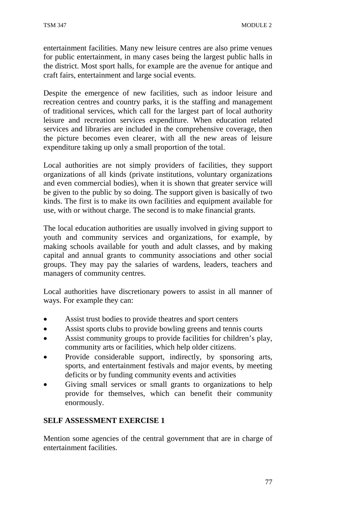entertainment facilities. Many new leisure centres are also prime venues for public entertainment, in many cases being the largest public halls in the district. Most sport halls, for example are the avenue for antique and craft fairs, entertainment and large social events.

Despite the emergence of new facilities, such as indoor leisure and recreation centres and country parks, it is the staffing and management of traditional services, which call for the largest part of local authority leisure and recreation services expenditure. When education related services and libraries are included in the comprehensive coverage, then the picture becomes even clearer, with all the new areas of leisure expenditure taking up only a small proportion of the total.

Local authorities are not simply providers of facilities, they support organizations of all kinds (private institutions, voluntary organizations and even commercial bodies), when it is shown that greater service will be given to the public by so doing. The support given is basically of two kinds. The first is to make its own facilities and equipment available for use, with or without charge. The second is to make financial grants.

The local education authorities are usually involved in giving support to youth and community services and organizations, for example, by making schools available for youth and adult classes, and by making capital and annual grants to community associations and other social groups. They may pay the salaries of wardens, leaders, teachers and managers of community centres.

Local authorities have discretionary powers to assist in all manner of ways. For example they can:

- Assist trust bodies to provide theatres and sport centers
- Assist sports clubs to provide bowling greens and tennis courts
- Assist community groups to provide facilities for children's play, community arts or facilities, which help older citizens.
- Provide considerable support, indirectly, by sponsoring arts, sports, and entertainment festivals and major events, by meeting deficits or by funding community events and activities
- Giving small services or small grants to organizations to help provide for themselves, which can benefit their community enormously.

#### **SELF ASSESSMENT EXERCISE 1**

Mention some agencies of the central government that are in charge of entertainment facilities.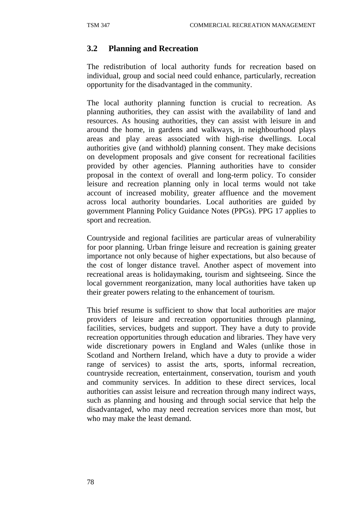### **3.2 Planning and Recreation**

The redistribution of local authority funds for recreation based on individual, group and social need could enhance, particularly, recreation opportunity for the disadvantaged in the community.

The local authority planning function is crucial to recreation. As planning authorities, they can assist with the availability of land and resources. As housing authorities, they can assist with leisure in and around the home, in gardens and walkways, in neighbourhood plays areas and play areas associated with high-rise dwellings. Local authorities give (and withhold) planning consent. They make decisions on development proposals and give consent for recreational facilities provided by other agencies. Planning authorities have to consider proposal in the context of overall and long-term policy. To consider leisure and recreation planning only in local terms would not take account of increased mobility, greater affluence and the movement across local authority boundaries. Local authorities are guided by government Planning Policy Guidance Notes (PPGs). PPG 17 applies to sport and recreation.

Countryside and regional facilities are particular areas of vulnerability for poor planning. Urban fringe leisure and recreation is gaining greater importance not only because of higher expectations, but also because of the cost of longer distance travel. Another aspect of movement into recreational areas is holidaymaking, tourism and sightseeing. Since the local government reorganization, many local authorities have taken up their greater powers relating to the enhancement of tourism.

This brief resume is sufficient to show that local authorities are major providers of leisure and recreation opportunities through planning, facilities, services, budgets and support. They have a duty to provide recreation opportunities through education and libraries. They have very wide discretionary powers in England and Wales (unlike those in Scotland and Northern Ireland, which have a duty to provide a wider range of services) to assist the arts, sports, informal recreation, countryside recreation, entertainment, conservation, tourism and youth and community services. In addition to these direct services, local authorities can assist leisure and recreation through many indirect ways, such as planning and housing and through social service that help the disadvantaged, who may need recreation services more than most, but who may make the least demand.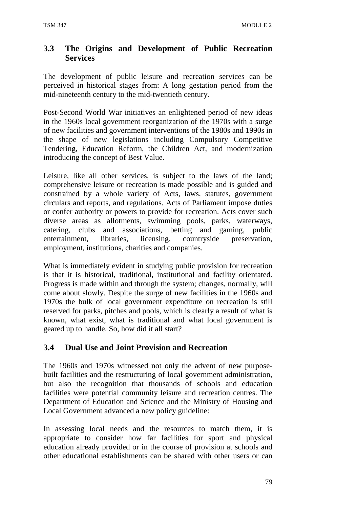# **3.3 The Origins and Development of Public Recreation Services**

The development of public leisure and recreation services can be perceived in historical stages from: A long gestation period from the mid-nineteenth century to the mid-twentieth century.

Post-Second World War initiatives an enlightened period of new ideas in the 1960s local government reorganization of the 1970s with a surge of new facilities and government interventions of the 1980s and 1990s in the shape of new legislations including Compulsory Competitive Tendering, Education Reform, the Children Act, and modernization introducing the concept of Best Value.

Leisure, like all other services, is subject to the laws of the land; comprehensive leisure or recreation is made possible and is guided and constrained by a whole variety of Acts, laws, statutes, government circulars and reports, and regulations. Acts of Parliament impose duties or confer authority or powers to provide for recreation. Acts cover such diverse areas as allotments, swimming pools, parks, waterways, catering, clubs and associations, betting and gaming, public entertainment, libraries, licensing, countryside preservation, employment, institutions, charities and companies.

What is immediately evident in studying public provision for recreation is that it is historical, traditional, institutional and facility orientated. Progress is made within and through the system; changes, normally, will come about slowly. Despite the surge of new facilities in the 1960s and 1970s the bulk of local government expenditure on recreation is still reserved for parks, pitches and pools, which is clearly a result of what is known, what exist, what is traditional and what local government is geared up to handle. So, how did it all start?

## **3.4 Dual Use and Joint Provision and Recreation**

The 1960s and 1970s witnessed not only the advent of new purposebuilt facilities and the restructuring of local government administration, but also the recognition that thousands of schools and education facilities were potential community leisure and recreation centres. The Department of Education and Science and the Ministry of Housing and Local Government advanced a new policy guideline:

In assessing local needs and the resources to match them, it is appropriate to consider how far facilities for sport and physical education already provided or in the course of provision at schools and other educational establishments can be shared with other users or can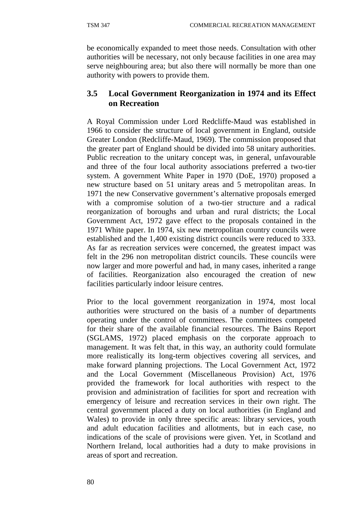be economically expanded to meet those needs. Consultation with other authorities will be necessary, not only because facilities in one area may serve neighbouring area; but also there will normally be more than one authority with powers to provide them.

## **3.5 Local Government Reorganization in 1974 and its Effect on Recreation**

A Royal Commission under Lord Redcliffe-Maud was established in 1966 to consider the structure of local government in England, outside Greater London (Redcliffe-Maud, 1969). The commission proposed that the greater part of England should be divided into 58 unitary authorities. Public recreation to the unitary concept was, in general, unfavourable and three of the four local authority associations preferred a two-tier system. A government White Paper in 1970 (DoE, 1970) proposed a new structure based on 51 unitary areas and 5 metropolitan areas. In 1971 the new Conservative government's alternative proposals emerged with a compromise solution of a two-tier structure and a radical reorganization of boroughs and urban and rural districts; the Local Government Act, 1972 gave effect to the proposals contained in the 1971 White paper. In 1974, six new metropolitan country councils were established and the 1,400 existing district councils were reduced to 333. As far as recreation services were concerned, the greatest impact was felt in the 296 non metropolitan district councils. These councils were now larger and more powerful and had, in many cases, inherited a range of facilities. Reorganization also encouraged the creation of new facilities particularly indoor leisure centres.

Prior to the local government reorganization in 1974, most local authorities were structured on the basis of a number of departments operating under the control of committees. The committees competed for their share of the available financial resources. The Bains Report (SGLAMS, 1972) placed emphasis on the corporate approach to management. It was felt that, in this way, an authority could formulate more realistically its long-term objectives covering all services, and make forward planning projections. The Local Government Act, 1972 and the Local Government (Miscellaneous Provision) Act, 1976 provided the framework for local authorities with respect to the provision and administration of facilities for sport and recreation with emergency of leisure and recreation services in their own right. The central government placed a duty on local authorities (in England and Wales) to provide in only three specific areas: library services, youth and adult education facilities and allotments, but in each case, no indications of the scale of provisions were given. Yet, in Scotland and Northern Ireland, local authorities had a duty to make provisions in areas of sport and recreation.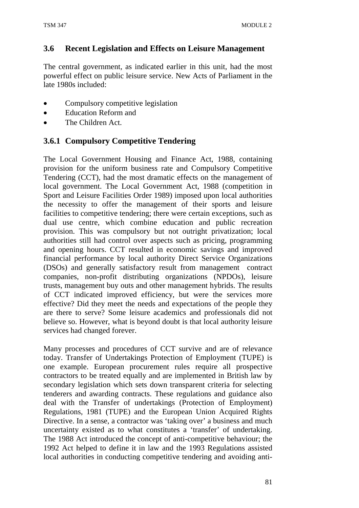## **3.6 Recent Legislation and Effects on Leisure Management**

The central government, as indicated earlier in this unit, had the most powerful effect on public leisure service. New Acts of Parliament in the late 1980s included:

- Compulsory competitive legislation
- Education Reform and
- The Children Act.

## **3.6.1 Compulsory Competitive Tendering**

The Local Government Housing and Finance Act, 1988, containing provision for the uniform business rate and Compulsory Competitive Tendering (CCT), had the most dramatic effects on the management of local government. The Local Government Act, 1988 (competition in Sport and Leisure Facilities Order 1989) imposed upon local authorities the necessity to offer the management of their sports and leisure facilities to competitive tendering; there were certain exceptions, such as dual use centre, which combine education and public recreation provision. This was compulsory but not outright privatization; local authorities still had control over aspects such as pricing, programming and opening hours. CCT resulted in economic savings and improved financial performance by local authority Direct Service Organizations (DSOs) and generally satisfactory result from management contract companies, non-profit distributing organizations (NPDOs), leisure trusts, management buy outs and other management hybrids. The results of CCT indicated improved efficiency, but were the services more effective? Did they meet the needs and expectations of the people they are there to serve? Some leisure academics and professionals did not believe so. However, what is beyond doubt is that local authority leisure services had changed forever.

Many processes and procedures of CCT survive and are of relevance today. Transfer of Undertakings Protection of Employment (TUPE) is one example. European procurement rules require all prospective contractors to be treated equally and are implemented in British law by secondary legislation which sets down transparent criteria for selecting tenderers and awarding contracts. These regulations and guidance also deal with the Transfer of undertakings (Protection of Employment) Regulations, 1981 (TUPE) and the European Union Acquired Rights Directive. In a sense, a contractor was 'taking over' a business and much uncertainty existed as to what constitutes a 'transfer' of undertaking. The 1988 Act introduced the concept of anti-competitive behaviour; the 1992 Act helped to define it in law and the 1993 Regulations assisted local authorities in conducting competitive tendering and avoiding anti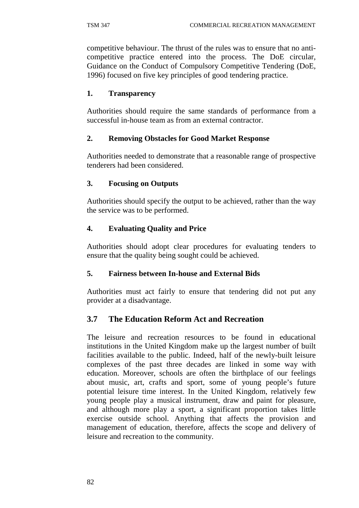competitive behaviour. The thrust of the rules was to ensure that no anticompetitive practice entered into the process. The DoE circular, Guidance on the Conduct of Compulsory Competitive Tendering (DoE, 1996) focused on five key principles of good tendering practice.

#### **1. Transparency**

Authorities should require the same standards of performance from a successful in-house team as from an external contractor.

### **2. Removing Obstacles for Good Market Response**

Authorities needed to demonstrate that a reasonable range of prospective tenderers had been considered.

### **3. Focusing on Outputs**

Authorities should specify the output to be achieved, rather than the way the service was to be performed.

## **4. Evaluating Quality and Price**

Authorities should adopt clear procedures for evaluating tenders to ensure that the quality being sought could be achieved.

#### **5. Fairness between In-house and External Bids**

Authorities must act fairly to ensure that tendering did not put any provider at a disadvantage.

## **3.7 The Education Reform Act and Recreation**

The leisure and recreation resources to be found in educational institutions in the United Kingdom make up the largest number of built facilities available to the public. Indeed, half of the newly-built leisure complexes of the past three decades are linked in some way with education. Moreover, schools are often the birthplace of our feelings about music, art, crafts and sport, some of young people's future potential leisure time interest. In the United Kingdom, relatively few young people play a musical instrument, draw and paint for pleasure, and although more play a sport, a significant proportion takes little exercise outside school. Anything that affects the provision and management of education, therefore, affects the scope and delivery of leisure and recreation to the community.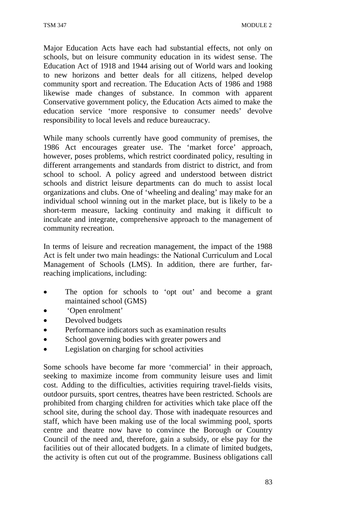Major Education Acts have each had substantial effects, not only on schools, but on leisure community education in its widest sense. The Education Act of 1918 and 1944 arising out of World wars and looking to new horizons and better deals for all citizens, helped develop community sport and recreation. The Education Acts of 1986 and 1988 likewise made changes of substance. In common with apparent Conservative government policy, the Education Acts aimed to make the education service 'more responsive to consumer needs' devolve responsibility to local levels and reduce bureaucracy.

While many schools currently have good community of premises, the 1986 Act encourages greater use. The 'market force' approach, however, poses problems, which restrict coordinated policy, resulting in different arrangements and standards from district to district, and from school to school. A policy agreed and understood between district schools and district leisure departments can do much to assist local organizations and clubs. One of 'wheeling and dealing' may make for an individual school winning out in the market place, but is likely to be a short-term measure, lacking continuity and making it difficult to inculcate and integrate, comprehensive approach to the management of community recreation.

In terms of leisure and recreation management, the impact of the 1988 Act is felt under two main headings: the National Curriculum and Local Management of Schools (LMS). In addition, there are further, farreaching implications, including:

- The option for schools to 'opt out' and become a grant maintained school (GMS)
- 'Open enrolment'
- Devolved budgets
- Performance indicators such as examination results
- School governing bodies with greater powers and
- Legislation on charging for school activities

Some schools have become far more 'commercial' in their approach, seeking to maximize income from community leisure uses and limit cost. Adding to the difficulties, activities requiring travel-fields visits, outdoor pursuits, sport centres, theatres have been restricted. Schools are prohibited from charging children for activities which take place off the school site, during the school day. Those with inadequate resources and staff, which have been making use of the local swimming pool, sports centre and theatre now have to convince the Borough or Country Council of the need and, therefore, gain a subsidy, or else pay for the facilities out of their allocated budgets. In a climate of limited budgets, the activity is often cut out of the programme. Business obligations call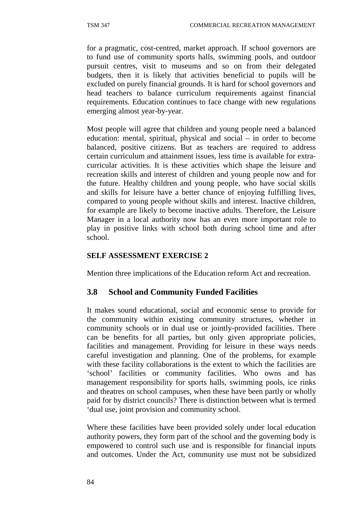for a pragmatic, cost-centred, market approach. If school governors are to fund use of community sports halls, swimming pools, and outdoor pursuit centres, visit to museums and so on from their delegated budgets, then it is likely that activities beneficial to pupils will be excluded on purely financial grounds. It is hard for school governors and head teachers to balance curriculum requirements against financial requirements. Education continues to face change with new regulations emerging almost year-by-year.

Most people will agree that children and young people need a balanced education: mental, spiritual, physical and social – in order to become balanced, positive citizens. But as teachers are required to address certain curriculum and attainment issues, less time is available for extracurricular activities. It is these activities which shape the leisure and recreation skills and interest of children and young people now and for the future. Healthy children and young people, who have social skills and skills for leisure have a better chance of enjoying fulfilling lives, compared to young people without skills and interest. Inactive children, for example are likely to become inactive adults. Therefore, the Leisure Manager in a local authority now has an even more important role to play in positive links with school both during school time and after school.

#### **SELF ASSESSMENT EXERCISE 2**

Mention three implications of the Education reform Act and recreation.

#### **3.8 School and Community Funded Facilities**

It makes sound educational, social and economic sense to provide for the community within existing community structures, whether in community schools or in dual use or jointly-provided facilities. There can be benefits for all parties, but only given appropriate policies, facilities and management. Providing for leisure in these ways needs careful investigation and planning. One of the problems, for example with these facility collaborations is the extent to which the facilities are 'school' facilities or community facilities. Who owns and has management responsibility for sports halls, swimming pools, ice rinks and theatres on school campuses, when these have been partly or wholly paid for by district councils? There is distinction between what is termed 'dual use, joint provision and community school.

Where these facilities have been provided solely under local education authority powers, they form part of the school and the governing body is empowered to control such use and is responsible for financial inputs and outcomes. Under the Act, community use must not be subsidized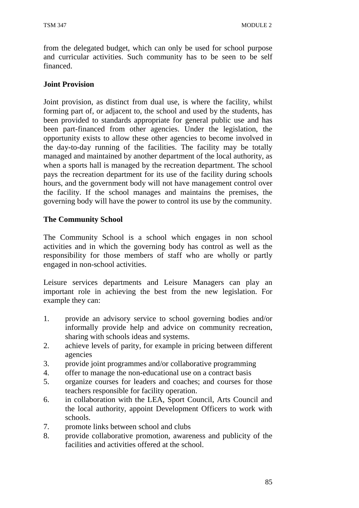from the delegated budget, which can only be used for school purpose and curricular activities. Such community has to be seen to be self financed.

#### **Joint Provision**

Joint provision, as distinct from dual use, is where the facility, whilst forming part of, or adjacent to, the school and used by the students, has been provided to standards appropriate for general public use and has been part-financed from other agencies. Under the legislation, the opportunity exists to allow these other agencies to become involved in the day-to-day running of the facilities. The facility may be totally managed and maintained by another department of the local authority, as when a sports hall is managed by the recreation department. The school pays the recreation department for its use of the facility during schools hours, and the government body will not have management control over the facility. If the school manages and maintains the premises, the governing body will have the power to control its use by the community.

#### **The Community School**

The Community School is a school which engages in non school activities and in which the governing body has control as well as the responsibility for those members of staff who are wholly or partly engaged in non-school activities.

Leisure services departments and Leisure Managers can play an important role in achieving the best from the new legislation. For example they can:

- 1. provide an advisory service to school governing bodies and/or informally provide help and advice on community recreation, sharing with schools ideas and systems.
- 2. achieve levels of parity, for example in pricing between different agencies
- 3. provide joint programmes and/or collaborative programming
- 4. offer to manage the non-educational use on a contract basis
- 5. organize courses for leaders and coaches; and courses for those teachers responsible for facility operation.
- 6. in collaboration with the LEA, Sport Council, Arts Council and the local authority, appoint Development Officers to work with schools.
- 7. promote links between school and clubs
- 8. provide collaborative promotion, awareness and publicity of the facilities and activities offered at the school.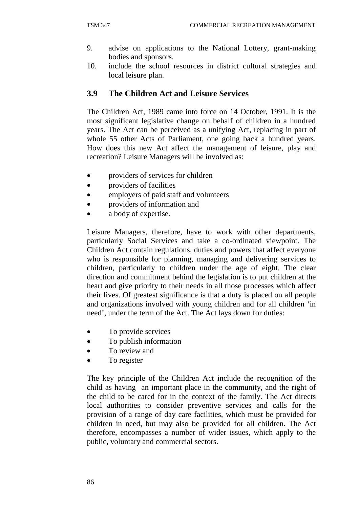- 9. advise on applications to the National Lottery, grant-making bodies and sponsors.
- 10. include the school resources in district cultural strategies and local leisure plan.

# **3.9 The Children Act and Leisure Services**

The Children Act, 1989 came into force on 14 October, 1991. It is the most significant legislative change on behalf of children in a hundred years. The Act can be perceived as a unifying Act, replacing in part of whole 55 other Acts of Parliament, one going back a hundred years. How does this new Act affect the management of leisure, play and recreation? Leisure Managers will be involved as:

- providers of services for children
- providers of facilities
- employers of paid staff and volunteers
- providers of information and
- a body of expertise.

Leisure Managers, therefore, have to work with other departments, particularly Social Services and take a co-ordinated viewpoint. The Children Act contain regulations, duties and powers that affect everyone who is responsible for planning, managing and delivering services to children, particularly to children under the age of eight. The clear direction and commitment behind the legislation is to put children at the heart and give priority to their needs in all those processes which affect their lives. Of greatest significance is that a duty is placed on all people and organizations involved with young children and for all children 'in need', under the term of the Act. The Act lays down for duties:

- To provide services
- To publish information
- To review and
- To register

The key principle of the Children Act include the recognition of the child as having an important place in the community, and the right of the child to be cared for in the context of the family. The Act directs local authorities to consider preventive services and calls for the provision of a range of day care facilities, which must be provided for children in need, but may also be provided for all children. The Act therefore, encompasses a number of wider issues, which apply to the public, voluntary and commercial sectors.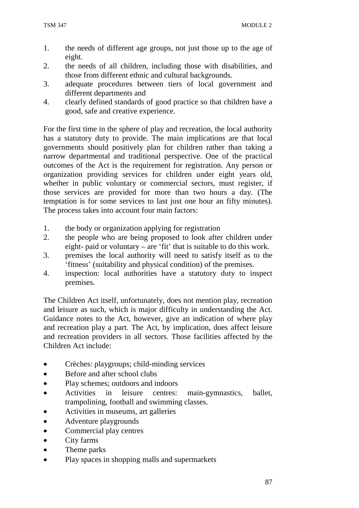- 1. the needs of different age groups, not just those up to the age of eight.
- 2. the needs of all children, including those with disabilities, and those from different ethnic and cultural backgrounds.
- 3. adequate procedures between tiers of local government and different departments and
- 4. clearly defined standards of good practice so that children have a good, safe and creative experience.

For the first time in the sphere of play and recreation, the local authority has a statutory duty to provide. The main implications are that local governments should positively plan for children rather than taking a narrow departmental and traditional perspective. One of the practical outcomes of the Act is the requirement for registration. Any person or organization providing services for children under eight years old, whether in public voluntary or commercial sectors, must register, if those services are provided for more than two hours a day. (The temptation is for some services to last just one hour an fifty minutes). The process takes into account four main factors:

- 1. the body or organization applying for registration
- 2. the people who are being proposed to look after children under eight- paid or voluntary – are 'fit' that is suitable to do this work.
- 3. premises the local authority will need to satisfy itself as to the 'fitness' (suitability and physical condition) of the premises.
- 4. inspection: local authorities have a statutory duty to inspect premises.

The Children Act itself, unfortunately, does not mention play, recreation and leisure as such, which is major difficulty in understanding the Act. Guidance notes to the Act, however, give an indication of where play and recreation play a part. The Act, by implication, does affect leisure and recreation providers in all sectors. Those facilities affected by the Children Act include:

- Crèches: playgroups; child-minding services
- Before and after school clubs
- Play schemes; outdoors and indoors
- Activities in leisure centres: main-gymnastics, ballet, trampolining, football and swimming classes.
- Activities in museums, art galleries
- Adventure playgrounds
- Commercial play centres
- City farms
- Theme parks
- Play spaces in shopping malls and supermarkets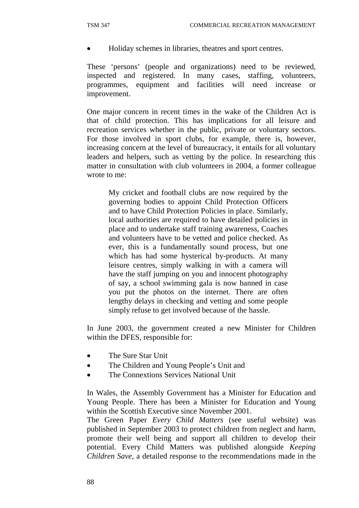• Holiday schemes in libraries, theatres and sport centres.

These 'persons' (people and organizations) need to be reviewed, inspected and registered. In many cases, staffing, volunteers, programmes, equipment and facilities will need increase or improvement.

One major concern in recent times in the wake of the Children Act is that of child protection. This has implications for all leisure and recreation services whether in the public, private or voluntary sectors. For those involved in sport clubs, for example, there is, however, increasing concern at the level of bureaucracy, it entails for all voluntary leaders and helpers, such as vetting by the police. In researching this matter in consultation with club volunteers in 2004, a former colleague wrote to me:

My cricket and football clubs are now required by the governing bodies to appoint Child Protection Officers and to have Child Protection Policies in place. Similarly, local authorities are required to have detailed policies in place and to undertake staff training awareness, Coaches and volunteers have to be vetted and police checked. As ever, this is a fundamentally sound process, but one which has had some hysterical by-products. At many leisure centres, simply walking in with a camera will have the staff jumping on you and innocent photography of say, a school swimming gala is now banned in case you put the photos on the internet. There are often lengthy delays in checking and vetting and some people simply refuse to get involved because of the hassle.

In June 2003, the government created a new Minister for Children within the DFES, responsible for:

- The Sure Star Unit
- The Children and Young People's Unit and
- The Connextions Services National Unit

In Wales, the Assembly Government has a Minister for Education and Young People. There has been a Minister for Education and Young within the Scottish Executive since November 2001.

The Green Paper *Every Child Matters* (see useful website) was published in September 2003 to protect children from neglect and harm, promote their well being and support all children to develop their potential. Every Child Matters was published alongside *Keeping Children Save*, a detailed response to the recommendations made in the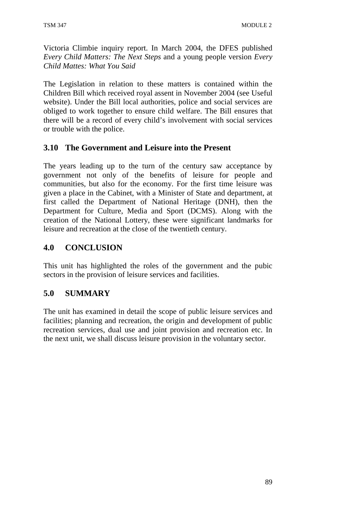Victoria Climbie inquiry report. In March 2004, the DFES published *Every Child Matters: The Next Steps* and a young people version *Every Child Mattes: What You Said* 

The Legislation in relation to these matters is contained within the Children Bill which received royal assent in November 2004 (see Useful website). Under the Bill local authorities, police and social services are obliged to work together to ensure child welfare. The Bill ensures that there will be a record of every child's involvement with social services or trouble with the police.

# **3.10 The Government and Leisure into the Present**

The years leading up to the turn of the century saw acceptance by government not only of the benefits of leisure for people and communities, but also for the economy. For the first time leisure was given a place in the Cabinet, with a Minister of State and department, at first called the Department of National Heritage (DNH), then the Department for Culture, Media and Sport (DCMS). Along with the creation of the National Lottery, these were significant landmarks for leisure and recreation at the close of the twentieth century.

# **4.0 CONCLUSION**

This unit has highlighted the roles of the government and the pubic sectors in the provision of leisure services and facilities.

# **5.0 SUMMARY**

The unit has examined in detail the scope of public leisure services and facilities; planning and recreation, the origin and development of public recreation services, dual use and joint provision and recreation etc. In the next unit, we shall discuss leisure provision in the voluntary sector.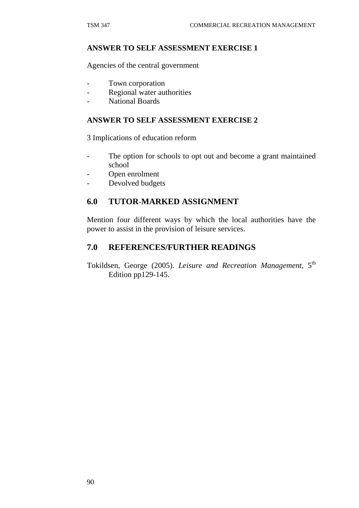#### **ANSWER TO SELF ASSESSMENT EXERCISE 1**

Agencies of the central government

- Town corporation
- Regional water authorities
- National Boards

#### **ANSWER TO SELF ASSESSMENT EXERCISE 2**

3 Implications of education reform

- The option for schools to opt out and become a grant maintained school
- Open enrolment
- Devolved budgets

#### **6.0 TUTOR**-**MARKED ASSIGNMENT**

Mention four different ways by which the local authorities have the power to assist in the provision of leisure services.

#### **7.0 REFERENCES/FURTHER READINGS**

Tokildsen, George (2005). *Leisure and Recreation Management*, 5<sup>th</sup> Edition pp129-145.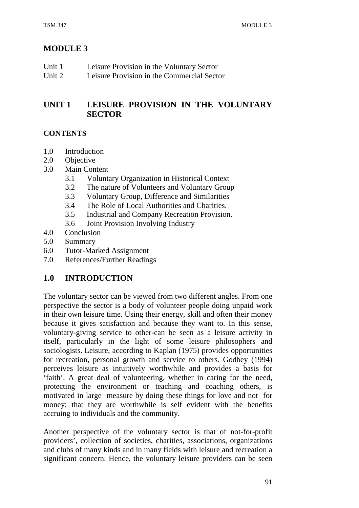# **MODULE 3**

| Unit 1           |  |                           |  | Leisure Provision in the Voluntary Sector |                             |  |
|------------------|--|---------------------------|--|-------------------------------------------|-----------------------------|--|
| $T$ $T$ , $\sim$ |  | $\mathbf{R}$ $\mathbf{A}$ |  |                                           | $\sim$ $\sim$ $\sim$ $\sim$ |  |

Unit 2 Leisure Provision in the Commercial Sector

# **UNIT 1 LEISURE PROVISION IN THE VOLUNTARY SECTOR**

# **CONTENTS**

- 1.0 Introduction
- 2.0 Objective
- 3.0 Main Content
	- 3.1 Voluntary Organization in Historical Context
	- 3.2 The nature of Volunteers and Voluntary Group
	- 3.3 Voluntary Group, Difference and Similarities
	- 3.4 The Role of Local Authorities and Charities.
	- 3.5 Industrial and Company Recreation Provision.
	- 3.6 Joint Provision Involving Industry
- 4.0 Conclusion
- 5.0 Summary
- 6.0 Tutor-Marked Assignment
- 7.0 References/Further Readings

# **1.0 INTRODUCTION**

The voluntary sector can be viewed from two different angles. From one perspective the sector is a body of volunteer people doing unpaid work in their own leisure time. Using their energy, skill and often their money because it gives satisfaction and because they want to. In this sense, voluntary-giving service to other-can be seen as a leisure activity in itself, particularly in the light of some leisure philosophers and sociologists. Leisure, according to Kaplan (1975) provides opportunities for recreation, personal growth and service to others. Godbey (1994) perceives leisure as intuitively worthwhile and provides a basis for 'faith'. A great deal of volunteering, whether in caring for the need, protecting the environment or teaching and coaching others, is motivated in large measure by doing these things for love and not for money; that they are worthwhile is self evident with the benefits accruing to individuals and the community.

Another perspective of the voluntary sector is that of not-for-profit providers', collection of societies, charities, associations, organizations and clubs of many kinds and in many fields with leisure and recreation a significant concern. Hence, the voluntary leisure providers can be seen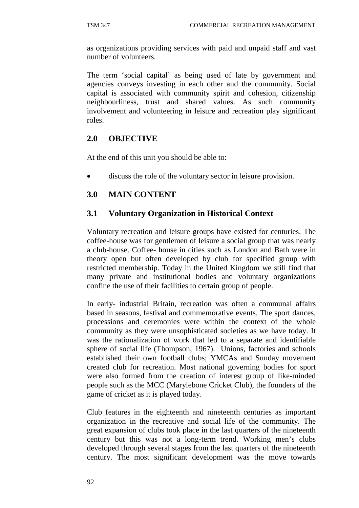as organizations providing services with paid and unpaid staff and vast number of volunteers.

The term 'social capital' as being used of late by government and agencies conveys investing in each other and the community. Social capital is associated with community spirit and cohesion, citizenship neighbourliness, trust and shared values. As such community involvement and volunteering in leisure and recreation play significant roles.

### **2.0 OBJECTIVE**

At the end of this unit you should be able to:

• discuss the role of the voluntary sector in leisure provision.

## **3.0 MAIN CONTENT**

#### **3.1 Voluntary Organization in Historical Context**

Voluntary recreation and leisure groups have existed for centuries. The coffee-house was for gentlemen of leisure a social group that was nearly a club-house. Coffee- house in cities such as London and Bath were in theory open but often developed by club for specified group with restricted membership. Today in the United Kingdom we still find that many private and institutional bodies and voluntary organizations confine the use of their facilities to certain group of people.

In early- industrial Britain, recreation was often a communal affairs based in seasons, festival and commemorative events. The sport dances, processions and ceremonies were within the context of the whole community as they were unsophisticated societies as we have today. It was the rationalization of work that led to a separate and identifiable sphere of social life (Thompson, 1967). Unions, factories and schools established their own football clubs; YMCAs and Sunday movement created club for recreation. Most national governing bodies for sport were also formed from the creation of interest group of like-minded people such as the MCC (Marylebone Cricket Club), the founders of the game of cricket as it is played today.

Club features in the eighteenth and nineteenth centuries as important organization in the recreative and social life of the community. The great expansion of clubs took place in the last quarters of the nineteenth century but this was not a long-term trend. Working men's clubs developed through several stages from the last quarters of the nineteenth century. The most significant development was the move towards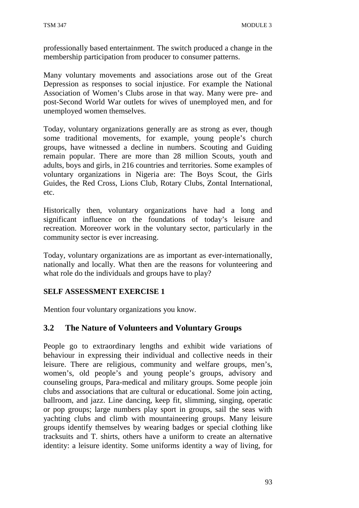professionally based entertainment. The switch produced a change in the membership participation from producer to consumer patterns.

Many voluntary movements and associations arose out of the Great Depression as responses to social injustice. For example the National Association of Women's Clubs arose in that way. Many were pre- and post-Second World War outlets for wives of unemployed men, and for unemployed women themselves.

Today, voluntary organizations generally are as strong as ever, though some traditional movements, for example, young people's church groups, have witnessed a decline in numbers. Scouting and Guiding remain popular. There are more than 28 million Scouts, youth and adults, boys and girls, in 216 countries and territories. Some examples of voluntary organizations in Nigeria are: The Boys Scout, the Girls Guides, the Red Cross, Lions Club, Rotary Clubs, Zontal International, etc.

Historically then, voluntary organizations have had a long and significant influence on the foundations of today's leisure and recreation. Moreover work in the voluntary sector, particularly in the community sector is ever increasing.

Today, voluntary organizations are as important as ever-internationally, nationally and locally. What then are the reasons for volunteering and what role do the individuals and groups have to play?

#### **SELF ASSESSMENT EXERCISE 1**

Mention four voluntary organizations you know.

## **3.2 The Nature of Volunteers and Voluntary Groups**

People go to extraordinary lengths and exhibit wide variations of behaviour in expressing their individual and collective needs in their leisure. There are religious, community and welfare groups, men's, women's, old people's and young people's groups, advisory and counseling groups, Para-medical and military groups. Some people join clubs and associations that are cultural or educational. Some join acting, ballroom, and jazz. Line dancing, keep fit, slimming, singing, operatic or pop groups; large numbers play sport in groups, sail the seas with yachting clubs and climb with mountaineering groups. Many leisure groups identify themselves by wearing badges or special clothing like tracksuits and T. shirts, others have a uniform to create an alternative identity: a leisure identity. Some uniforms identity a way of living, for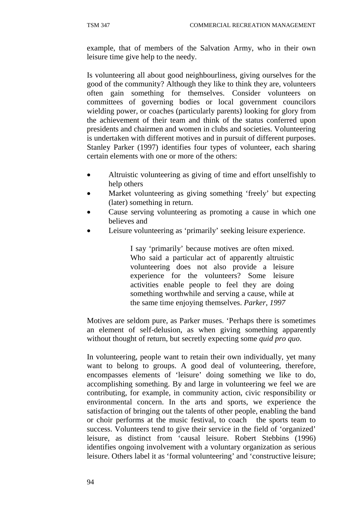example, that of members of the Salvation Army, who in their own leisure time give help to the needy.

Is volunteering all about good neighbourliness, giving ourselves for the good of the community? Although they like to think they are, volunteers often gain something for themselves. Consider volunteers on committees of governing bodies or local government councilors wielding power, or coaches (particularly parents) looking for glory from the achievement of their team and think of the status conferred upon presidents and chairmen and women in clubs and societies. Volunteering is undertaken with different motives and in pursuit of different purposes. Stanley Parker (1997) identifies four types of volunteer, each sharing certain elements with one or more of the others:

- Altruistic volunteering as giving of time and effort unselfishly to help others
- Market volunteering as giving something 'freely' but expecting (later) something in return.
- Cause serving volunteering as promoting a cause in which one believes and
- Leisure volunteering as 'primarily' seeking leisure experience.

I say 'primarily' because motives are often mixed. Who said a particular act of apparently altruistic volunteering does not also provide a leisure experience for the volunteers? Some leisure activities enable people to feel they are doing something worthwhile and serving a cause, while at the same time enjoying themselves. *Parker, 1997*

Motives are seldom pure, as Parker muses. 'Perhaps there is sometimes an element of self-delusion, as when giving something apparently without thought of return, but secretly expecting some *quid pro quo*.

In volunteering, people want to retain their own individually, yet many want to belong to groups. A good deal of volunteering, therefore, encompasses elements of 'leisure' doing something we like to do, accomplishing something. By and large in volunteering we feel we are contributing, for example, in community action, civic responsibility or environmental concern. In the arts and sports, we experience the satisfaction of bringing out the talents of other people, enabling the band or choir performs at the music festival, to coach the sports team to success. Volunteers tend to give their service in the field of 'organized' leisure, as distinct from 'causal leisure. Robert Stebbins (1996) identifies ongoing involvement with a voluntary organization as serious leisure. Others label it as 'formal volunteering' and 'constructive leisure;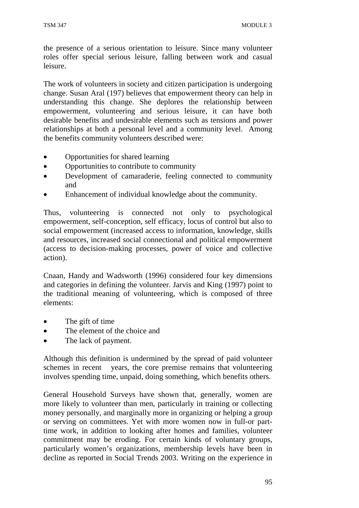the presence of a serious orientation to leisure. Since many volunteer roles offer special serious leisure, falling between work and casual leisure.

The work of volunteers in society and citizen participation is undergoing change. Susan Aral (197) believes that empowerment theory can help in understanding this change. She deplores the relationship between empowerment, volunteering and serious leisure, it can have both desirable benefits and undesirable elements such as tensions and power relationships at both a personal level and a community level. Among the benefits community volunteers described were:

- Opportunities for shared learning
- Opportunities to contribute to community
- Development of camaraderie, feeling connected to community and
- Enhancement of individual knowledge about the community.

Thus, volunteering is connected not only to psychological empowerment, self-conception, self efficacy, locus of control but also to social empowerment (increased access to information, knowledge, skills and resources, increased social connectional and political empowerment (access to decision-making processes, power of voice and collective action).

Cnaan, Handy and Wadsworth (1996) considered four key dimensions and categories in defining the volunteer. Jarvis and King (1997) point to the traditional meaning of volunteering, which is composed of three elements:

- The gift of time
- The element of the choice and
- The lack of payment.

Although this definition is undermined by the spread of paid volunteer schemes in recent years, the core premise remains that volunteering involves spending time, unpaid, doing something, which benefits others.

General Household Surveys have shown that, generally, women are more likely to volunteer than men, particularly in training or collecting money personally, and marginally more in organizing or helping a group or serving on committees. Yet with more women now in full-or parttime work, in addition to looking after homes and families, volunteer commitment may be eroding. For certain kinds of voluntary groups, particularly women's organizations, membership levels have been in decline as reported in Social Trends 2003. Writing on the experience in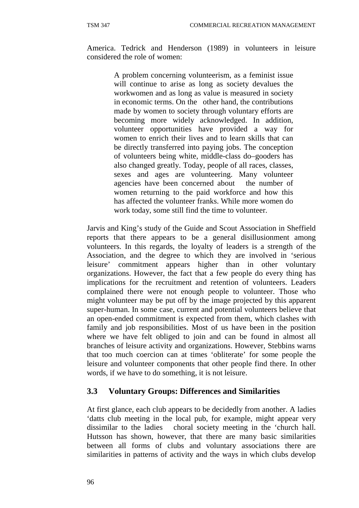America. Tedrick and Henderson (1989) in volunteers in leisure considered the role of women:

> A problem concerning volunteerism, as a feminist issue will continue to arise as long as society devalues the workwomen and as long as value is measured in society in economic terms. On the other hand, the contributions made by women to society through voluntary efforts are becoming more widely acknowledged. In addition, volunteer opportunities have provided a way for women to enrich their lives and to learn skills that can be directly transferred into paying jobs. The conception of volunteers being white, middle-class do–gooders has also changed greatly. Today, people of all races, classes, sexes and ages are volunteering. Many volunteer agencies have been concerned about the number of women returning to the paid workforce and how this has affected the volunteer franks. While more women do work today, some still find the time to volunteer.

Jarvis and King's study of the Guide and Scout Association in Sheffield reports that there appears to be a general disillusionment among volunteers. In this regards, the loyalty of leaders is a strength of the Association, and the degree to which they are involved in 'serious leisure' commitment appears higher than in other voluntary organizations. However, the fact that a few people do every thing has implications for the recruitment and retention of volunteers. Leaders complained there were not enough people to volunteer. Those who might volunteer may be put off by the image projected by this apparent super-human. In some case, current and potential volunteers believe that an open-ended commitment is expected from them, which clashes with family and job responsibilities. Most of us have been in the position where we have felt obliged to join and can be found in almost all branches of leisure activity and organizations. However, Stebbins warns that too much coercion can at times 'obliterate' for some people the leisure and volunteer components that other people find there. In other words, if we have to do something, it is not leisure.

#### **3.3 Voluntary Groups: Differences and Similarities**

At first glance, each club appears to be decidedly from another. A ladies 'datts club meeting in the local pub, for example, might appear very dissimilar to the ladies choral society meeting in the 'church hall. Hutsson has shown, however, that there are many basic similarities between all forms of clubs and voluntary associations there are similarities in patterns of activity and the ways in which clubs develop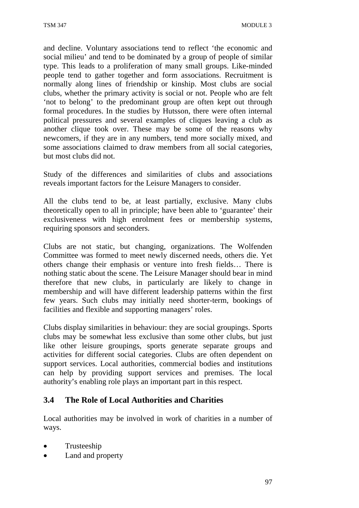and decline. Voluntary associations tend to reflect 'the economic and social milieu' and tend to be dominated by a group of people of similar type. This leads to a proliferation of many small groups. Like-minded people tend to gather together and form associations. Recruitment is normally along lines of friendship or kinship. Most clubs are social clubs, whether the primary activity is social or not. People who are felt 'not to belong' to the predominant group are often kept out through formal procedures. In the studies by Hutsson, there were often internal political pressures and several examples of cliques leaving a club as another clique took over. These may be some of the reasons why newcomers, if they are in any numbers, tend more socially mixed, and some associations claimed to draw members from all social categories, but most clubs did not.

Study of the differences and similarities of clubs and associations reveals important factors for the Leisure Managers to consider.

All the clubs tend to be, at least partially, exclusive. Many clubs theoretically open to all in principle; have been able to 'guarantee' their exclusiveness with high enrolment fees or membership systems, requiring sponsors and seconders.

Clubs are not static, but changing, organizations. The Wolfenden Committee was formed to meet newly discerned needs, others die. Yet others change their emphasis or venture into fresh fields… There is nothing static about the scene. The Leisure Manager should bear in mind therefore that new clubs, in particularly are likely to change in membership and will have different leadership patterns within the first few years. Such clubs may initially need shorter-term, bookings of facilities and flexible and supporting managers' roles.

Clubs display similarities in behaviour: they are social groupings. Sports clubs may be somewhat less exclusive than some other clubs, but just like other leisure groupings, sports generate separate groups and activities for different social categories. Clubs are often dependent on support services. Local authorities, commercial bodies and institutions can help by providing support services and premises. The local authority's enabling role plays an important part in this respect.

## **3.4 The Role of Local Authorities and Charities**

Local authorities may be involved in work of charities in a number of ways.

- Trusteeship
- Land and property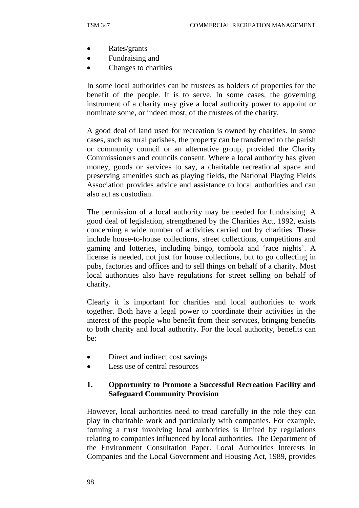- Rates/grants
- Fundraising and
- Changes to charities

In some local authorities can be trustees as holders of properties for the benefit of the people. It is to serve. In some cases, the governing instrument of a charity may give a local authority power to appoint or nominate some, or indeed most, of the trustees of the charity.

A good deal of land used for recreation is owned by charities. In some cases, such as rural parishes, the property can be transferred to the parish or community council or an alternative group, provided the Charity Commissioners and councils consent. Where a local authority has given money, goods or services to say, a charitable recreational space and preserving amenities such as playing fields, the National Playing Fields Association provides advice and assistance to local authorities and can also act as custodian.

The permission of a local authority may be needed for fundraising. A good deal of legislation, strengthened by the Charities Act, 1992, exists concerning a wide number of activities carried out by charities. These include house-to-house collections, street collections, competitions and gaming and lotteries, including bingo, tombola and 'race nights'. A license is needed, not just for house collections, but to go collecting in pubs, factories and offices and to sell things on behalf of a charity. Most local authorities also have regulations for street selling on behalf of charity.

Clearly it is important for charities and local authorities to work together. Both have a legal power to coordinate their activities in the interest of the people who benefit from their services, bringing benefits to both charity and local authority. For the local authority, benefits can be:

- Direct and indirect cost savings
- Less use of central resources

### **1. Opportunity to Promote a Successful Recreation Facility and Safeguard Community Provision**

However, local authorities need to tread carefully in the role they can play in charitable work and particularly with companies. For example, forming a trust involving local authorities is limited by regulations relating to companies influenced by local authorities. The Department of the Environment Consultation Paper. Local Authorities Interests in Companies and the Local Government and Housing Act, 1989, provides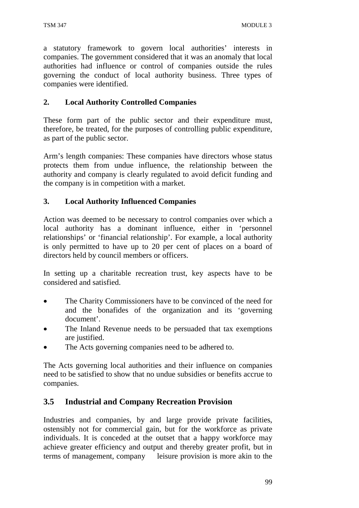a statutory framework to govern local authorities' interests in companies. The government considered that it was an anomaly that local authorities had influence or control of companies outside the rules governing the conduct of local authority business. Three types of companies were identified.

## **2. Local Authority Controlled Companies**

These form part of the public sector and their expenditure must, therefore, be treated, for the purposes of controlling public expenditure, as part of the public sector.

Arm's length companies: These companies have directors whose status protects them from undue influence, the relationship between the authority and company is clearly regulated to avoid deficit funding and the company is in competition with a market.

# **3. Local Authority Influenced Companies**

Action was deemed to be necessary to control companies over which a local authority has a dominant influence, either in 'personnel relationships' or 'financial relationship'. For example, a local authority is only permitted to have up to 20 per cent of places on a board of directors held by council members or officers.

In setting up a charitable recreation trust, key aspects have to be considered and satisfied.

- The Charity Commissioners have to be convinced of the need for and the bonafides of the organization and its 'governing document'.
- The Inland Revenue needs to be persuaded that tax exemptions are justified.
- The Acts governing companies need to be adhered to.

The Acts governing local authorities and their influence on companies need to be satisfied to show that no undue subsidies or benefits accrue to companies.

# **3.5 Industrial and Company Recreation Provision**

Industries and companies, by and large provide private facilities, ostensibly not for commercial gain, but for the workforce as private individuals. It is conceded at the outset that a happy workforce may achieve greater efficiency and output and thereby greater profit, but in terms of management, company leisure provision is more akin to the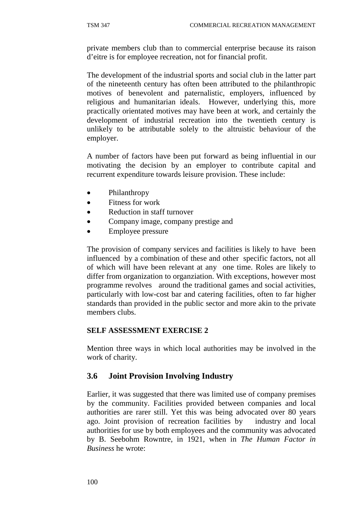private members club than to commercial enterprise because its raison d'eitre is for employee recreation, not for financial profit.

The development of the industrial sports and social club in the latter part of the nineteenth century has often been attributed to the philanthropic motives of benevolent and paternalistic, employers, influenced by religious and humanitarian ideals. However, underlying this, more practically orientated motives may have been at work, and certainly the development of industrial recreation into the twentieth century is unlikely to be attributable solely to the altruistic behaviour of the employer.

A number of factors have been put forward as being influential in our motivating the decision by an employer to contribute capital and recurrent expenditure towards leisure provision. These include:

- Philanthropy
- Fitness for work
- Reduction in staff turnover
- Company image, company prestige and
- Employee pressure

The provision of company services and facilities is likely to have been influenced by a combination of these and other specific factors, not all of which will have been relevant at any one time. Roles are likely to differ from organization to organziation. With exceptions, however most programme revolves around the traditional games and social activities, particularly with low-cost bar and catering facilities, often to far higher standards than provided in the public sector and more akin to the private members clubs.

#### **SELF ASSESSMENT EXERCISE 2**

Mention three ways in which local authorities may be involved in the work of charity.

## **3.6 Joint Provision Involving Industry**

Earlier, it was suggested that there was limited use of company premises by the community. Facilities provided between companies and local authorities are rarer still. Yet this was being advocated over 80 years ago. Joint provision of recreation facilities by industry and local authorities for use by both employees and the community was advocated by B. Seebohm Rowntre, in 1921, when in *The Human Factor in Business* he wrote: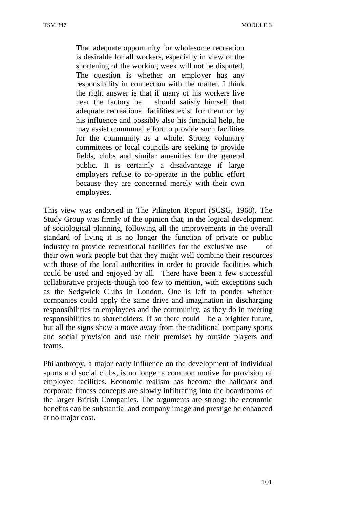That adequate opportunity for wholesome recreation is desirable for all workers, especially in view of the shortening of the working week will not be disputed. The question is whether an employer has any responsibility in connection with the matter. I think the right answer is that if many of his workers live near the factory he should satisfy himself that adequate recreational facilities exist for them or by his influence and possibly also his financial help, he may assist communal effort to provide such facilities for the community as a whole. Strong voluntary committees or local councils are seeking to provide fields, clubs and similar amenities for the general public. It is certainly a disadvantage if large employers refuse to co-operate in the public effort because they are concerned merely with their own employees.

This view was endorsed in The Pilington Report (SCSG, 1968). The Study Group was firmly of the opinion that, in the logical development of sociological planning, following all the improvements in the overall standard of living it is no longer the function of private or public industry to provide recreational facilities for the exclusive use of their own work people but that they might well combine their resources with those of the local authorities in order to provide facilities which could be used and enjoyed by all. There have been a few successful collaborative projects-though too few to mention, with exceptions such as the Sedgwick Clubs in London. One is left to ponder whether companies could apply the same drive and imagination in discharging responsibilities to employees and the community, as they do in meeting responsibilities to shareholders. If so there could be a brighter future, but all the signs show a move away from the traditional company sports and social provision and use their premises by outside players and teams.

Philanthropy, a major early influence on the development of individual sports and social clubs, is no longer a common motive for provision of employee facilities. Economic realism has become the hallmark and corporate fitness concepts are slowly infiltrating into the boardrooms of the larger British Companies. The arguments are strong: the economic benefits can be substantial and company image and prestige be enhanced at no major cost.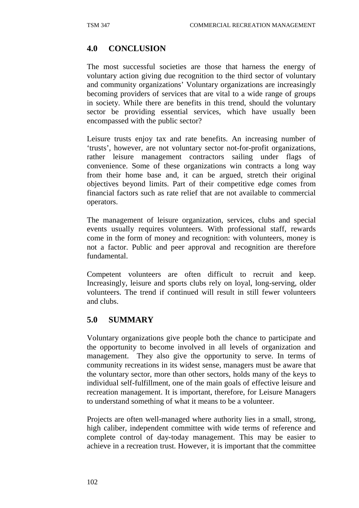# **4.0 CONCLUSION**

The most successful societies are those that harness the energy of voluntary action giving due recognition to the third sector of voluntary and community organizations' Voluntary organizations are increasingly becoming providers of services that are vital to a wide range of groups in society. While there are benefits in this trend, should the voluntary sector be providing essential services, which have usually been encompassed with the public sector?

Leisure trusts enjoy tax and rate benefits. An increasing number of 'trusts', however, are not voluntary sector not-for-profit organizations, rather leisure management contractors sailing under flags of convenience. Some of these organizations win contracts a long way from their home base and, it can be argued, stretch their original objectives beyond limits. Part of their competitive edge comes from financial factors such as rate relief that are not available to commercial operators.

The management of leisure organization, services, clubs and special events usually requires volunteers. With professional staff, rewards come in the form of money and recognition: with volunteers, money is not a factor. Public and peer approval and recognition are therefore fundamental.

Competent volunteers are often difficult to recruit and keep. Increasingly, leisure and sports clubs rely on loyal, long-serving, older volunteers. The trend if continued will result in still fewer volunteers and clubs.

#### **5.0 SUMMARY**

Voluntary organizations give people both the chance to participate and the opportunity to become involved in all levels of organization and management. They also give the opportunity to serve. In terms of community recreations in its widest sense, managers must be aware that the voluntary sector, more than other sectors, holds many of the keys to individual self-fulfillment, one of the main goals of effective leisure and recreation management. It is important, therefore, for Leisure Managers to understand something of what it means to be a volunteer.

Projects are often well-managed where authority lies in a small, strong, high caliber, independent committee with wide terms of reference and complete control of day-today management. This may be easier to achieve in a recreation trust. However, it is important that the committee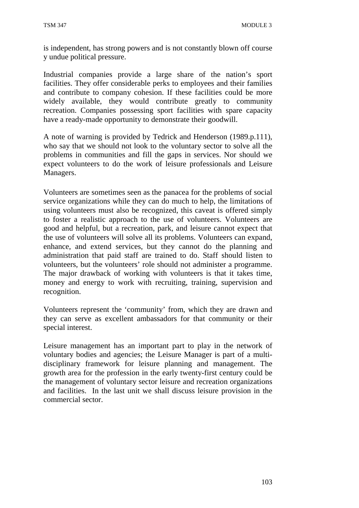is independent, has strong powers and is not constantly blown off course y undue political pressure.

Industrial companies provide a large share of the nation's sport facilities. They offer considerable perks to employees and their families and contribute to company cohesion. If these facilities could be more widely available, they would contribute greatly to community recreation. Companies possessing sport facilities with spare capacity have a ready-made opportunity to demonstrate their goodwill.

A note of warning is provided by Tedrick and Henderson (1989.p.111), who say that we should not look to the voluntary sector to solve all the problems in communities and fill the gaps in services. Nor should we expect volunteers to do the work of leisure professionals and Leisure Managers.

Volunteers are sometimes seen as the panacea for the problems of social service organizations while they can do much to help, the limitations of using volunteers must also be recognized, this caveat is offered simply to foster a realistic approach to the use of volunteers. Volunteers are good and helpful, but a recreation, park, and leisure cannot expect that the use of volunteers will solve all its problems. Volunteers can expand, enhance, and extend services, but they cannot do the planning and administration that paid staff are trained to do. Staff should listen to volunteers, but the volunteers' role should not administer a programme. The major drawback of working with volunteers is that it takes time, money and energy to work with recruiting, training, supervision and recognition.

Volunteers represent the 'community' from, which they are drawn and they can serve as excellent ambassadors for that community or their special interest.

Leisure management has an important part to play in the network of voluntary bodies and agencies; the Leisure Manager is part of a multidisciplinary framework for leisure planning and management. The growth area for the profession in the early twenty-first century could be the management of voluntary sector leisure and recreation organizations and facilities. In the last unit we shall discuss leisure provision in the commercial sector.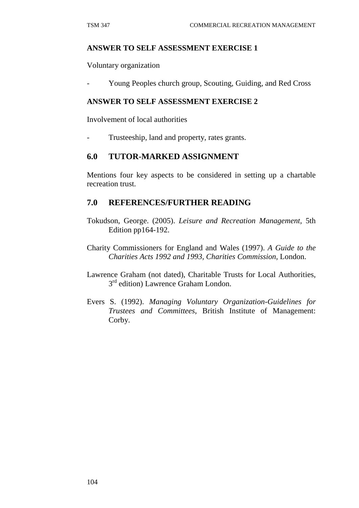#### **ANSWER TO SELF ASSESSMENT EXERCISE 1**

Voluntary organization

Young Peoples church group, Scouting, Guiding, and Red Cross

#### **ANSWER TO SELF ASSESSMENT EXERCISE 2**

Involvement of local authorities

- Trusteeship, land and property, rates grants.

#### **6.0 TUTOR-MARKED ASSIGNMENT**

Mentions four key aspects to be considered in setting up a chartable recreation trust.

#### **7.0 REFERENCES/FURTHER READING**

- Tokudson, George. (2005). *Leisure and Recreation Management,* 5th Edition pp164-192.
- Charity Commissioners for England and Wales (1997). *A Guide to the Charities Acts 1992 and 1993, Charities Commission*, London.
- Lawrence Graham (not dated), Charitable Trusts for Local Authorities, 3<sup>rd</sup> edition) Lawrence Graham London.
- Evers S. (1992). *Managing Voluntary Organization-Guidelines for Trustees and Committees*, British Institute of Management: Corby.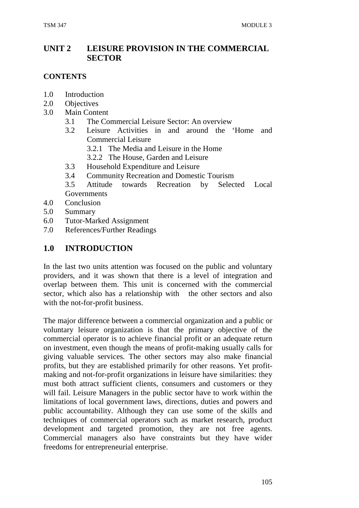# **UNIT 2 LEISURE PROVISION IN THE COMMERCIAL SECTOR**

#### **CONTENTS**

- 1.0 Introduction
- 2.0 Objectives
- 3.0 Main Content
	- 3.1 The Commercial Leisure Sector: An overview
	- 3.2 Leisure Activities in and around the 'Home and Commercial Leisure
		- 3.2.1 The Media and Leisure in the Home
		- 3.2.2 The House, Garden and Leisure
	- 3.3 Household Expenditure and Leisure
	- 3.4 Community Recreation and Domestic Tourism
	- 3.5 Attitude towards Recreation by Selected Local **Governments**
- 4.0 Conclusion
- 5.0 Summary
- 6.0 Tutor-Marked Assignment
- 7.0 References/Further Readings

# **1.0 INTRODUCTION**

In the last two units attention was focused on the public and voluntary providers, and it was shown that there is a level of integration and overlap between them. This unit is concerned with the commercial sector, which also has a relationship with the other sectors and also with the not-for-profit business.

The major difference between a commercial organization and a public or voluntary leisure organization is that the primary objective of the commercial operator is to achieve financial profit or an adequate return on investment, even though the means of profit-making usually calls for giving valuable services. The other sectors may also make financial profits, but they are established primarily for other reasons. Yet profitmaking and not-for-profit organizations in leisure have similarities: they must both attract sufficient clients, consumers and customers or they will fail. Leisure Managers in the public sector have to work within the limitations of local government laws, directions, duties and powers and public accountability. Although they can use some of the skills and techniques of commercial operators such as market research, product development and targeted promotion, they are not free agents. Commercial managers also have constraints but they have wider freedoms for entrepreneurial enterprise.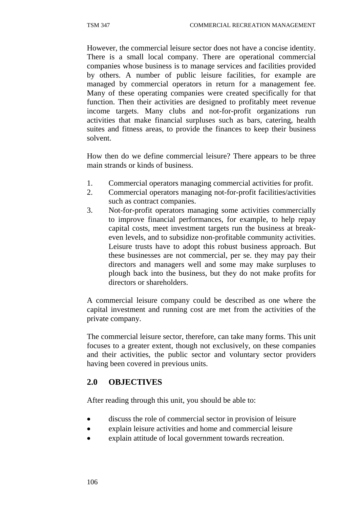However, the commercial leisure sector does not have a concise identity. There is a small local company. There are operational commercial companies whose business is to manage services and facilities provided by others. A number of public leisure facilities, for example are managed by commercial operators in return for a management fee. Many of these operating companies were created specifically for that function. Then their activities are designed to profitably meet revenue income targets. Many clubs and not-for-profit organizations run activities that make financial surpluses such as bars, catering, health suites and fitness areas, to provide the finances to keep their business solvent.

How then do we define commercial leisure? There appears to be three main strands or kinds of business.

- 1. Commercial operators managing commercial activities for profit.
- 2. Commercial operators managing not-for-profit facilities/activities such as contract companies.
- 3. Not-for-profit operators managing some activities commercially to improve financial performances, for example, to help repay capital costs, meet investment targets run the business at breakeven levels, and to subsidize non-profitable community activities. Leisure trusts have to adopt this robust business approach. But these businesses are not commercial, per se. they may pay their directors and managers well and some may make surpluses to plough back into the business, but they do not make profits for directors or shareholders.

A commercial leisure company could be described as one where the capital investment and running cost are met from the activities of the private company.

The commercial leisure sector, therefore, can take many forms. This unit focuses to a greater extent, though not exclusively, on these companies and their activities, the public sector and voluntary sector providers having been covered in previous units.

# **2.0 OBJECTIVES**

After reading through this unit, you should be able to:

- discuss the role of commercial sector in provision of leisure
- explain leisure activities and home and commercial leisure
- explain attitude of local government towards recreation.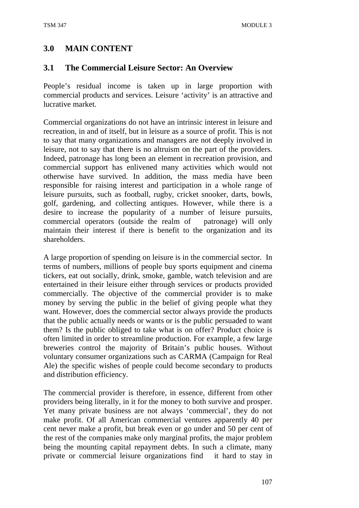# **3.0 MAIN CONTENT**

# **3.1 The Commercial Leisure Sector: An Overview**

People's residual income is taken up in large proportion with commercial products and services. Leisure 'activity' is an attractive and lucrative market.

Commercial organizations do not have an intrinsic interest in leisure and recreation, in and of itself, but in leisure as a source of profit. This is not to say that many organizations and managers are not deeply involved in leisure, not to say that there is no altruism on the part of the providers. Indeed, patronage has long been an element in recreation provision, and commercial support has enlivened many activities which would not otherwise have survived. In addition, the mass media have been responsible for raising interest and participation in a whole range of leisure pursuits, such as football, rugby, cricket snooker, darts, bowls, golf, gardening, and collecting antiques. However, while there is a desire to increase the popularity of a number of leisure pursuits, commercial operators (outside the realm of patronage) will only maintain their interest if there is benefit to the organization and its shareholders.

A large proportion of spending on leisure is in the commercial sector. In terms of numbers, millions of people buy sports equipment and cinema tickers, eat out socially, drink, smoke, gamble, watch television and are entertained in their leisure either through services or products provided commercially. The objective of the commercial provider is to make money by serving the public in the belief of giving people what they want. However, does the commercial sector always provide the products that the public actually needs or wants or is the public persuaded to want them? Is the public obliged to take what is on offer? Product choice is often limited in order to streamline production. For example, a few large breweries control the majority of Britain's public houses. Without voluntary consumer organizations such as CARMA (Campaign for Real Ale) the specific wishes of people could become secondary to products and distribution efficiency.

The commercial provider is therefore, in essence, different from other providers being literally, in it for the money to both survive and prosper. Yet many private business are not always 'commercial', they do not make profit. Of all American commercial ventures apparently 40 per cent never make a profit, but break even or go under and 50 per cent of the rest of the companies make only marginal profits, the major problem being the mounting capital repayment debts. In such a climate, many private or commercial leisure organizations find it hard to stay in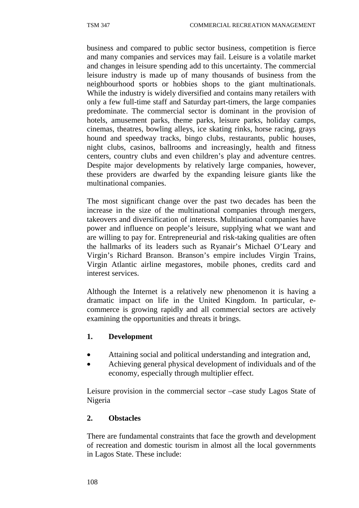business and compared to public sector business, competition is fierce and many companies and services may fail. Leisure is a volatile market and changes in leisure spending add to this uncertainty. The commercial leisure industry is made up of many thousands of business from the neighbourhood sports or hobbies shops to the giant multinationals. While the industry is widely diversified and contains many retailers with only a few full-time staff and Saturday part-timers, the large companies predominate. The commercial sector is dominant in the provision of hotels, amusement parks, theme parks, leisure parks, holiday camps, cinemas, theatres, bowling alleys, ice skating rinks, horse racing, grays hound and speedway tracks, bingo clubs, restaurants, public houses, night clubs, casinos, ballrooms and increasingly, health and fitness centers, country clubs and even children's play and adventure centres. Despite major developments by relatively large companies, however, these providers are dwarfed by the expanding leisure giants like the multinational companies.

The most significant change over the past two decades has been the increase in the size of the multinational companies through mergers, takeovers and diversification of interests. Multinational companies have power and influence on people's leisure, supplying what we want and are willing to pay for. Entrepreneurial and risk-taking qualities are often the hallmarks of its leaders such as Ryanair's Michael O'Leary and Virgin's Richard Branson. Branson's empire includes Virgin Trains, Virgin Atlantic airline megastores, mobile phones, credits card and interest services.

Although the Internet is a relatively new phenomenon it is having a dramatic impact on life in the United Kingdom. In particular, ecommerce is growing rapidly and all commercial sectors are actively examining the opportunities and threats it brings.

#### **1. Development**

- Attaining social and political understanding and integration and,
- Achieving general physical development of individuals and of the economy, especially through multiplier effect.

Leisure provision in the commercial sector –case study Lagos State of Nigeria

#### **2. Obstacles**

There are fundamental constraints that face the growth and development of recreation and domestic tourism in almost all the local governments in Lagos State. These include: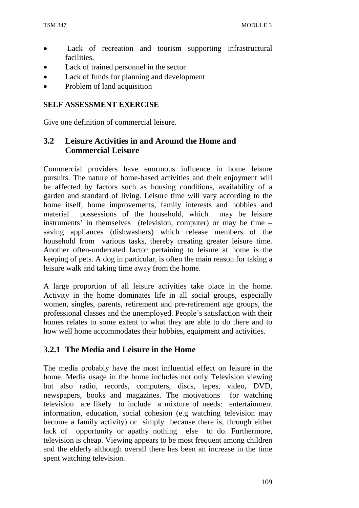- Lack of recreation and tourism supporting infrastructural facilities.
- Lack of trained personnel in the sector
- Lack of funds for planning and development
- Problem of land acquisition

#### **SELF ASSESSMENT EXERCISE**

Give one definition of commercial leisure.

### **3.2 Leisure Activities in and Around the Home and Commercial Leisure**

Commercial providers have enormous influence in home leisure pursuits. The nature of home-based activities and their enjoyment will be affected by factors such as housing conditions, availability of a garden and standard of living. Leisure time will vary according to the home itself, home improvements, family interests and hobbies and material possessions of the household, which may be leisure instruments' in themselves (television, computer) or may be time – saving appliances (dishwashers) which release members of the household from various tasks, thereby creating greater leisure time. Another often-underrated factor pertaining to leisure at home is the keeping of pets. A dog in particular, is often the main reason for taking a leisure walk and taking time away from the home.

A large proportion of all leisure activities take place in the home. Activity in the home dominates life in all social groups, especially women, singles, parents, retirement and pre-retirement age groups, the professional classes and the unemployed. People's satisfaction with their homes relates to some extent to what they are able to do there and to how well home accommodates their hobbies, equipment and activities.

#### **3.2.1 The Media and Leisure in the Home**

The media probably have the most influential effect on leisure in the home. Media usage in the home includes not only Television viewing but also radio, records, computers, discs, tapes, video, DVD, newspapers, books and magazines. The motivations for watching television are likely to include a mixture of needs: entertainment information, education, social cohesion (e.g watching television may become a family activity) or simply because there is, through either lack of opportunity or apathy nothing else to do. Furthermore, television is cheap. Viewing appears to be most frequent among children and the elderly although overall there has been an increase in the time spent watching television.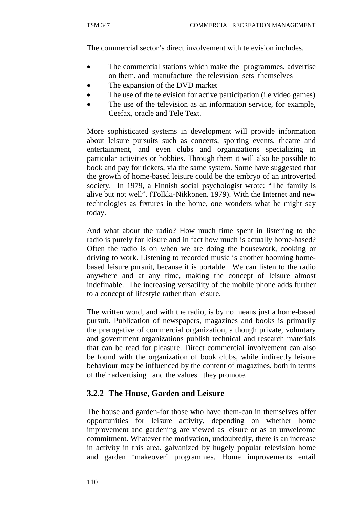The commercial sector's direct involvement with television includes.

- The commercial stations which make the programmes, advertise on them, and manufacture the television sets themselves
- The expansion of the DVD market
- The use of the television for active participation (i.e video games)
- The use of the television as an information service, for example, Ceefax, oracle and Tele Text.

More sophisticated systems in development will provide information about leisure pursuits such as concerts, sporting events, theatre and entertainment, and even clubs and organizations specializing in particular activities or hobbies. Through them it will also be possible to book and pay for tickets, via the same system. Some have suggested that the growth of home-based leisure could be the embryo of an introverted society. In 1979, a Finnish social psychologist wrote: "The family is alive but not well". (Tolkki-Nikkonen. 1979). With the Internet and new technologies as fixtures in the home, one wonders what he might say today.

And what about the radio? How much time spent in listening to the radio is purely for leisure and in fact how much is actually home-based? Often the radio is on when we are doing the housework, cooking or driving to work. Listening to recorded music is another booming homebased leisure pursuit, because it is portable. We can listen to the radio anywhere and at any time, making the concept of leisure almost indefinable. The increasing versatility of the mobile phone adds further to a concept of lifestyle rather than leisure.

The written word, and with the radio, is by no means just a home-based pursuit. Publication of newspapers, magazines and books is primarily the prerogative of commercial organization, although private, voluntary and government organizations publish technical and research materials that can be read for pleasure. Direct commercial involvement can also be found with the organization of book clubs, while indirectly leisure behaviour may be influenced by the content of magazines, both in terms of their advertising and the values they promote.

# **3.2.2 The House, Garden and Leisure**

The house and garden-for those who have them-can in themselves offer opportunities for leisure activity, depending on whether home improvement and gardening are viewed as leisure or as an unwelcome commitment. Whatever the motivation, undoubtedly, there is an increase in activity in this area, galvanized by hugely popular television home and garden 'makeover' programmes. Home improvements entail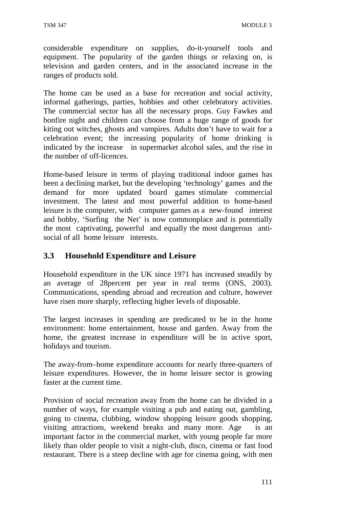considerable expenditure on supplies, do-it-yourself tools and equipment. The popularity of the garden things or relaxing on, is television and garden centers, and in the associated increase in the ranges of products sold.

The home can be used as a base for recreation and social activity, informal gatherings, parties, hobbies and other celebratory activities. The commercial sector has all the necessary props. Guy Fawkes and bonfire night and children can choose from a huge range of goods for kiting out witches, ghosts and vampires. Adults don't have to wait for a celebration event; the increasing popularity of home drinking is indicated by the increase in supermarket alcohol sales, and the rise in the number of off-licences.

Home-based leisure in terms of playing traditional indoor games has been a declining market, but the developing 'technology' games and the demand for more updated board games stimulate commercial investment. The latest and most powerful addition to home-based leisure is the computer, with computer games as a new-found interest and hobby, 'Surfing the Net' is now commonplace and is potentially the most captivating, powerful and equally the most dangerous antisocial of all home leisure interests.

# **3.3 Household Expenditure and Leisure**

Household expenditure in the UK since 1971 has increased steadily by an average of 28percent per year in real terms (ONS, 2003). Communications, spending abroad and recreation and culture, however have risen more sharply, reflecting higher levels of disposable.

The largest increases in spending are predicated to be in the home environment: home entertainment, house and garden. Away from the home, the greatest increase in expenditure will be in active sport, holidays and tourism.

The away-from–home expenditure accounts for nearly three-quarters of leisure expenditures. However, the in home leisure sector is growing faster at the current time.

Provision of social recreation away from the home can be divided in a number of ways, for example visiting a pub and eating out, gambling, going to cinema, clubbing, window shopping leisure goods shopping, visiting attractions, weekend breaks and many more. Age is an important factor in the commercial market, with young people far more likely than older people to visit a night-club, disco, cinema or fast food restaurant. There is a steep decline with age for cinema going, with men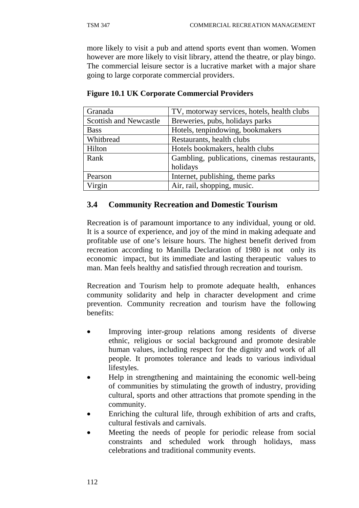more likely to visit a pub and attend sports event than women. Women however are more likely to visit library, attend the theatre, or play bingo. The commercial leisure sector is a lucrative market with a major share going to large corporate commercial providers.

| Granada                       | TV, motorway services, hotels, health clubs  |  |  |
|-------------------------------|----------------------------------------------|--|--|
| <b>Scottish and Newcastle</b> | Breweries, pubs, holidays parks              |  |  |
| <b>Bass</b>                   | Hotels, tenpindowing, bookmakers             |  |  |
| Whitbread                     | Restaurants, health clubs                    |  |  |
| Hilton                        | Hotels bookmakers, health clubs              |  |  |
| Rank                          | Gambling, publications, cinemas restaurants, |  |  |
|                               | holidays                                     |  |  |
| Pearson                       | Internet, publishing, theme parks            |  |  |
| Virgin                        | Air, rail, shopping, music.                  |  |  |

### **Figure 10.1 UK Corporate Commercial Providers**

# **3.4 Community Recreation and Domestic Tourism**

Recreation is of paramount importance to any individual, young or old. It is a source of experience, and joy of the mind in making adequate and profitable use of one's leisure hours. The highest benefit derived from recreation according to Manilla Declaration of 1980 is not only its economic impact, but its immediate and lasting therapeutic values to man. Man feels healthy and satisfied through recreation and tourism.

Recreation and Tourism help to promote adequate health, enhances community solidarity and help in character development and crime prevention. Community recreation and tourism have the following benefits:

- Improving inter-group relations among residents of diverse ethnic, religious or social background and promote desirable human values, including respect for the dignity and work of all people. It promotes tolerance and leads to various individual lifestyles.
- Help in strengthening and maintaining the economic well-being of communities by stimulating the growth of industry, providing cultural, sports and other attractions that promote spending in the community.
- Enriching the cultural life, through exhibition of arts and crafts, cultural festivals and carnivals.
- Meeting the needs of people for periodic release from social constraints and scheduled work through holidays, mass celebrations and traditional community events.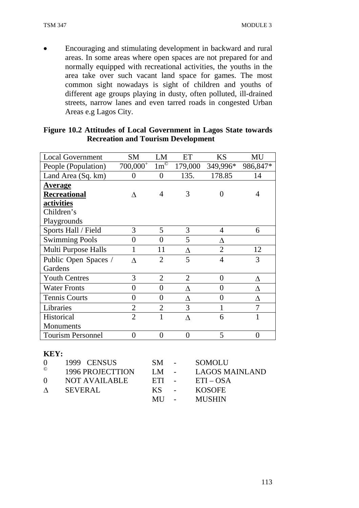• Encouraging and stimulating development in backward and rural areas. In some areas where open spaces are not prepared for and normally equipped with recreational activities, the youths in the area take over such vacant land space for games. The most common sight nowadays is sight of children and youths of different age groups playing in dusty, often polluted, ill-drained streets, narrow lanes and even tarred roads in congested Urban Areas e.g Lagos City.

| seer catholic and a building beveropment |             |                     |                |                |          |  |  |
|------------------------------------------|-------------|---------------------|----------------|----------------|----------|--|--|
| <b>Local Government</b>                  | <b>SM</b>   | LM                  | ET             | <b>KS</b>      | MU       |  |  |
| People (Population)                      | $700,000^+$ | $1m^{\circledcirc}$ | 179,000        | 349,996*       | 986,847* |  |  |
| Land Area (Sq. km)                       | 0           | $\overline{0}$      | 135.           | 178.85         | 14       |  |  |
| Average                                  |             |                     |                |                |          |  |  |
| <b>Recreational</b>                      |             | 4                   | 3              | $\mathbf{0}$   |          |  |  |
| activities                               |             |                     |                |                |          |  |  |
| Children's                               |             |                     |                |                |          |  |  |
| Playgrounds                              |             |                     |                |                |          |  |  |
| Sports Hall / Field                      | 3           | 5                   | 3              | 4              | 6        |  |  |
| <b>Swimming Pools</b>                    | 0           | 0                   | 5              | Л              |          |  |  |
| <b>Multi Purpose Halls</b>               |             | 11                  | Л              | $\overline{2}$ | 12       |  |  |
| Public Open Spaces /                     | ٨           | $\overline{2}$      | 5              | 4              | 3        |  |  |
| Gardens                                  |             |                     |                |                |          |  |  |
| <b>Youth Centres</b>                     | 3           | $\overline{2}$      | $\overline{2}$ | 0              |          |  |  |
| <b>Water Fronts</b>                      |             | 0                   |                |                |          |  |  |

#### **Figure 10.2 Attitudes of Local Government in Lagos State towards Recreation and Tourism Development**

#### **KEY:**

**Historical** Monuments

| 0          | 1999 CENSUS      | $SM -$ | SOMOLU                |
|------------|------------------|--------|-----------------------|
| $^{\circ}$ | 1996 PROJECTTION | $LM -$ | <b>LAGOS MAINLAND</b> |
| 0.         | NOT AVAILABLE    | ETI -  | $ETI - OSA$           |
| $\Lambda$  | <b>SEVERAL</b>   | $KS -$ | KOSOFE                |
|            |                  | MU-    | <b>MUSHIN</b>         |

Tennis Courts 0 0  $\Delta$  0  $\Delta$ Libraries 2 2 3 1 7

Tourism Personnel 0 0 0 5 0

 $2 \qquad 1 \qquad \Delta \qquad 6 \qquad 1$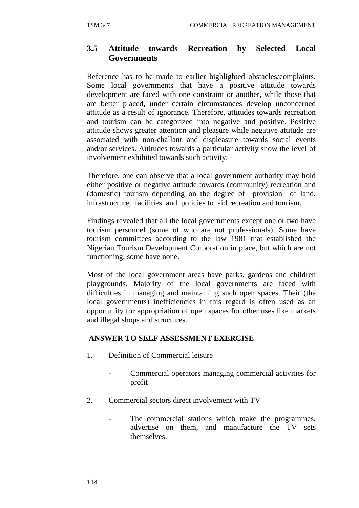# **3.5 Attitude towards Recreation by Selected Local Governments**

Reference has to be made to earlier highlighted obstacles/complaints. Some local governments that have a positive attitude towards development are faced with one constraint or another, while those that are better placed, under certain circumstances develop unconcerned attitude as a result of ignorance. Therefore, attitudes towards recreation and tourism can be categorized into negative and positive. Positive attitude shows greater attention and pleasure while negative attitude are associated with non-challant and displeasure towards social events and/or services. Attitudes towards a particular activity show the level of involvement exhibited towards such activity.

Therefore, one can observe that a local government authority may hold either positive or negative attitude towards (community) recreation and (domestic) tourism depending on the degree of provision of land, infrastructure, facilities and policies to aid recreation and tourism.

Findings revealed that all the local governments except one or two have tourism personnel (some of who are not professionals). Some have tourism committees according to the law 1981 that established the Nigerian Tourism Development Corporation in place, but which are not functioning, some have none.

Most of the local government areas have parks, gardens and children playgrounds. Majority of the local governments are faced with difficulties in managing and maintaining such open spaces. Their (the local governments) inefficiencies in this regard is often used as an opportunity for appropriation of open spaces for other uses like markets and illegal shops and structures.

#### **ANSWER TO SELF ASSESSMENT EXERCISE**

- 1. Definition of Commercial leisure
	- Commercial operators managing commercial activities for profit
- 2. Commercial sectors direct involvement with TV
	- The commercial stations which make the programmes, advertise on them, and manufacture the TV sets themselves.